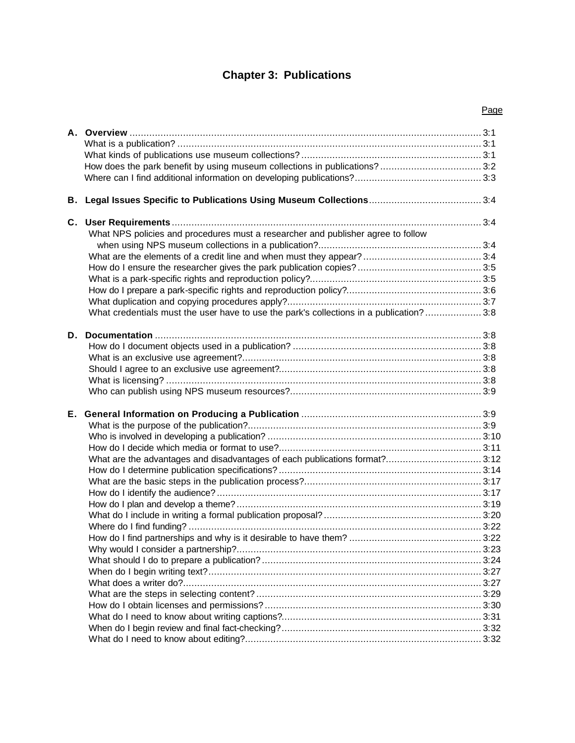# **Chapter 3: Publications**

| C.  |                                                                                         |  |
|-----|-----------------------------------------------------------------------------------------|--|
|     | What NPS policies and procedures must a researcher and publisher agree to follow        |  |
|     |                                                                                         |  |
|     |                                                                                         |  |
|     |                                                                                         |  |
|     |                                                                                         |  |
|     |                                                                                         |  |
|     |                                                                                         |  |
|     | What credentials must the user have to use the park's collections in a publication? 3:8 |  |
|     |                                                                                         |  |
|     |                                                                                         |  |
|     |                                                                                         |  |
|     |                                                                                         |  |
|     |                                                                                         |  |
|     |                                                                                         |  |
| E., |                                                                                         |  |
|     |                                                                                         |  |
|     |                                                                                         |  |
|     |                                                                                         |  |
|     | What are the advantages and disadvantages of each publications format?3:12              |  |
|     |                                                                                         |  |
|     |                                                                                         |  |
|     |                                                                                         |  |
|     |                                                                                         |  |
|     |                                                                                         |  |
|     |                                                                                         |  |
|     |                                                                                         |  |
|     |                                                                                         |  |
|     |                                                                                         |  |
|     |                                                                                         |  |
|     |                                                                                         |  |
|     |                                                                                         |  |
|     |                                                                                         |  |
|     |                                                                                         |  |
|     |                                                                                         |  |
|     |                                                                                         |  |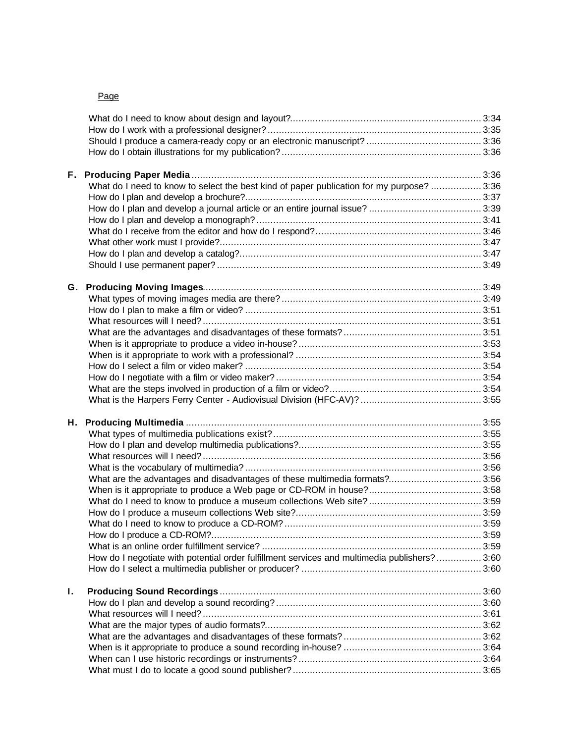## Page

|    | What do I need to know to select the best kind of paper publication for my purpose?  3:36    |  |
|----|----------------------------------------------------------------------------------------------|--|
|    |                                                                                              |  |
|    |                                                                                              |  |
|    |                                                                                              |  |
|    |                                                                                              |  |
|    |                                                                                              |  |
|    |                                                                                              |  |
|    |                                                                                              |  |
|    |                                                                                              |  |
| G. |                                                                                              |  |
|    |                                                                                              |  |
|    |                                                                                              |  |
|    |                                                                                              |  |
|    |                                                                                              |  |
|    |                                                                                              |  |
|    |                                                                                              |  |
|    |                                                                                              |  |
|    |                                                                                              |  |
|    |                                                                                              |  |
|    |                                                                                              |  |
|    |                                                                                              |  |
|    |                                                                                              |  |
|    |                                                                                              |  |
|    |                                                                                              |  |
|    |                                                                                              |  |
|    |                                                                                              |  |
|    | What are the advantages and disadvantages of these multimedia formats? 3:56                  |  |
|    |                                                                                              |  |
|    |                                                                                              |  |
|    |                                                                                              |  |
|    |                                                                                              |  |
|    |                                                                                              |  |
|    |                                                                                              |  |
|    | How do I negotiate with potential order fulfillment services and multimedia publishers? 3:60 |  |
|    |                                                                                              |  |
|    |                                                                                              |  |
| Ι. |                                                                                              |  |
|    |                                                                                              |  |
|    |                                                                                              |  |
|    |                                                                                              |  |
|    |                                                                                              |  |
|    |                                                                                              |  |
|    |                                                                                              |  |
|    |                                                                                              |  |
|    |                                                                                              |  |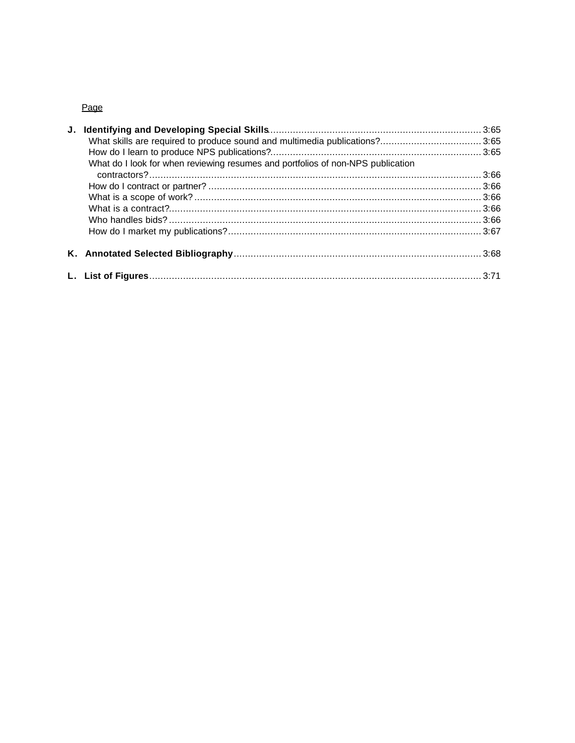## Page

| What skills are required to produce sound and multimedia publications?3:65      |  |
|---------------------------------------------------------------------------------|--|
|                                                                                 |  |
| What do I look for when reviewing resumes and portfolios of non-NPS publication |  |
|                                                                                 |  |
|                                                                                 |  |
|                                                                                 |  |
|                                                                                 |  |
|                                                                                 |  |
|                                                                                 |  |
|                                                                                 |  |
|                                                                                 |  |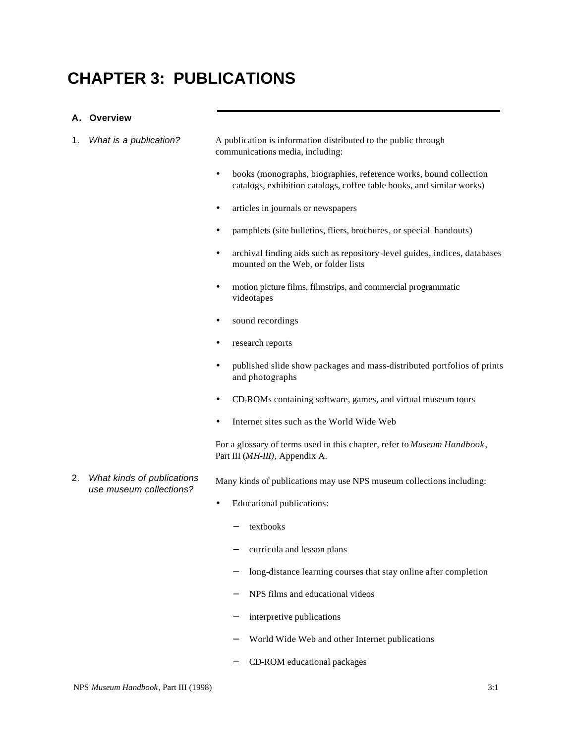# **CHAPTER 3: PUBLICATIONS**

#### **A. Overview**

1. *What is a publication?* A publication is information distributed to the public through communications media, including:

- books (monographs, biographies, reference works, bound collection catalogs, exhibition catalogs, coffee table books, and similar works)
- articles in journals or newspapers
- pamphlets (site bulletins, fliers, brochures, or special handouts)
- archival finding aids such as repository-level guides, indices, databases mounted on the Web, or folder lists
- motion picture films, filmstrips, and commercial programmatic videotapes
- sound recordings
- research reports
- published slide show packages and mass-distributed portfolios of prints and photographs
- CD-ROMs containing software, games, and virtual museum tours
- Internet sites such as the World Wide Web

For a glossary of terms used in this chapter, refer to *Museum Handbook*, Part III (*MH-III)*, Appendix A.

- 2. *What kinds of publications use museum collections?* Many kinds of publications may use NPS museum collections including:
	- Educational publications:
		- textbooks
		- − curricula and lesson plans
		- long-distance learning courses that stay online after completion
		- − NPS films and educational videos
		- − interpretive publications
		- World Wide Web and other Internet publications
		- − CD-ROM educational packages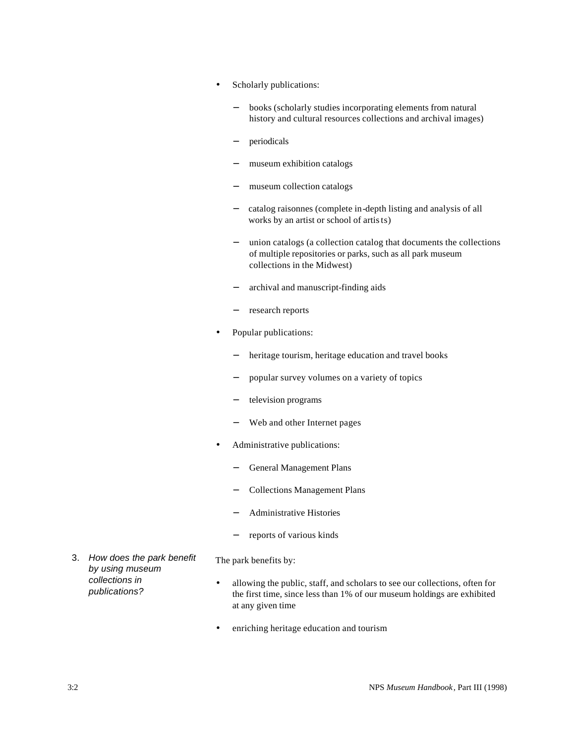- Scholarly publications:
	- − books (scholarly studies incorporating elements from natural history and cultural resources collections and archival images)
	- − periodicals
	- museum exhibition catalogs
	- museum collection catalogs
	- − catalog raisonnes (complete in-depth listing and analysis of all works by an artist or school of artists)
	- union catalogs (a collection catalog that documents the collections of multiple repositories or parks, such as all park museum collections in the Midwest)
	- − archival and manuscript-finding aids
	- − research reports
- Popular publications:
	- heritage tourism, heritage education and travel books
	- − popular survey volumes on a variety of topics
	- − television programs
	- − Web and other Internet pages
- Administrative publications:
	- − General Management Plans
	- − Collections Management Plans
	- − Administrative Histories
	- − reports of various kinds

The park benefits by:

- 3. *How does the park benefit by using museum collections in publications?*
- allowing the public, staff, and scholars to see our collections, often for the first time, since less than 1% of our museum holdings are exhibited at any given time
- enriching heritage education and tourism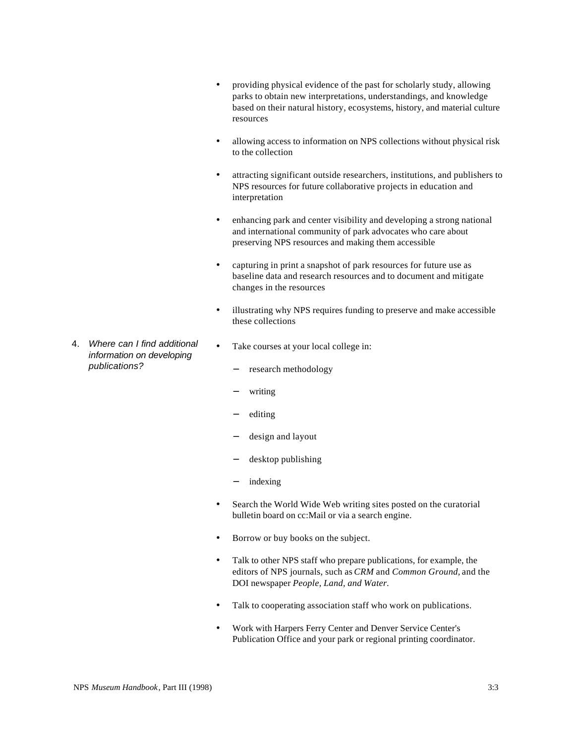- providing physical evidence of the past for scholarly study, allowing parks to obtain new interpretations, understandings, and knowledge based on their natural history, ecosystems, history, and material culture resources
- allowing access to information on NPS collections without physical risk to the collection
- attracting significant outside researchers, institutions, and publishers to NPS resources for future collaborative projects in education and interpretation
- enhancing park and center visibility and developing a strong national and international community of park advocates who care about preserving NPS resources and making them accessible
- capturing in print a snapshot of park resources for future use as baseline data and research resources and to document and mitigate changes in the resources
- illustrating why NPS requires funding to preserve and make accessible these collections
- Take courses at your local college in:
	- − research methodology
	- writing
	- editing
	- − design and layout
	- − desktop publishing
	- − indexing
- Search the World Wide Web writing sites posted on the curatorial bulletin board on cc:Mail or via a search engine.
- Borrow or buy books on the subject.
- Talk to other NPS staff who prepare publications, for example, the editors of NPS journals, such as *CRM* and *Common Ground,* and the DOI newspaper *People, Land, and Water.*
- Talk to cooperating association staff who work on publications.
- Work with Harpers Ferry Center and Denver Service Center's Publication Office and your park or regional printing coordinator.

4. *Where can I find additional information on developing publications?*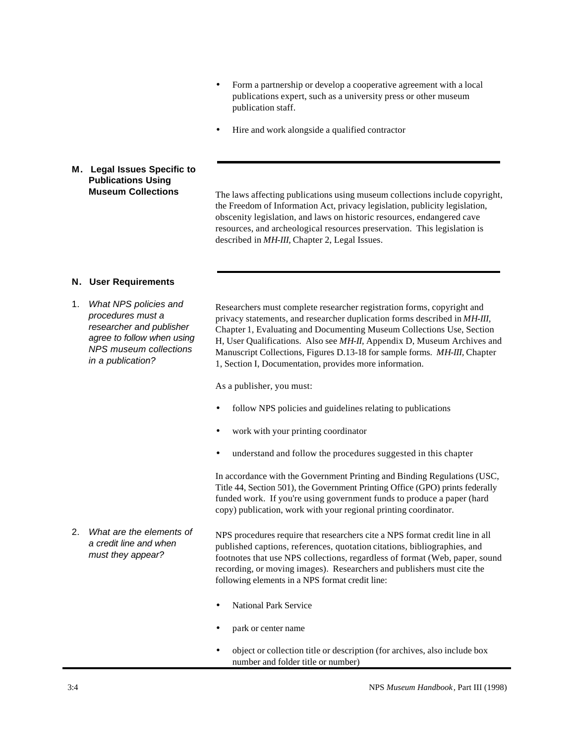- Form a partnership or develop a cooperative agreement with a local publications expert, such as a university press or other museum publication staff.
- Hire and work alongside a qualified contractor

## **M. Legal Issues Specific to Publications Using**

**Museum Collections** The laws affecting publications using museum collections include copyright, the Freedom of Information Act, privacy legislation, publicity legislation, obscenity legislation, and laws on historic resources, endangered cave resources, and archeological resources preservation. This legislation is described in *MH-III,* Chapter 2, Legal Issues.

#### **N. User Requirements**

1. *What NPS policies and procedures must a researcher and publisher agree to follow when using NPS museum collections in a publication?*

Researchers must complete researcher registration forms, copyright and privacy statements, and researcher duplication forms described in *MH-III,*  Chapter 1, Evaluating and Documenting Museum Collections Use, Section H, User Qualifications. Also see *MH-II,* Appendix D, Museum Archives and Manuscript Collections, Figures D.13-18 for sample forms. *MH-III,* Chapter 1, Section I, Documentation, provides more information.

As a publisher, you must:

- follow NPS policies and guidelines relating to publications
- work with your printing coordinator
- understand and follow the procedures suggested in this chapter

In accordance with the Government Printing and Binding Regulations (USC, Title 44, Section 501), the Government Printing Office (GPO) prints federally funded work. If you're using government funds to produce a paper (hard copy) publication, work with your regional printing coordinator.

NPS procedures require that researchers cite a NPS format credit line in all published captions, references, quotation citations, bibliographies, and footnotes that use NPS collections, regardless of format (Web, paper, sound recording, or moving images). Researchers and publishers must cite the following elements in a NPS format credit line:

- National Park Service
- park or center name
- object or collection title or description (for archives, also include box number and folder title or number)

2. *What are the elements of a credit line and when must they appear?*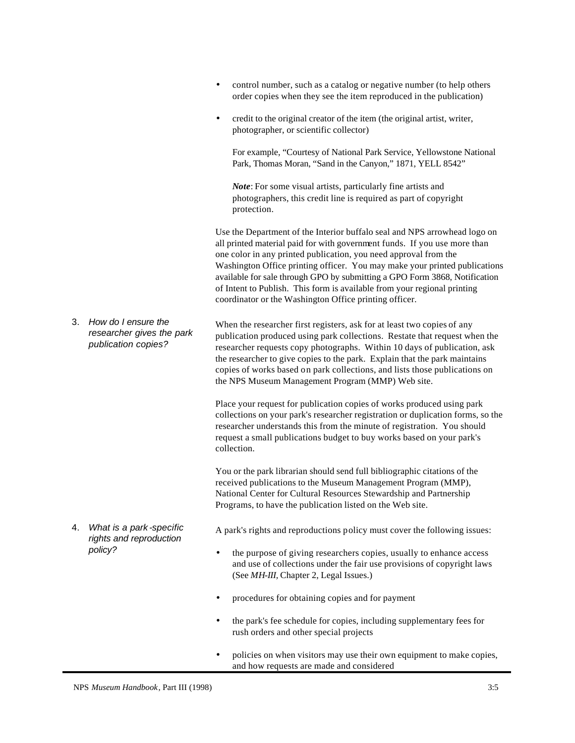|    |                                                                         | control number, such as a catalog or negative number (to help others<br>٠<br>order copies when they see the item reproduced in the publication)                                                                                                                                                                                                                                                                                                                                                                              |
|----|-------------------------------------------------------------------------|------------------------------------------------------------------------------------------------------------------------------------------------------------------------------------------------------------------------------------------------------------------------------------------------------------------------------------------------------------------------------------------------------------------------------------------------------------------------------------------------------------------------------|
|    |                                                                         | credit to the original creator of the item (the original artist, writer,<br>$\bullet$<br>photographer, or scientific collector)                                                                                                                                                                                                                                                                                                                                                                                              |
|    |                                                                         | For example, "Courtesy of National Park Service, Yellowstone National<br>Park, Thomas Moran, "Sand in the Canyon," 1871, YELL 8542"                                                                                                                                                                                                                                                                                                                                                                                          |
|    |                                                                         | Note: For some visual artists, particularly fine artists and<br>photographers, this credit line is required as part of copyright<br>protection.                                                                                                                                                                                                                                                                                                                                                                              |
|    |                                                                         | Use the Department of the Interior buffalo seal and NPS arrowhead logo on<br>all printed material paid for with government funds. If you use more than<br>one color in any printed publication, you need approval from the<br>Washington Office printing officer. You may make your printed publications<br>available for sale through GPO by submitting a GPO Form 3868, Notification<br>of Intent to Publish. This form is available from your regional printing<br>coordinator or the Washington Office printing officer. |
| 3. | How do I ensure the<br>researcher gives the park<br>publication copies? | When the researcher first registers, ask for at least two copies of any<br>publication produced using park collections. Restate that request when the<br>researcher requests copy photographs. Within 10 days of publication, ask<br>the researcher to give copies to the park. Explain that the park maintains<br>copies of works based on park collections, and lists those publications on<br>the NPS Museum Management Program (MMP) Web site.                                                                           |
|    |                                                                         | Place your request for publication copies of works produced using park<br>collections on your park's researcher registration or duplication forms, so the<br>researcher understands this from the minute of registration. You should<br>request a small publications budget to buy works based on your park's<br>collection.                                                                                                                                                                                                 |
|    |                                                                         | You or the park librarian should send full bibliographic citations of the<br>received publications to the Museum Management Program (MMP),<br>National Center for Cultural Resources Stewardship and Partnership<br>Programs, to have the publication listed on the Web site.                                                                                                                                                                                                                                                |
| 4. | What is a park-specific<br>rights and reproduction                      | A park's rights and reproductions policy must cover the following issues:                                                                                                                                                                                                                                                                                                                                                                                                                                                    |
|    | policy?                                                                 | the purpose of giving researchers copies, usually to enhance access<br>٠<br>and use of collections under the fair use provisions of copyright laws<br>(See MH-III, Chapter 2, Legal Issues.)                                                                                                                                                                                                                                                                                                                                 |
|    |                                                                         | procedures for obtaining copies and for payment<br>٠                                                                                                                                                                                                                                                                                                                                                                                                                                                                         |
|    |                                                                         | the park's fee schedule for copies, including supplementary fees for<br>rush orders and other special projects                                                                                                                                                                                                                                                                                                                                                                                                               |
|    |                                                                         | policies on when visitors may use their own equipment to make copies,<br>and how requests are made and considered                                                                                                                                                                                                                                                                                                                                                                                                            |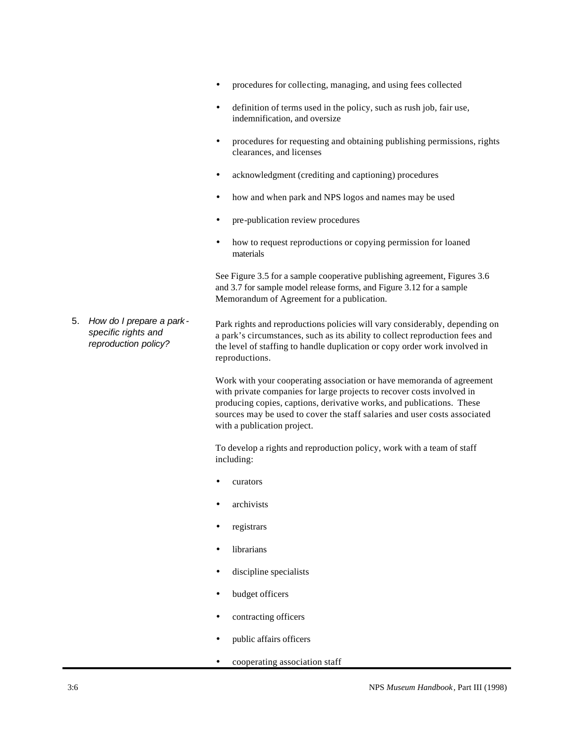- procedures for collecting, managing, and using fees collected
- definition of terms used in the policy, such as rush job, fair use, indemnification, and oversize
- procedures for requesting and obtaining publishing permissions, rights clearances, and licenses
- acknowledgment (crediting and captioning) procedures
- how and when park and NPS logos and names may be used
- pre-publication review procedures
- how to request reproductions or copying permission for loaned materials

See Figure 3.5 for a sample cooperative publishing agreement, Figures 3.6 and 3.7 for sample model release forms, and Figure 3.12 for a sample Memorandum of Agreement for a publication.

5. *How do I prepare a park specific rights and reproduction policy?* Park rights and reproductions policies will vary considerably, depending on a park's circumstances, such as its ability to collect reproduction fees and the level of staffing to handle duplication or copy order work involved in reproductions.

> Work with your cooperating association or have memoranda of agreement with private companies for large projects to recover costs involved in producing copies, captions, derivative works, and publications. These sources may be used to cover the staff salaries and user costs associated with a publication project.

To develop a rights and reproduction policy, work with a team of staff including:

- curators
- archivists
- registrars
- **librarians**
- discipline specialists
- budget officers
- contracting officers
- public affairs officers
- cooperating association staff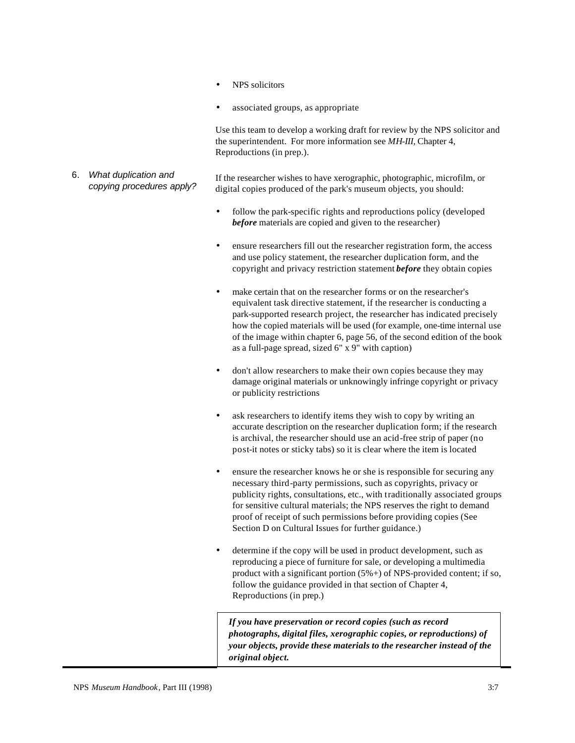- NPS solicitors
- associated groups, as appropriate

Use this team to develop a working draft for review by the NPS solicitor and the superintendent. For more information see *MH-III,* Chapter 4, Reproductions (in prep.).

- 6. *What duplication and copying procedures apply?* If the researcher wishes to have xerographic, photographic, microfilm, or digital copies produced of the park's museum objects, you should:
	- follow the park-specific rights and reproductions policy (developed *before* materials are copied and given to the researcher)
	- ensure researchers fill out the researcher registration form, the access and use policy statement, the researcher duplication form, and the copyright and privacy restriction statement *before* they obtain copies
	- make certain that on the researcher forms or on the researcher's equivalent task directive statement, if the researcher is conducting a park-supported research project, the researcher has indicated precisely how the copied materials will be used (for example, one-time internal use of the image within chapter 6, page 56, of the second edition of the book as a full-page spread, sized 6" x 9" with caption)
	- don't allow researchers to make their own copies because they may damage original materials or unknowingly infringe copyright or privacy or publicity restrictions
	- ask researchers to identify items they wish to copy by writing an accurate description on the researcher duplication form; if the research is archival, the researcher should use an acid-free strip of paper (no post-it notes or sticky tabs) so it is clear where the item is located
	- ensure the researcher knows he or she is responsible for securing any necessary third-party permissions, such as copyrights, privacy or publicity rights, consultations, etc., with traditionally associated groups for sensitive cultural materials; the NPS reserves the right to demand proof of receipt of such permissions before providing copies (See Section D on Cultural Issues for further guidance.)
	- determine if the copy will be used in product development, such as reproducing a piece of furniture for sale, or developing a multimedia product with a significant portion (5%+) of NPS-provided content; if so, follow the guidance provided in that section of Chapter 4, Reproductions (in prep.)

*If you have preservation or record copies (such as record photographs, digital files, xerographic copies, or reproductions) of your objects, provide these materials to the researcher instead of the original object.*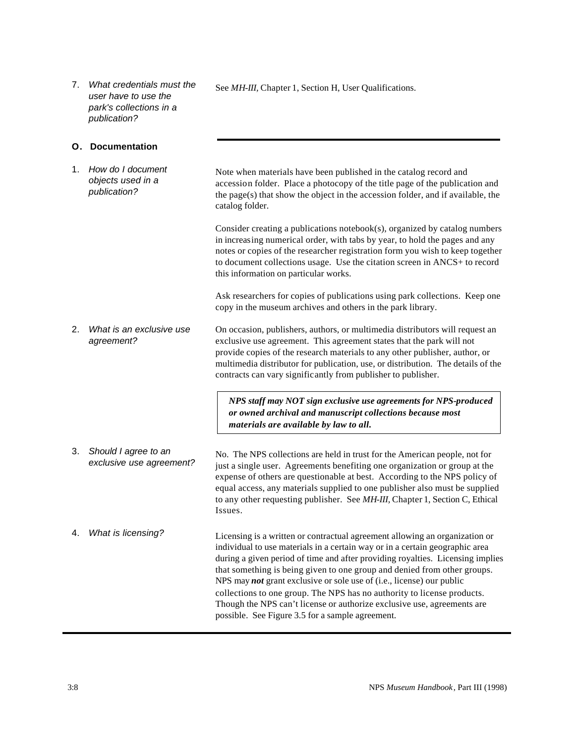7. *What credentials must the user have to use the park's collections in a publication?*

#### See *MH-III*, Chapter 1, Section H, User Qualifications.

#### **O. Documentation**

| 1. | How do I document<br>objects used in a<br>publication? | Note when materials have been published in the catalog record and<br>accession folder. Place a photocopy of the title page of the publication and<br>the page(s) that show the object in the accession folder, and if available, the<br>catalog folder.                                                                                                                                                          |
|----|--------------------------------------------------------|------------------------------------------------------------------------------------------------------------------------------------------------------------------------------------------------------------------------------------------------------------------------------------------------------------------------------------------------------------------------------------------------------------------|
|    |                                                        | Consider creating a publications notebook $(s)$ , organized by catalog numbers<br>in increasing numerical order, with tabs by year, to hold the pages and any<br>notes or copies of the researcher registration form you wish to keep together<br>to document collections usage. Use the citation screen in ANCS+ to record<br>this information on particular works.                                             |
|    |                                                        | Ask researchers for copies of publications using park collections. Keep one<br>copy in the museum archives and others in the park library.                                                                                                                                                                                                                                                                       |
| 2. | What is an exclusive use<br>agreement?                 | On occasion, publishers, authors, or multimedia distributors will request an<br>exclusive use agreement. This agreement states that the park will not<br>provide copies of the research materials to any other publisher, author, or<br>multimedia distributor for publication, use, or distribution. The details of the<br>contracts can vary significantly from publisher to publisher.                        |
|    |                                                        |                                                                                                                                                                                                                                                                                                                                                                                                                  |
|    |                                                        | NPS staff may NOT sign exclusive use agreements for NPS-produced<br>or owned archival and manuscript collections because most<br>materials are available by law to all.                                                                                                                                                                                                                                          |
| 3. | Should I agree to an<br>exclusive use agreement?       | No. The NPS collections are held in trust for the American people, not for<br>just a single user. Agreements benefiting one organization or group at the<br>expense of others are questionable at best. According to the NPS policy of<br>equal access, any materials supplied to one publisher also must be supplied<br>to any other requesting publisher. See MH-III, Chapter 1, Section C, Ethical<br>Issues. |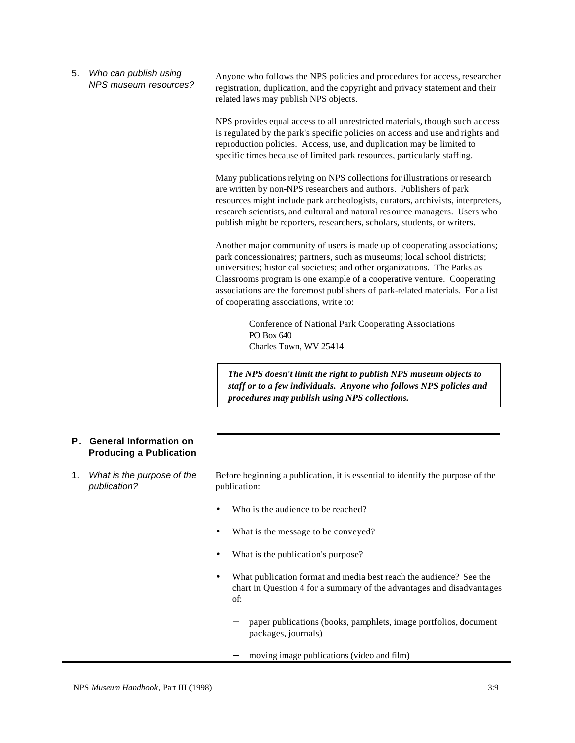5. *Who can publish using NPS museum resources?* Anyone who follows the NPS policies and procedures for access, researcher registration, duplication, and the copyright and privacy statement and their related laws may publish NPS objects.

> NPS provides equal access to all unrestricted materials, though such access is regulated by the park's specific policies on access and use and rights and reproduction policies. Access, use, and duplication may be limited to specific times because of limited park resources, particularly staffing.

> Many publications relying on NPS collections for illustrations or research are written by non-NPS researchers and authors. Publishers of park resources might include park archeologists, curators, archivists, interpreters, research scientists, and cultural and natural resource managers. Users who publish might be reporters, researchers, scholars, students, or writers.

> Another major community of users is made up of cooperating associations; park concessionaires; partners, such as museums; local school districts; universities; historical societies; and other organizations. The Parks as Classrooms program is one example of a cooperative venture. Cooperating associations are the foremost publishers of park-related materials. For a list of cooperating associations, write to:

> > Conference of National Park Cooperating Associations PO Box 640 Charles Town, WV 25414

*The NPS doesn't limit the right to publish NPS museum objects to staff or to a few individuals. Anyone who follows NPS policies and procedures may publish using NPS collections.* 

#### **P. General Information on Producing a Publication**

1. *What is the purpose of the publication?* 

Before beginning a publication, it is essential to identify the purpose of the publication:

- Who is the audience to be reached?
- What is the message to be conveyed?
- What is the publication's purpose?
- What publication format and media best reach the audience? See the chart in Question 4 for a summary of the advantages and disadvantages of:
	- paper publications (books, pamphlets, image portfolios, document packages, journals)
		- moving image publications (video and film)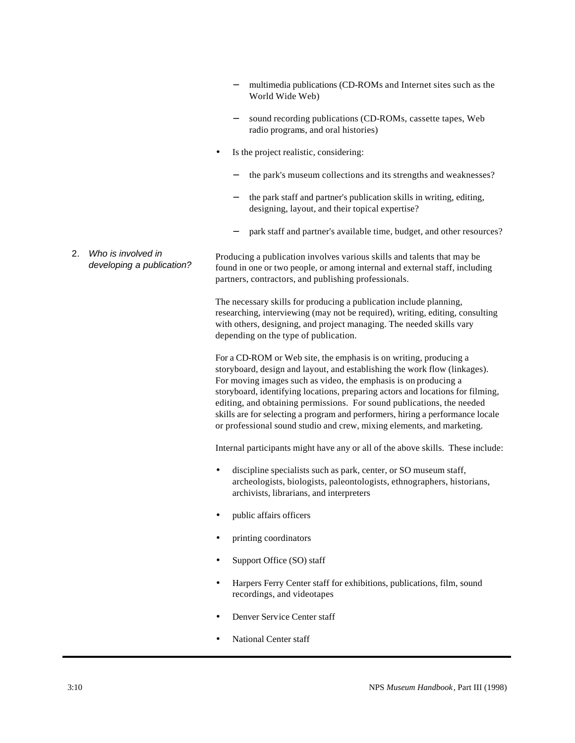- multimedia publications (CD-ROMs and Internet sites such as the World Wide Web)
- sound recording publications (CD-ROMs, cassette tapes, Web radio programs, and oral histories)
- Is the project realistic, considering:
	- the park's museum collections and its strengths and weaknesses?
	- the park staff and partner's publication skills in writing, editing, designing, layout, and their topical expertise?
	- − park staff and partner's available time, budget, and other resources?

2. *Who is involved in developing a publication?* Producing a publication involves various skills and talents that may be found in one or two people, or among internal and external staff, including partners, contractors, and publishing professionals.

> The necessary skills for producing a publication include planning, researching, interviewing (may not be required), writing, editing, consulting with others, designing, and project managing. The needed skills vary depending on the type of publication.

> For a CD-ROM or Web site, the emphasis is on writing, producing a storyboard, design and layout, and establishing the work flow (linkages). For moving images such as video, the emphasis is on producing a storyboard, identifying locations, preparing actors and locations for filming, editing, and obtaining permissions. For sound publications, the needed skills are for selecting a program and performers, hiring a performance locale or professional sound studio and crew, mixing elements, and marketing.

Internal participants might have any or all of the above skills. These include:

- discipline specialists such as park, center, or SO museum staff, archeologists, biologists, paleontologists, ethnographers, historians, archivists, librarians, and interpreters
- public affairs officers
- printing coordinators
- Support Office (SO) staff
- Harpers Ferry Center staff for exhibitions, publications, film, sound recordings, and videotapes
- Denver Service Center staff
- National Center staff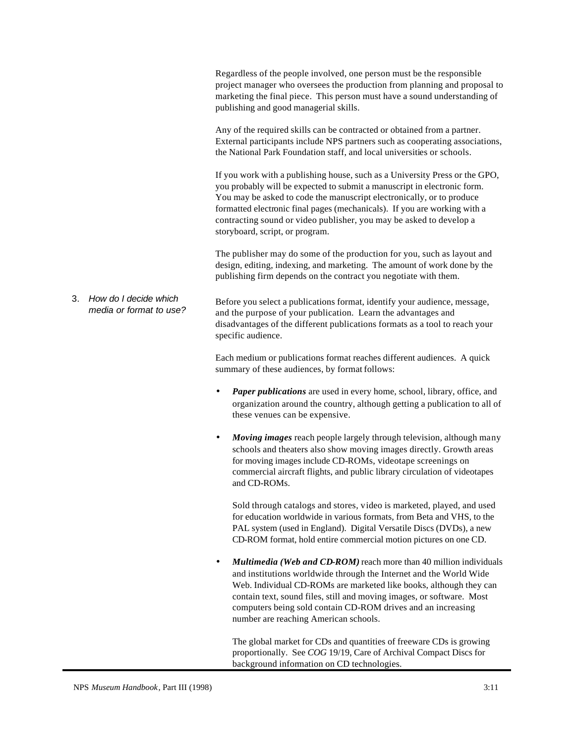Regardless of the people involved, one person must be the responsible project manager who oversees the production from planning and proposal to marketing the final piece. This person must have a sound understanding of publishing and good managerial skills. Any of the required skills can be contracted or obtained from a partner. External participants include NPS partners such as cooperating associations, the National Park Foundation staff, and local universities or schools. If you work with a publishing house, such as a University Press or the GPO, you probably will be expected to submit a manuscript in electronic form. You may be asked to code the manuscript electronically, or to produce formatted electronic final pages (mechanicals). If you are working with a contracting sound or video publisher, you may be asked to develop a storyboard, script, or program. The publisher may do some of the production for you, such as layout and design, editing, indexing, and marketing. The amount of work done by the publishing firm depends on the contract you negotiate with them. 3. *How do I decide which media or format to use?* Before you select a publications format, identify your audience, message, and the purpose of your publication. Learn the advantages and disadvantages of the different publications formats as a tool to reach your specific audience. Each medium or publications format reaches different audiences. A quick summary of these audiences, by format follows: • *Paper publications* are used in every home, school, library, office, and organization around the country, although getting a publication to all of these venues can be expensive.

> • *Moving images* reach people largely through television, although many schools and theaters also show moving images directly. Growth areas for moving images include CD-ROMs, videotape screenings on commercial aircraft flights, and public library circulation of videotapes and CD-ROMs.

Sold through catalogs and stores, video is marketed, played, and used for education worldwide in various formats, from Beta and VHS, to the PAL system (used in England). Digital Versatile Discs (DVDs), a new CD-ROM format, hold entire commercial motion pictures on one CD.

• *Multimedia (Web and CD-ROM)* reach more than 40 million individuals and institutions worldwide through the Internet and the World Wide Web. Individual CD-ROMs are marketed like books, although they can contain text, sound files, still and moving images, or software. Most computers being sold contain CD-ROM drives and an increasing number are reaching American schools.

The global market for CDs and quantities of freeware CDs is growing proportionally. See *COG* 19/19, Care of Archival Compact Discs for background information on CD technologies.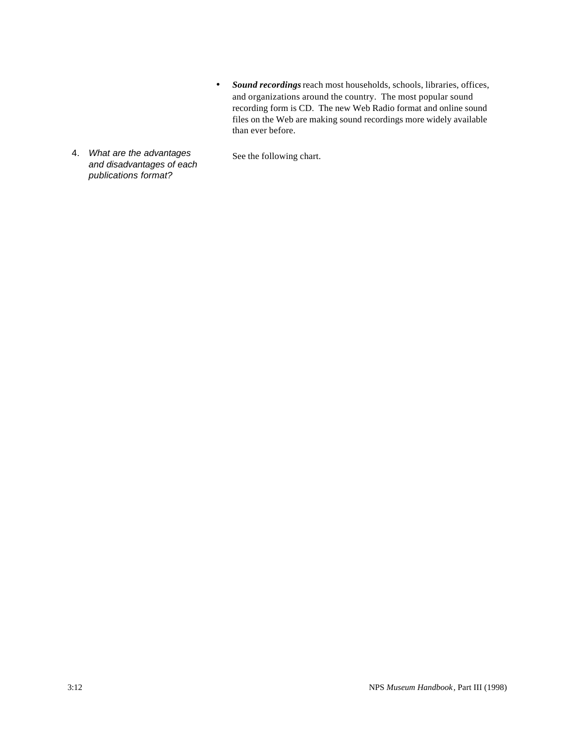• *Sound recordings* reach most households, schools, libraries, offices, and organizations around the country. The most popular sound recording form is CD. The new Web Radio format and online sound files on the Web are making sound recordings more widely available than ever before.

See the following chart.

4. *What are the advantages and disadvantages of each publications format?*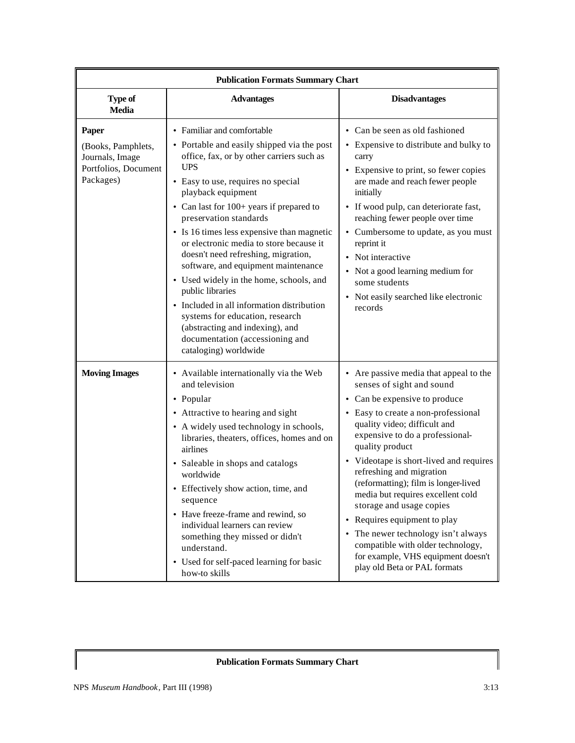| <b>Publication Formats Summary Chart</b>                                                   |                                                                                                                                                                                                                                                                                                                                                                                                                                                                                                                                                                                                                                                                                           |                                                                                                                                                                                                                                                                                                                                                                                                                                                                                                                                                                                               |
|--------------------------------------------------------------------------------------------|-------------------------------------------------------------------------------------------------------------------------------------------------------------------------------------------------------------------------------------------------------------------------------------------------------------------------------------------------------------------------------------------------------------------------------------------------------------------------------------------------------------------------------------------------------------------------------------------------------------------------------------------------------------------------------------------|-----------------------------------------------------------------------------------------------------------------------------------------------------------------------------------------------------------------------------------------------------------------------------------------------------------------------------------------------------------------------------------------------------------------------------------------------------------------------------------------------------------------------------------------------------------------------------------------------|
| Type of<br><b>Media</b>                                                                    | <b>Advantages</b>                                                                                                                                                                                                                                                                                                                                                                                                                                                                                                                                                                                                                                                                         | <b>Disadvantages</b>                                                                                                                                                                                                                                                                                                                                                                                                                                                                                                                                                                          |
| <b>Paper</b><br>(Books, Pamphlets,<br>Journals, Image<br>Portfolios, Document<br>Packages) | • Familiar and comfortable<br>• Portable and easily shipped via the post<br>office, fax, or by other carriers such as<br><b>UPS</b><br>• Easy to use, requires no special<br>playback equipment<br>• Can last for 100+ years if prepared to<br>preservation standards<br>• Is 16 times less expensive than magnetic<br>or electronic media to store because it<br>doesn't need refreshing, migration,<br>software, and equipment maintenance<br>• Used widely in the home, schools, and<br>public libraries<br>Included in all information distribution<br>systems for education, research<br>(abstracting and indexing), and<br>documentation (accessioning and<br>cataloging) worldwide | • Can be seen as old fashioned<br>• Expensive to distribute and bulky to<br>carry<br>• Expensive to print, so fewer copies<br>are made and reach fewer people<br>initially<br>If wood pulp, can deteriorate fast,<br>reaching fewer people over time<br>• Cumbersome to update, as you must<br>reprint it<br>Not interactive<br>• Not a good learning medium for<br>some students<br>Not easily searched like electronic<br>records                                                                                                                                                           |
| <b>Moving Images</b>                                                                       | • Available internationally via the Web<br>and television<br>• Popular<br>• Attractive to hearing and sight<br>• A widely used technology in schools,<br>libraries, theaters, offices, homes and on<br>airlines<br>• Saleable in shops and catalogs<br>worldwide<br>• Effectively show action, time, and<br>sequence<br>• Have freeze-frame and rewind, so<br>individual learners can review<br>something they missed or didn't<br>understand.<br>• Used for self-paced learning for basic<br>how-to skills                                                                                                                                                                               | • Are passive media that appeal to the<br>senses of sight and sound<br>Can be expensive to produce<br>• Easy to create a non-professional<br>quality video; difficult and<br>expensive to do a professional-<br>quality product<br>• Videotape is short-lived and requires<br>refreshing and migration<br>(reformatting); film is longer-lived<br>media but requires excellent cold<br>storage and usage copies<br>Requires equipment to play<br>The newer technology isn't always<br>compatible with older technology,<br>for example, VHS equipment doesn't<br>play old Beta or PAL formats |

## **Publication Formats Summary Chart**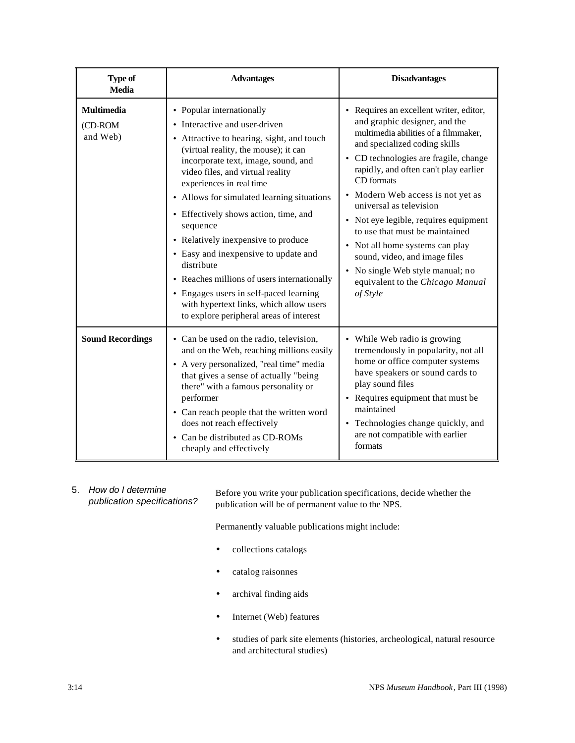| <b>Type of</b><br><b>Media</b>           | <b>Advantages</b>                                                                                                                                                                                                                                                                                                                                                                                                                                                                                                                                                                                                                   | <b>Disadvantages</b>                                                                                                                                                                                                                                                                                                                                                                                                                                                                                                                                          |
|------------------------------------------|-------------------------------------------------------------------------------------------------------------------------------------------------------------------------------------------------------------------------------------------------------------------------------------------------------------------------------------------------------------------------------------------------------------------------------------------------------------------------------------------------------------------------------------------------------------------------------------------------------------------------------------|---------------------------------------------------------------------------------------------------------------------------------------------------------------------------------------------------------------------------------------------------------------------------------------------------------------------------------------------------------------------------------------------------------------------------------------------------------------------------------------------------------------------------------------------------------------|
| <b>Multimedia</b><br>(CD-ROM<br>and Web) | • Popular internationally<br>Interactive and user-driven<br>• Attractive to hearing, sight, and touch<br>(virtual reality, the mouse); it can<br>incorporate text, image, sound, and<br>video files, and virtual reality<br>experiences in real time<br>• Allows for simulated learning situations<br>• Effectively shows action, time, and<br>sequence<br>• Relatively inexpensive to produce<br>• Easy and inexpensive to update and<br>distribute<br>• Reaches millions of users internationally<br>• Engages users in self-paced learning<br>with hypertext links, which allow users<br>to explore peripheral areas of interest | • Requires an excellent writer, editor,<br>and graphic designer, and the<br>multimedia abilities of a filmmaker,<br>and specialized coding skills<br>CD technologies are fragile, change<br>$\bullet$<br>rapidly, and often can't play earlier<br>CD formats<br>• Modern Web access is not yet as<br>universal as television<br>• Not eye legible, requires equipment<br>to use that must be maintained<br>• Not all home systems can play<br>sound, video, and image files<br>No single Web style manual; no<br>equivalent to the Chicago Manual<br>of Style |
| <b>Sound Recordings</b>                  | • Can be used on the radio, television,<br>and on the Web, reaching millions easily<br>• A very personalized, "real time" media<br>that gives a sense of actually "being<br>there" with a famous personality or<br>performer<br>• Can reach people that the written word<br>does not reach effectively<br>• Can be distributed as CD-ROMs<br>cheaply and effectively                                                                                                                                                                                                                                                                | • While Web radio is growing<br>tremendously in popularity, not all<br>home or office computer systems<br>have speakers or sound cards to<br>play sound files<br>• Requires equipment that must be<br>maintained<br>• Technologies change quickly, and<br>are not compatible with earlier<br>formats                                                                                                                                                                                                                                                          |

5. *How do I determine publication specifications?* Before you write your publication specifications, decide whether the publication will be of permanent value to the NPS.

Permanently valuable publications might include:

- collections catalogs
- catalog raisonnes
- archival finding aids
- Internet (Web) features
- studies of park site elements (histories, archeological, natural resource and architectural studies)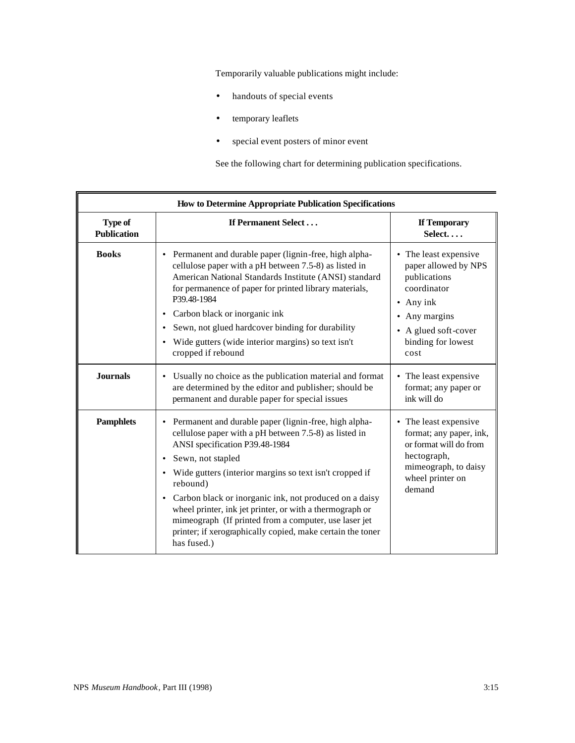Temporarily valuable publications might include:

- handouts of special events
- temporary leaflets
- special event posters of minor event

See the following chart for determining publication specifications.

| How to Determine Appropriate Publication Specifications |                                                                                                                                                                                                                                                                                                                                                                                                                                                                                                                                                 |                                                                                                                                                                        |
|---------------------------------------------------------|-------------------------------------------------------------------------------------------------------------------------------------------------------------------------------------------------------------------------------------------------------------------------------------------------------------------------------------------------------------------------------------------------------------------------------------------------------------------------------------------------------------------------------------------------|------------------------------------------------------------------------------------------------------------------------------------------------------------------------|
| <b>Type of</b><br><b>Publication</b>                    | If Permanent Select                                                                                                                                                                                                                                                                                                                                                                                                                                                                                                                             | <b>If Temporary</b><br>Select                                                                                                                                          |
| <b>Books</b>                                            | Permanent and durable paper (lignin-free, high alpha-<br>$\bullet$<br>cellulose paper with a pH between 7.5-8) as listed in<br>American National Standards Institute (ANSI) standard<br>for permanence of paper for printed library materials,<br>P39.48-1984<br>Carbon black or inorganic ink<br>٠<br>Sewn, not glued hardcover binding for durability<br>Wide gutters (wide interior margins) so text isn't<br>cropped if rebound                                                                                                             | • The least expensive<br>paper allowed by NPS<br>publications<br>coordinator<br>$\bullet$ Any ink<br>Any margins<br>• A glued soft-cover<br>binding for lowest<br>cost |
| <b>Journals</b>                                         | Usually no choice as the publication material and format<br>$\bullet$<br>are determined by the editor and publisher; should be<br>permanent and durable paper for special issues                                                                                                                                                                                                                                                                                                                                                                | • The least expensive<br>format; any paper or<br>ink will do                                                                                                           |
| <b>Pamphlets</b>                                        | Permanent and durable paper (lignin-free, high alpha-<br>$\bullet$<br>cellulose paper with a pH between 7.5-8) as listed in<br>ANSI specification P39.48-1984<br>Sewn, not stapled<br>Wide gutters (interior margins so text isn't cropped if<br>$\bullet$<br>rebound)<br>Carbon black or inorganic ink, not produced on a daisy<br>$\bullet$<br>wheel printer, ink jet printer, or with a thermograph or<br>mimeograph (If printed from a computer, use laser jet<br>printer; if xerographically copied, make certain the toner<br>has fused.) | • The least expensive<br>format; any paper, ink,<br>or format will do from<br>hectograph,<br>mimeograph, to daisy<br>wheel printer on<br>demand                        |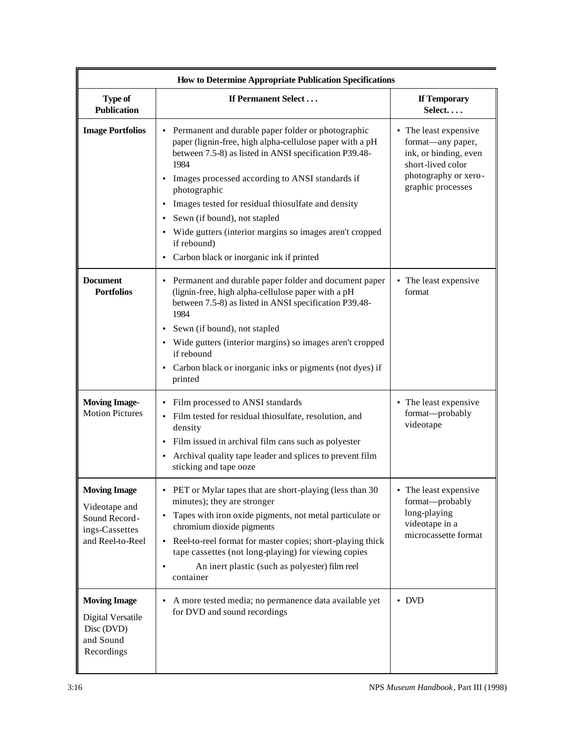| How to Determine Appropriate Publication Specifications                                     |                                                                                                                                                                                                                                                                                                                                                                                                                                                                              |                                                                                                                                       |
|---------------------------------------------------------------------------------------------|------------------------------------------------------------------------------------------------------------------------------------------------------------------------------------------------------------------------------------------------------------------------------------------------------------------------------------------------------------------------------------------------------------------------------------------------------------------------------|---------------------------------------------------------------------------------------------------------------------------------------|
| Type of<br><b>Publication</b>                                                               | If Permanent Select                                                                                                                                                                                                                                                                                                                                                                                                                                                          | <b>If Temporary</b><br>Select                                                                                                         |
| <b>Image Portfolios</b>                                                                     | Permanent and durable paper folder or photographic<br>paper (lignin-free, high alpha-cellulose paper with a pH<br>between 7.5-8) as listed in ANSI specification P39.48-<br>1984<br>Images processed according to ANSI standards if<br>photographic<br>Images tested for residual thiosulfate and density<br>Sewn (if bound), not stapled<br>$\bullet$<br>Wide gutters (interior margins so images aren't cropped<br>if rebound)<br>Carbon black or inorganic ink if printed | • The least expensive<br>format-any paper,<br>ink, or binding, even<br>short-lived color<br>photography or xero-<br>graphic processes |
| <b>Document</b><br><b>Portfolios</b>                                                        | Permanent and durable paper folder and document paper<br>(lignin-free, high alpha-cellulose paper with a pH<br>between 7.5-8) as listed in ANSI specification P39.48-<br>1984<br>Sewn (if bound), not stapled<br>Wide gutters (interior margins) so images aren't cropped<br>if rebound<br>Carbon black or inorganic inks or pigments (not dyes) if<br>printed                                                                                                               | • The least expensive<br>format                                                                                                       |
| <b>Moving Image-</b><br><b>Motion Pictures</b>                                              | Film processed to ANSI standards<br>Film tested for residual thiosulfate, resolution, and<br>density<br>Film issued in archival film cans such as polyester<br>$\bullet$<br>Archival quality tape leader and splices to prevent film<br>sticking and tape ooze                                                                                                                                                                                                               | • The least expensive<br>format-probably<br>videotape                                                                                 |
| <b>Moving Image</b><br>Videotape and<br>Sound Record-<br>ings-Cassettes<br>and Reel-to-Reel | PET or Mylar tapes that are short-playing (less than 30)<br>minutes); they are stronger<br>Tapes with iron oxide pigments, not metal particulate or<br>$\bullet$<br>chromium dioxide pigments<br>Reel-to-reel format for master copies; short-playing thick<br>tape cassettes (not long-playing) for viewing copies<br>An inert plastic (such as polyester) film reel<br>$\bullet$<br>container                                                                              | The least expensive<br>format-probably<br>long-playing<br>videotape in a<br>microcassette format                                      |
| <b>Moving Image</b><br>Digital Versatile<br>Disc (DVD)<br>and Sound<br>Recordings           | A more tested media; no permanence data available yet<br>for DVD and sound recordings                                                                                                                                                                                                                                                                                                                                                                                        | $\bullet$ DVD                                                                                                                         |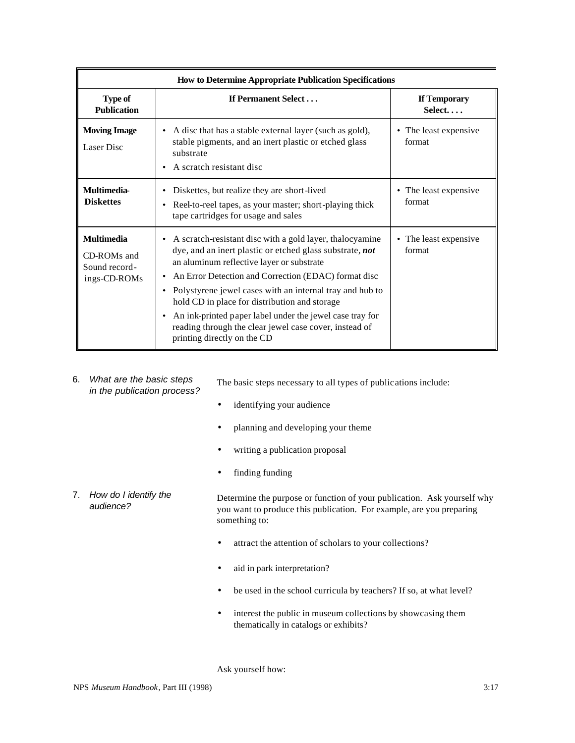| How to Determine Appropriate Publication Specifications           |                                                                                                                                                                                                                                                                                                                                                                                                                                                                                                                                                 |                                            |
|-------------------------------------------------------------------|-------------------------------------------------------------------------------------------------------------------------------------------------------------------------------------------------------------------------------------------------------------------------------------------------------------------------------------------------------------------------------------------------------------------------------------------------------------------------------------------------------------------------------------------------|--------------------------------------------|
| <b>Type of</b><br><b>Publication</b>                              | If Permanent Select                                                                                                                                                                                                                                                                                                                                                                                                                                                                                                                             | <b>If Temporary</b><br>Select              |
| <b>Moving Image</b><br><b>Laser Disc</b>                          | A disc that has a stable external layer (such as gold),<br>$\bullet$<br>stable pigments, and an inert plastic or etched glass<br>substrate<br>A scratch resistant disc                                                                                                                                                                                                                                                                                                                                                                          | The least expensive<br>$\bullet$<br>format |
| Multimedia-<br><b>Diskettes</b>                                   | Diskettes, but realize they are short-lived<br>٠<br>Reel-to-reel tapes, as your master; short-playing thick<br>$\bullet$<br>tape cartridges for usage and sales                                                                                                                                                                                                                                                                                                                                                                                 | • The least expensive<br>format            |
| <b>Multimedia</b><br>CD-ROMs and<br>Sound record-<br>ings-CD-ROMs | A scratch-resistant disc with a gold layer, thalocyamine<br>$\bullet$<br>dye, and an inert plastic or etched glass substrate, not<br>an aluminum reflective layer or substrate<br>An Error Detection and Correction (EDAC) format disc<br>$\bullet$<br>Polystyrene jewel cases with an internal tray and hub to<br>$\bullet$<br>hold CD in place for distribution and storage<br>An ink-printed paper label under the jewel case tray for<br>$\bullet$<br>reading through the clear jewel case cover, instead of<br>printing directly on the CD | The least expensive.<br>format             |

6. *What are the basic steps in the publication process?*

The basic steps necessary to all types of publications include:

- identifying your audience
- planning and developing your theme
- writing a publication proposal
- finding funding
- 7. *How do I identify the audience?* Determine the purpose or function of your publication. Ask yourself why you want to produce this publication. For example, are you preparing something to:
	- attract the attention of scholars to your collections?
	- aid in park interpretation?
	- be used in the school curricula by teachers? If so, at what level?
	- interest the public in museum collections by showcasing them thematically in catalogs or exhibits?

Ask yourself how: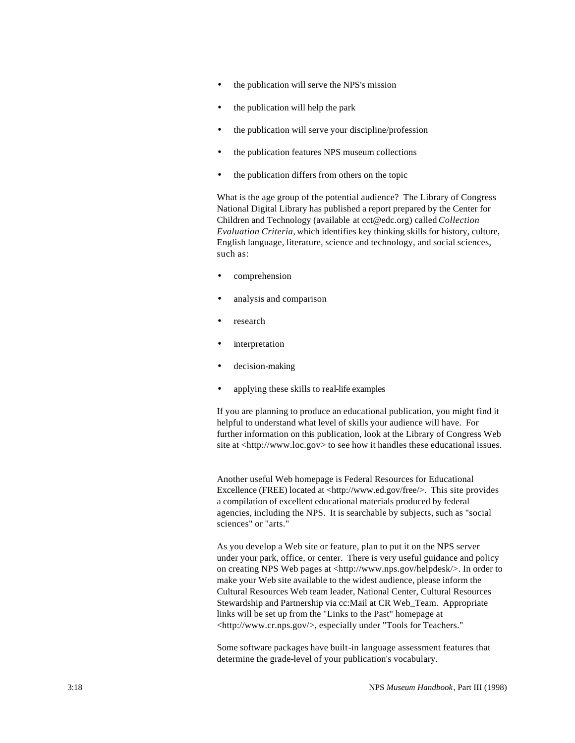- the publication will serve the NPS's mission
- the publication will help the park
- the publication will serve your discipline/profession
- the publication features NPS museum collections
- the publication differs from others on the topic

What is the age group of the potential audience? The Library of Congress National Digital Library has published a report prepared by the Center for Children and Technology (available at cct@edc.org) called *Collection Evaluation Criteria,* which identifies key thinking skills for history, culture, English language, literature, science and technology, and social sciences, such as:

- comprehension
- analysis and comparison
- research
- interpretation
- decision-making
- applying these skills to real-life examples

If you are planning to produce an educational publication, you might find it helpful to understand what level of skills your audience will have. For further information on this publication, look at the Library of Congress Web site at <http://www.loc.gov> to see how it handles these educational issues.

Another useful Web homepage is Federal Resources for Educational Excellence (FREE) located at <http://www.ed.gov/free/>. This site provides a compilation of excellent educational materials produced by federal agencies, including the NPS. It is searchable by subjects, such as "social sciences" or "arts."

As you develop a Web site or feature, plan to put it on the NPS server under your park, office, or center. There is very useful guidance and policy on creating NPS Web pages at <http://www.nps.gov/helpdesk/>. In order to make your Web site available to the widest audience, please inform the Cultural Resources Web team leader, National Center, Cultural Resources Stewardship and Partnership via cc:Mail at CR Web\_Team. Appropriate links will be set up from the "Links to the Past" homepage at <http://www.cr.nps.gov/>, especially under "Tools for Teachers."

Some software packages have built-in language assessment features that determine the grade-level of your publication's vocabulary.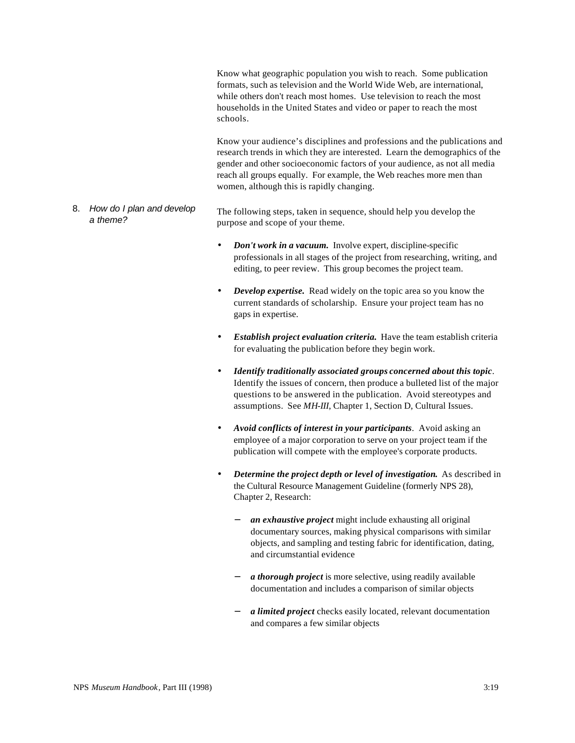Know what geographic population you wish to reach. Some publication formats, such as television and the World Wide Web, are international, while others don't reach most homes. Use television to reach the most households in the United States and video or paper to reach the most schools.

Know your audience's disciplines and professions and the publications and research trends in which they are interested. Learn the demographics of the gender and other socioeconomic factors of your audience, as not all media reach all groups equally. For example, the Web reaches more men than women, although this is rapidly changing.

- 8. *How do I plan and develop a theme?* The following steps, taken in sequence, should help you develop the purpose and scope of your theme.
	- *Don't work in a vacuum.* Involve expert, discipline-specific professionals in all stages of the project from researching, writing, and editing, to peer review. This group becomes the project team.
	- *Develop expertise.* Read widely on the topic area so you know the current standards of scholarship. Ensure your project team has no gaps in expertise.
	- *Establish project evaluation criteria.* Have the team establish criteria for evaluating the publication before they begin work.
	- *Identify traditionally associated groups concerned about this topic*. Identify the issues of concern, then produce a bulleted list of the major questions to be answered in the publication. Avoid stereotypes and assumptions. See *MH-III*, Chapter 1, Section D, Cultural Issues.
	- *Avoid conflicts of interest in your participants*. Avoid asking an employee of a major corporation to serve on your project team if the publication will compete with the employee's corporate products.
	- *Determine the project depth or level of investigation***.** As described in the Cultural Resource Management Guideline (formerly NPS 28), Chapter 2, Research:
		- − *an exhaustive project* might include exhausting all original documentary sources, making physical comparisons with similar objects, and sampling and testing fabric for identification, dating, and circumstantial evidence
		- *a thorough project* is more selective, using readily available documentation and includes a comparison of similar objects
		- − *a limited project* checks easily located, relevant documentation and compares a few similar objects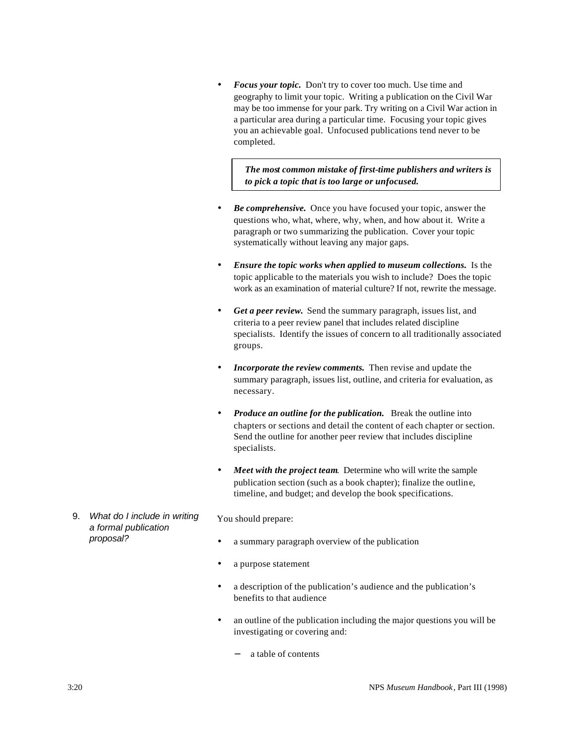• *Focus your topic.* Don't try to cover too much. Use time and geography to limit your topic. Writing a publication on the Civil War may be too immense for your park. Try writing on a Civil War action in a particular area during a particular time. Focusing your topic gives you an achievable goal. Unfocused publications tend never to be completed.

*The most common mistake of first-time publishers and writers is to pick a topic that is too large or unfocused.*

- *Be comprehensive.* Once you have focused your topic, answer the questions who, what, where, why, when, and how about it. Write a paragraph or two summarizing the publication. Cover your topic systematically without leaving any major gaps.
- *Ensure the topic works when applied to museum collections.* Is the topic applicable to the materials you wish to include? Does the topic work as an examination of material culture? If not, rewrite the message.
- *Get a peer review.* Send the summary paragraph, issues list, and criteria to a peer review panel that includes related discipline specialists. Identify the issues of concern to all traditionally associated groups.
- *Incorporate the review comments.* Then revise and update the summary paragraph, issues list, outline, and criteria for evaluation, as necessary.
- *Produce an outline for the publication.* Break the outline into chapters or sections and detail the content of each chapter or section. Send the outline for another peer review that includes discipline specialists.
- *Meet with the project team.* Determine who will write the sample publication section (such as a book chapter); finalize the outline, timeline, and budget; and develop the book specifications.

9. *What do I include in writing a formal publication proposal?*

You should prepare:

- a summary paragraph overview of the publication
- a purpose statement
- a description of the publication's audience and the publication's benefits to that audience
- an outline of the publication including the major questions you will be investigating or covering and:
	- a table of contents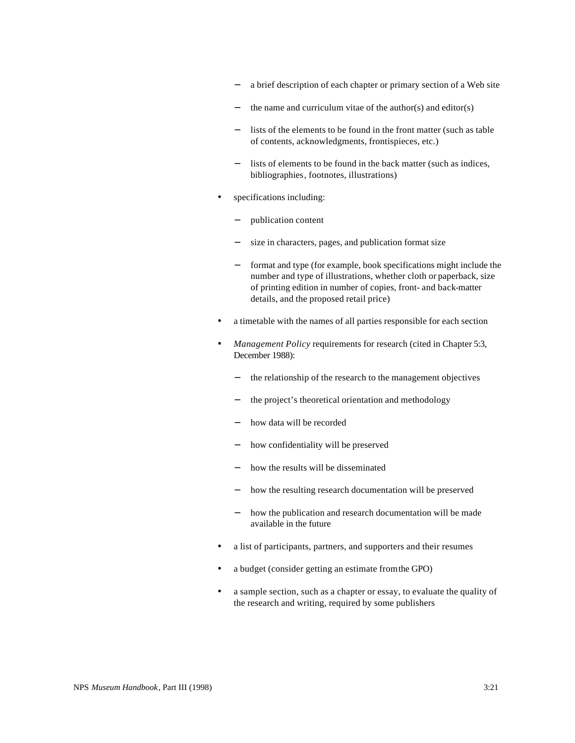- − a brief description of each chapter or primary section of a Web site
- the name and curriculum vitae of the author(s) and editor(s)
- lists of the elements to be found in the front matter (such as table of contents, acknowledgments, frontispieces, etc.)
- lists of elements to be found in the back matter (such as indices, bibliographies, footnotes, illustrations)
- specifications including:
	- − publication content
	- size in characters, pages, and publication format size
	- format and type (for example, book specifications might include the number and type of illustrations, whether cloth or paperback, size of printing edition in number of copies, front- and back-matter details, and the proposed retail price)
- a timetable with the names of all parties responsible for each section
- *Management Policy* requirements for research (cited in Chapter 5:3, December 1988):
	- the relationship of the research to the management objectives
	- the project's theoretical orientation and methodology
	- how data will be recorded
	- how confidentiality will be preserved
	- how the results will be disseminated
	- how the resulting research documentation will be preserved
	- − how the publication and research documentation will be made available in the future
- a list of participants, partners, and supporters and their resumes
- a budget (consider getting an estimate from the GPO)
- a sample section, such as a chapter or essay, to evaluate the quality of the research and writing, required by some publishers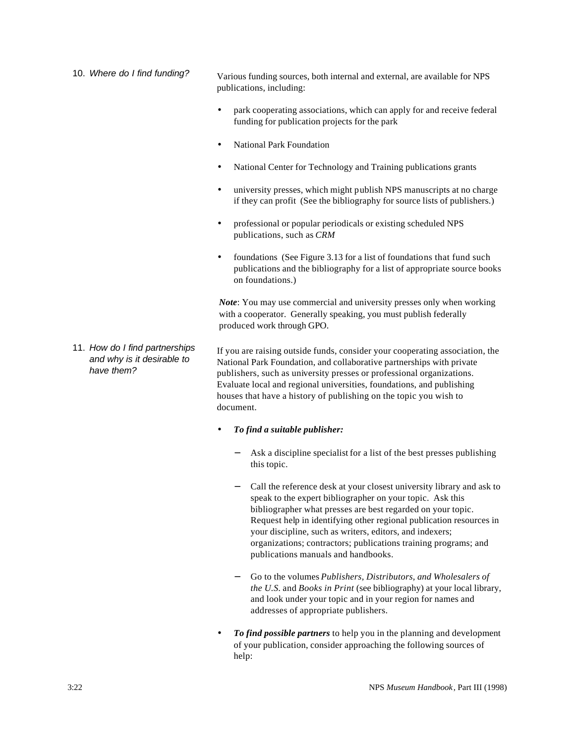- 10. *Where do I find funding?* Various funding sources, both internal and external, are available for NPS publications, including:
	- park cooperating associations, which can apply for and receive federal funding for publication projects for the park
	- National Park Foundation
	- National Center for Technology and Training publications grants
	- university presses, which might publish NPS manuscripts at no charge if they can profit (See the bibliography for source lists of publishers.)
	- professional or popular periodicals or existing scheduled NPS publications, such as *CRM*
	- foundations (See Figure 3.13 for a list of foundations that fund such publications and the bibliography for a list of appropriate source books on foundations.)

*Note*: You may use commercial and university presses only when working with a cooperator. Generally speaking, you must publish federally produced work through GPO.

- 11. *How do I find partnerships and why is it desirable to have them?* If you are raising outside funds, consider your cooperating association, the National Park Foundation, and collaborative partnerships with private publishers, such as university presses or professional organizations. Evaluate local and regional universities, foundations, and publishing houses that have a history of publishing on the topic you wish to document.
	- *To find a suitable publisher:*
		- Ask a discipline specialist for a list of the best presses publishing this topic.
		- − Call the reference desk at your closest university library and ask to speak to the expert bibliographer on your topic. Ask this bibliographer what presses are best regarded on your topic. Request help in identifying other regional publication resources in your discipline, such as writers, editors, and indexers; organizations; contractors; publications training programs; and publications manuals and handbooks.
		- − Go to the volumes *Publishers, Distributors, and Wholesalers of the U.S.* and *Books in Print* (see bibliography) at your local library, and look under your topic and in your region for names and addresses of appropriate publishers.
	- *To find possible partners* to help you in the planning and development of your publication, consider approaching the following sources of help: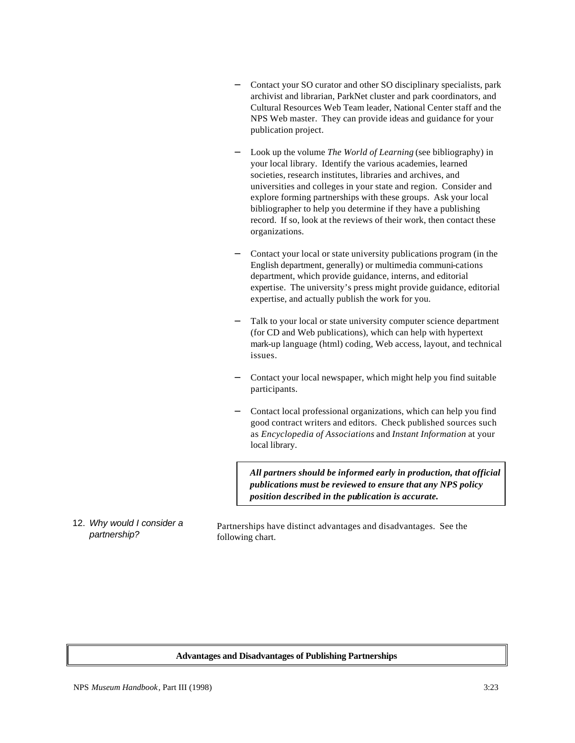- − Contact your SO curator and other SO disciplinary specialists, park archivist and librarian, ParkNet cluster and park coordinators, and Cultural Resources Web Team leader, National Center staff and the NPS Web master. They can provide ideas and guidance for your publication project.
- − Look up the volume *The World of Learning* (see bibliography) in your local library. Identify the various academies, learned societies, research institutes, libraries and archives, and universities and colleges in your state and region. Consider and explore forming partnerships with these groups. Ask your local bibliographer to help you determine if they have a publishing record. If so, look at the reviews of their work, then contact these organizations.
- − Contact your local or state university publications program (in the English department, generally) or multimedia communi-cations department, which provide guidance, interns, and editorial expertise. The university's press might provide guidance, editorial expertise, and actually publish the work for you.
- Talk to your local or state university computer science department (for CD and Web publications), which can help with hypertext mark-up language (html) coding, Web access, layout, and technical issues.
- − Contact your local newspaper, which might help you find suitable participants.
- − Contact local professional organizations, which can help you find good contract writers and editors. Check published sources such as *Encyclopedia of Associations* and *Instant Information* at your local library.

*All partners should be informed early in production, that official publications must be reviewed to ensure that any NPS policy position described in the publication is accurate.*

12. *Why would I consider a partnership?* Partnerships have distinct advantages and disadvantages. See the following chart.

#### **Advantages and Disadvantages of Publishing Partnerships**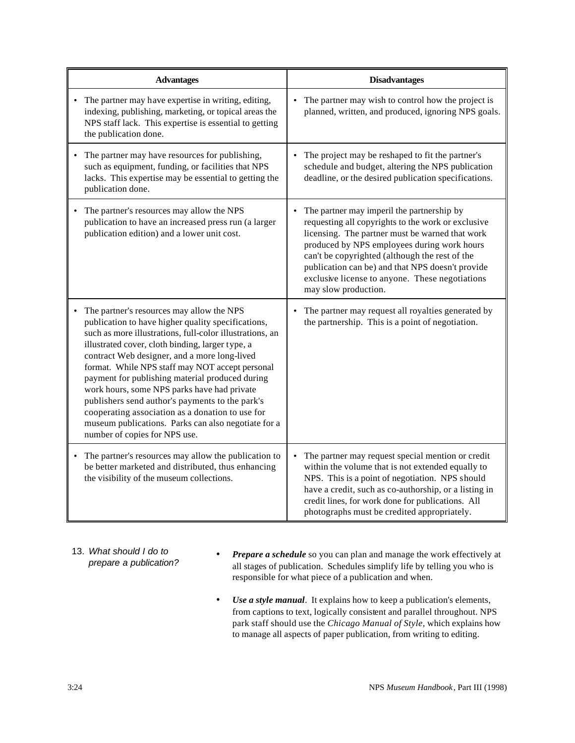| <b>Advantages</b>                                                                                                                                                                                                                                                                                                                                                                                                                                                                                                                                                                                                   | <b>Disadvantages</b>                                                                                                                                                                                                                                                                                                                                                                |
|---------------------------------------------------------------------------------------------------------------------------------------------------------------------------------------------------------------------------------------------------------------------------------------------------------------------------------------------------------------------------------------------------------------------------------------------------------------------------------------------------------------------------------------------------------------------------------------------------------------------|-------------------------------------------------------------------------------------------------------------------------------------------------------------------------------------------------------------------------------------------------------------------------------------------------------------------------------------------------------------------------------------|
| The partner may have expertise in writing, editing,<br>indexing, publishing, marketing, or topical areas the<br>NPS staff lack. This expertise is essential to getting<br>the publication done.                                                                                                                                                                                                                                                                                                                                                                                                                     | • The partner may wish to control how the project is<br>planned, written, and produced, ignoring NPS goals.                                                                                                                                                                                                                                                                         |
| The partner may have resources for publishing,<br>such as equipment, funding, or facilities that NPS<br>lacks. This expertise may be essential to getting the<br>publication done.                                                                                                                                                                                                                                                                                                                                                                                                                                  | The project may be reshaped to fit the partner's<br>schedule and budget, altering the NPS publication<br>deadline, or the desired publication specifications.                                                                                                                                                                                                                       |
| The partner's resources may allow the NPS<br>publication to have an increased press run (a larger<br>publication edition) and a lower unit cost.                                                                                                                                                                                                                                                                                                                                                                                                                                                                    | The partner may imperil the partnership by<br>requesting all copyrights to the work or exclusive<br>licensing. The partner must be warned that work<br>produced by NPS employees during work hours<br>can't be copyrighted (although the rest of the<br>publication can be) and that NPS doesn't provide<br>exclusive license to anyone. These negotiations<br>may slow production. |
| The partner's resources may allow the NPS<br>publication to have higher quality specifications,<br>such as more illustrations, full-color illustrations, an<br>illustrated cover, cloth binding, larger type, a<br>contract Web designer, and a more long-lived<br>format. While NPS staff may NOT accept personal<br>payment for publishing material produced during<br>work hours, some NPS parks have had private<br>publishers send author's payments to the park's<br>cooperating association as a donation to use for<br>museum publications. Parks can also negotiate for a<br>number of copies for NPS use. | The partner may request all royalties generated by<br>the partnership. This is a point of negotiation.                                                                                                                                                                                                                                                                              |
| The partner's resources may allow the publication to<br>be better marketed and distributed, thus enhancing<br>the visibility of the museum collections.                                                                                                                                                                                                                                                                                                                                                                                                                                                             | The partner may request special mention or credit<br>within the volume that is not extended equally to<br>NPS. This is a point of negotiation. NPS should<br>have a credit, such as co-authorship, or a listing in<br>credit lines, for work done for publications. All<br>photographs must be credited appropriately.                                                              |

- 13. *What should I do to prepare a publication?*
- *Prepare a schedule* so you can plan and manage the work effectively at all stages of publication. Schedules simplify life by telling you who is responsible for what piece of a publication and when.
- *Use a style manual*. It explains how to keep a publication's elements, from captions to text, logically consistent and parallel throughout. NPS park staff should use the *Chicago Manual of Style,* which explains how to manage all aspects of paper publication, from writing to editing.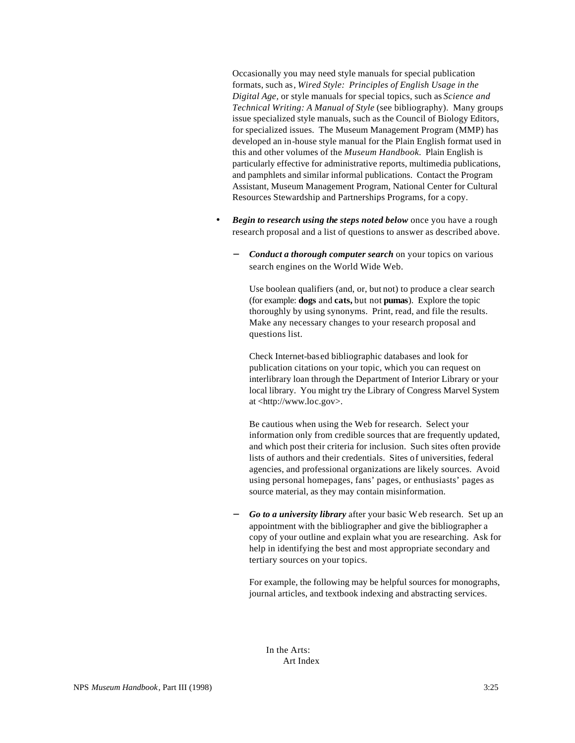Occasionally you may need style manuals for special publication formats, such as, *Wired Style: Principles of English Usage in the Digital Age,* or style manuals for special topics, such as *Science and Technical Writing: A Manual of Style* (see bibliography). Many groups issue specialized style manuals, such as the Council of Biology Editors, for specialized issues. The Museum Management Program (MMP) has developed an in-house style manual for the Plain English format used in this and other volumes of the *Museum Handbook.* Plain English is particularly effective for administrative reports, multimedia publications, and pamphlets and similar informal publications. Contact the Program Assistant, Museum Management Program, National Center for Cultural Resources Stewardship and Partnerships Programs, for a copy.

- *Begin to research using the steps noted below* once you have a rough research proposal and a list of questions to answer as described above.
	- *Conduct a thorough computer search* on your topics on various search engines on the World Wide Web.

Use boolean qualifiers (and, or, but not) to produce a clear search (for example: **dogs** and **cats,** but not **pumas**). Explore the topic thoroughly by using synonyms. Print, read, and file the results. Make any necessary changes to your research proposal and questions list.

Check Internet-based bibliographic databases and look for publication citations on your topic, which you can request on interlibrary loan through the Department of Interior Library or your local library. You might try the Library of Congress Marvel System at <http://www.loc.gov>.

Be cautious when using the Web for research. Select your information only from credible sources that are frequently updated, and which post their criteria for inclusion. Such sites often provide lists of authors and their credentials. Sites of universities, federal agencies, and professional organizations are likely sources. Avoid using personal homepages, fans' pages, or enthusiasts' pages as source material, as they may contain misinformation.

Go to a university library after your basic Web research. Set up an appointment with the bibliographer and give the bibliographer a copy of your outline and explain what you are researching. Ask for help in identifying the best and most appropriate secondary and tertiary sources on your topics.

For example, the following may be helpful sources for monographs, journal articles, and textbook indexing and abstracting services.

In the Arts: Art Index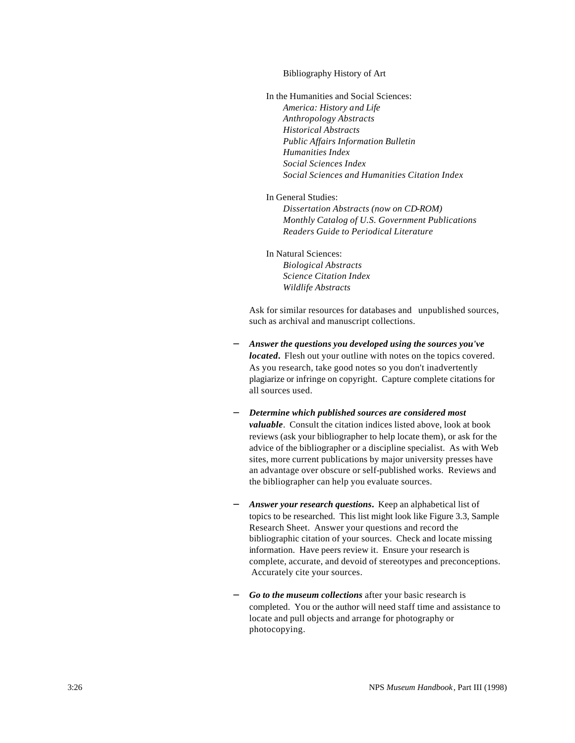Bibliography History of Art

In the Humanities and Social Sciences: *America: History and Life Anthropology Abstracts Historical Abstracts Public Affairs Information Bulletin Humanities Index Social Sciences Index Social Sciences and Humanities Citation Index*

In General Studies:

*Dissertation Abstracts (now on CD-ROM) Monthly Catalog of U.S. Government Publications Readers Guide to Periodical Literature*

In Natural Sciences: *Biological Abstracts Science Citation Index Wildlife Abstracts*

Ask for similar resources for databases and unpublished sources, such as archival and manuscript collections.

- − *Answer the questions you developed using the sources you've located***.** Flesh out your outline with notes on the topics covered. As you research, take good notes so you don't inadvertently plagiarize or infringe on copyright. Capture complete citations for all sources used.
- − *Determine which published sources are considered most valuable*. Consult the citation indices listed above, look at book reviews (ask your bibliographer to help locate them), or ask for the advice of the bibliographer or a discipline specialist. As with Web sites, more current publications by major university presses have an advantage over obscure or self-published works. Reviews and the bibliographer can help you evaluate sources.
- *Answer your research questions*. Keep an alphabetical list of topics to be researched. This list might look like Figure 3.3, Sample Research Sheet. Answer your questions and record the bibliographic citation of your sources. Check and locate missing information. Have peers review it. Ensure your research is complete, accurate, and devoid of stereotypes and preconceptions. Accurately cite your sources.
- Go to the museum collections after your basic research is completed. You or the author will need staff time and assistance to locate and pull objects and arrange for photography or photocopying.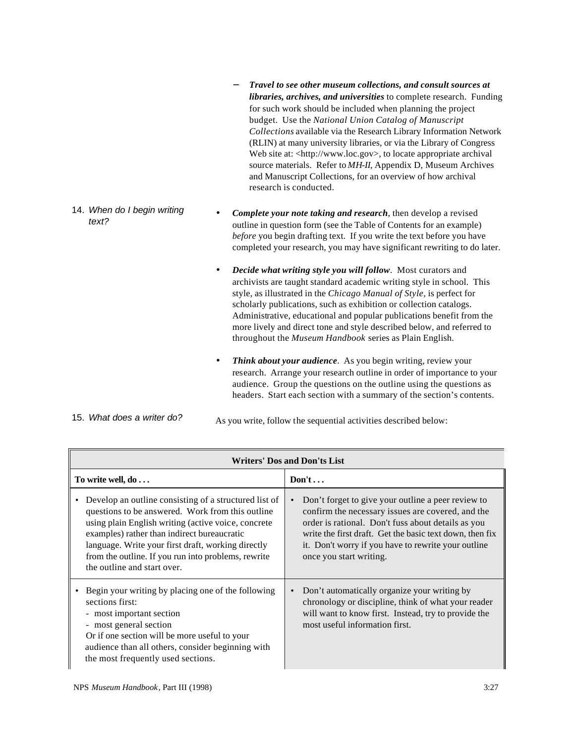- − *Travel to see other museum collections, and consult sources at libraries, archives, and universities* to complete research. Funding for such work should be included when planning the project budget. Use the *National Union Catalog of Manuscript Collections* available via the Research Library Information Network (RLIN) at many university libraries, or via the Library of Congress Web site at: <http://www.loc.gov>, to locate appropriate archival source materials. Refer to *MH-II,* Appendix D, Museum Archives and Manuscript Collections, for an overview of how archival research is conducted.
- 14. *When do I begin writing text?*
- *Complete your note taking and research*, then develop a revised outline in question form (see the Table of Contents for an example) *before* you begin drafting text. If you write the text before you have completed your research, you may have significant rewriting to do later.
- *Decide what writing style you will follow*. Most curators and archivists are taught standard academic writing style in school. This style, as illustrated in the *Chicago Manual of Style,* is perfect for scholarly publications, such as exhibition or collection catalogs. Administrative, educational and popular publications benefit from the more lively and direct tone and style described below, and referred to throughout the *Museum Handbook* series as Plain English.
- *Think about your audience*. As you begin writing, review your research. Arrange your research outline in order of importance to your audience. Group the questions on the outline using the questions as headers. Start each section with a summary of the section's contents.
- 
- 15. *What does a writer do?* As you write, follow the sequential activities described below:

| <b>Writers' Dos and Don'ts List</b>                                                                                                                                                                                                                                                                                                                         |                                                                                                                                                                                                                                                                                                                          |  |
|-------------------------------------------------------------------------------------------------------------------------------------------------------------------------------------------------------------------------------------------------------------------------------------------------------------------------------------------------------------|--------------------------------------------------------------------------------------------------------------------------------------------------------------------------------------------------------------------------------------------------------------------------------------------------------------------------|--|
| To write well, $do \ldots$                                                                                                                                                                                                                                                                                                                                  | $Don't \ldots$                                                                                                                                                                                                                                                                                                           |  |
| Develop an outline consisting of a structured list of<br>questions to be answered. Work from this outline<br>using plain English writing (active voice, concrete<br>examples) rather than indirect bureaucratic<br>language. Write your first draft, working directly<br>from the outline. If you run into problems, rewrite<br>the outline and start over. | Don't forget to give your outline a peer review to<br>$\bullet$<br>confirm the necessary issues are covered, and the<br>order is rational. Don't fuss about details as you<br>write the first draft. Get the basic text down, then fix<br>it. Don't worry if you have to rewrite your outline<br>once you start writing. |  |
| Begin your writing by placing one of the following<br>sections first:<br>- most important section<br>- most general section<br>Or if one section will be more useful to your<br>audience than all others, consider beginning with<br>the most frequently used sections.                                                                                     | Don't automatically organize your writing by<br>$\bullet$<br>chronology or discipline, think of what your reader<br>will want to know first. Instead, try to provide the<br>most useful information first.                                                                                                               |  |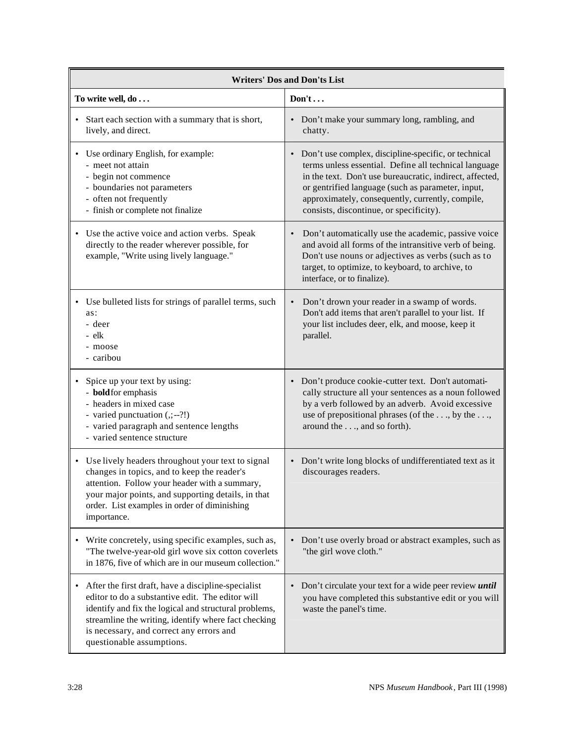| <b>Writers' Dos and Don'ts List</b>                                                                                                                                                                                                                                                               |                                                                                                                                                                                                                                                                                                                                            |  |  |
|---------------------------------------------------------------------------------------------------------------------------------------------------------------------------------------------------------------------------------------------------------------------------------------------------|--------------------------------------------------------------------------------------------------------------------------------------------------------------------------------------------------------------------------------------------------------------------------------------------------------------------------------------------|--|--|
| To write well, do                                                                                                                                                                                                                                                                                 | $Don't \ldots$                                                                                                                                                                                                                                                                                                                             |  |  |
| Start each section with a summary that is short,<br>lively, and direct.                                                                                                                                                                                                                           | Don't make your summary long, rambling, and<br>$\bullet$<br>chatty.                                                                                                                                                                                                                                                                        |  |  |
| Use ordinary English, for example:<br>- meet not attain<br>- begin not commence<br>- boundaries not parameters<br>- often not frequently<br>- finish or complete not finalize                                                                                                                     | Don't use complex, discipline-specific, or technical<br>$\bullet$<br>terms unless essential. Define all technical language<br>in the text. Don't use bureaucratic, indirect, affected,<br>or gentrified language (such as parameter, input,<br>approximately, consequently, currently, compile,<br>consists, discontinue, or specificity). |  |  |
| Use the active voice and action verbs. Speak<br>directly to the reader wherever possible, for<br>example, "Write using lively language."                                                                                                                                                          | Don't automatically use the academic, passive voice<br>$\bullet$<br>and avoid all forms of the intransitive verb of being.<br>Don't use nouns or adjectives as verbs (such as to<br>target, to optimize, to keyboard, to archive, to<br>interface, or to finalize).                                                                        |  |  |
| Use bulleted lists for strings of parallel terms, such<br>as:<br>- deer<br>- elk<br>- moose<br>- caribou                                                                                                                                                                                          | Don't drown your reader in a swamp of words.<br>$\bullet$<br>Don't add items that aren't parallel to your list. If<br>your list includes deer, elk, and moose, keep it<br>parallel.                                                                                                                                                        |  |  |
| Spice up your text by using:<br>- <b>bold</b> for emphasis<br>- headers in mixed case<br>- varied punctuation (,;--?!)<br>- varied paragraph and sentence lengths<br>- varied sentence structure                                                                                                  | Don't produce cookie-cutter text. Don't automati-<br>$\bullet$<br>cally structure all your sentences as a noun followed<br>by a verb followed by an adverb. Avoid excessive<br>use of prepositional phrases (of the , by the ,<br>around the, and so forth).                                                                               |  |  |
| Use lively headers throughout your text to signal<br>changes in topics, and to keep the reader's<br>attention. Follow your header with a summary,<br>your major points, and supporting details, in that<br>order. List examples in order of diminishing<br>importance.                            | Don't write long blocks of undifferentiated text as it<br>discourages readers.                                                                                                                                                                                                                                                             |  |  |
| Write concretely, using specific examples, such as,<br>"The twelve-year-old girl wove six cotton coverlets<br>in 1876, five of which are in our museum collection."                                                                                                                               | Don't use overly broad or abstract examples, such as<br>"the girl wove cloth."                                                                                                                                                                                                                                                             |  |  |
| After the first draft, have a discipline-specialist<br>editor to do a substantive edit. The editor will<br>identify and fix the logical and structural problems,<br>streamline the writing, identify where fact checking<br>is necessary, and correct any errors and<br>questionable assumptions. | Don't circulate your text for a wide peer review <i>until</i><br>$\bullet$<br>you have completed this substantive edit or you will<br>waste the panel's time.                                                                                                                                                                              |  |  |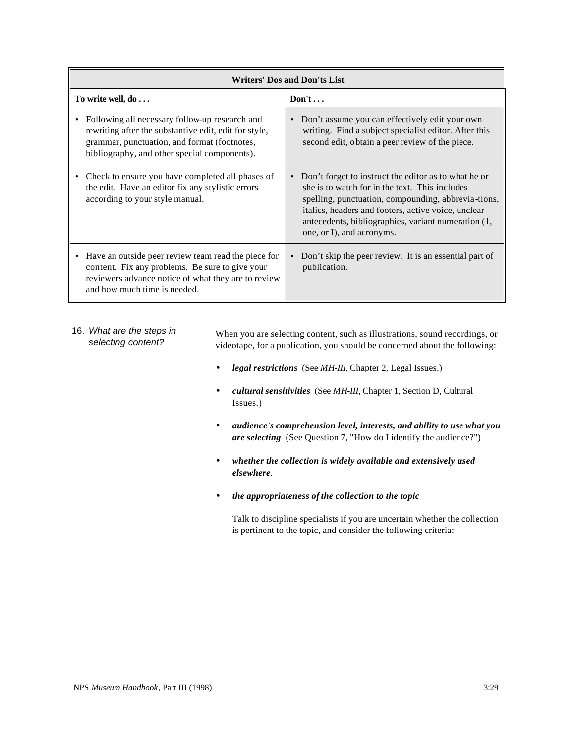| <b>Writers' Dos and Don'ts List</b>                                                                                                                                                                     |                                                                                                                                                                                                                                                                                                                       |  |
|---------------------------------------------------------------------------------------------------------------------------------------------------------------------------------------------------------|-----------------------------------------------------------------------------------------------------------------------------------------------------------------------------------------------------------------------------------------------------------------------------------------------------------------------|--|
| To write well, $do \ldots$                                                                                                                                                                              | $Don't \ldots$                                                                                                                                                                                                                                                                                                        |  |
| Following all necessary follow-up research and<br>rewriting after the substantive edit, edit for style,<br>grammar, punctuation, and format (footnotes,<br>bibliography, and other special components). | • Don't assume you can effectively edit your own<br>writing. Find a subject specialist editor. After this<br>second edit, obtain a peer review of the piece.                                                                                                                                                          |  |
| Check to ensure you have completed all phases of<br>$\bullet$<br>the edit. Have an editor fix any stylistic errors<br>according to your style manual.                                                   | Don't forget to instruct the editor as to what he or<br>$\bullet$<br>she is to watch for in the text. This includes<br>spelling, punctuation, compounding, abbrevia-tions,<br>italics, headers and footers, active voice, unclear<br>antecedents, bibliographies, variant numeration (1,<br>one, or I), and acronyms. |  |
| Have an outside peer review team read the piece for<br>٠<br>content. Fix any problems. Be sure to give your<br>reviewers advance notice of what they are to review<br>and how much time is needed.      | Don't skip the peer review. It is an essential part of<br>$\bullet$<br>publication.                                                                                                                                                                                                                                   |  |

16. *What are the steps in selecting content?*

When you are selecting content, such as illustrations, sound recordings, or videotape, for a publication, you should be concerned about the following:

- *legal restrictions* (See *MH-III,* Chapter 2, Legal Issues.)
- *cultural sensitivities* (See *MH-III,* Chapter 1, Section D, Cultural Issues.)
- *audience's comprehension level, interests, and ability to use what you are selecting* (See Question 7, "How do I identify the audience?")
- *whether the collection is widely available and extensively used elsewhere*.
- *the appropriateness of the collection to the topic*

Talk to discipline specialists if you are uncertain whether the collection is pertinent to the topic, and consider the following criteria: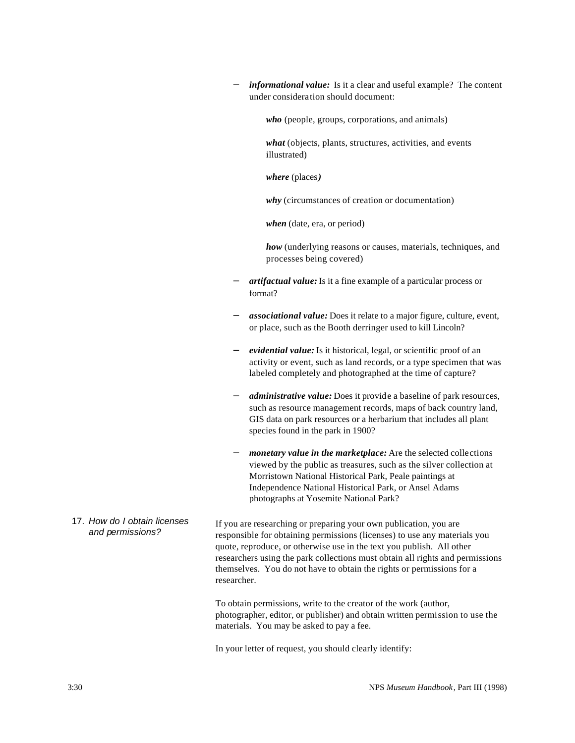*informational value:* Is it a clear and useful example? The content under consideration should document:

*who* (people, groups, corporations, and animals)

*what* (objects, plants, structures, activities, and events illustrated)

*where* (places*)*

*why* (circumstances of creation or documentation)

*when* (date, era, or period)

*how* (underlying reasons or causes, materials, techniques, and processes being covered)

- − *artifactual value:* Is it a fine example of a particular process or format?
- − *associational value:* Does it relate to a major figure, culture, event, or place, such as the Booth derringer used to kill Lincoln?
- − *evidential value:* Is it historical, legal, or scientific proof of an activity or event, such as land records, or a type specimen that was labeled completely and photographed at the time of capture?
- *administrative value:* Does it provide a baseline of park resources, such as resource management records, maps of back country land, GIS data on park resources or a herbarium that includes all plant species found in the park in 1900?
- *monetary value in the marketplace:* Are the selected collections viewed by the public as treasures, such as the silver collection at Morristown National Historical Park, Peale paintings at Independence National Historical Park, or Ansel Adams photographs at Yosemite National Park?
- 17. *How do I obtain licenses and permissions?* If you are researching or preparing your own publication, you are responsible for obtaining permissions (licenses) to use any materials you quote, reproduce, or otherwise use in the text you publish. All other researchers using the park collections must obtain all rights and permissions themselves. You do not have to obtain the rights or permissions for a researcher.

To obtain permissions, write to the creator of the work (author, photographer, editor, or publisher) and obtain written permission to use the materials. You may be asked to pay a fee.

In your letter of request, you should clearly identify: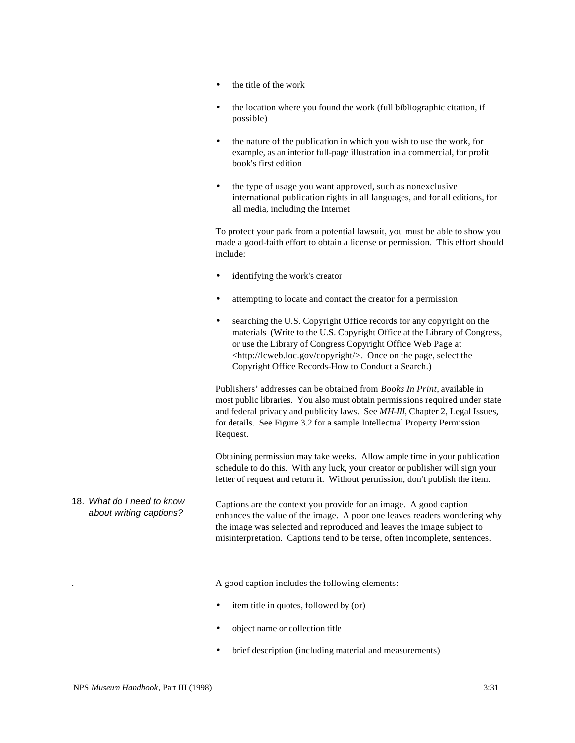- the title of the work
- the location where you found the work (full bibliographic citation, if possible)
- the nature of the publication in which you wish to use the work, for example, as an interior full-page illustration in a commercial, for profit book's first edition
- the type of usage you want approved, such as nonexclusive international publication rights in all languages, and for all editions, for all media, including the Internet

To protect your park from a potential lawsuit, you must be able to show you made a good-faith effort to obtain a license or permission. This effort should include:

- identifying the work's creator
- attempting to locate and contact the creator for a permission
- searching the U.S. Copyright Office records for any copyright on the materials (Write to the U.S. Copyright Office at the Library of Congress, or use the Library of Congress Copyright Office Web Page at <http://lcweb.loc.gov/copyright/>. Once on the page, select the Copyright Office Records-How to Conduct a Search.)

Publishers' addresses can be obtained from *Books In Print,* available in most public libraries. You also must obtain permissions required under state and federal privacy and publicity laws. See *MH-III,* Chapter 2, Legal Issues, for details. See Figure 3.2 for a sample Intellectual Property Permission Request.

Obtaining permission may take weeks. Allow ample time in your publication schedule to do this. With any luck, your creator or publisher will sign your letter of request and return it. Without permission, don't publish the item.

18. *What do I need to know about writing captions?* Captions are the context you provide for an image. A good caption enhances the value of the image. A poor one leaves readers wondering why the image was selected and reproduced and leaves the image subject to misinterpretation. Captions tend to be terse, often incomplete, sentences.

. A good caption includes the following elements:

- item title in quotes, followed by (or)
- object name or collection title
- brief description (including material and measurements)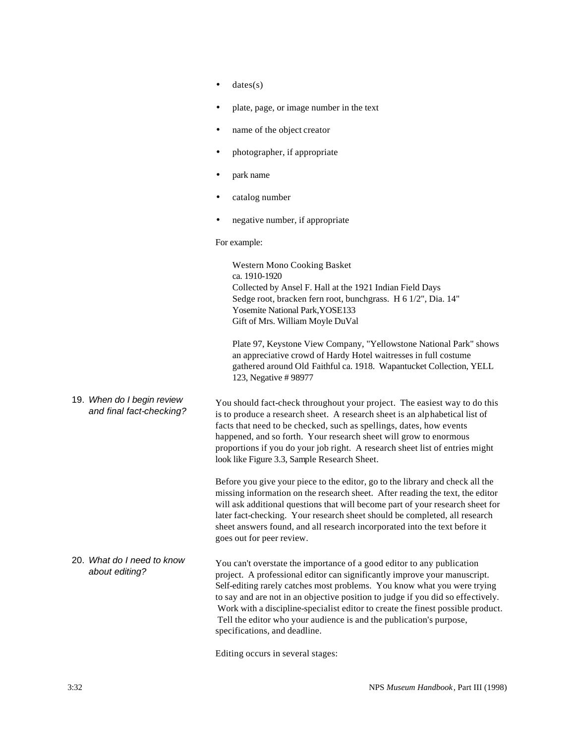|  | dates(s) |
|--|----------|
|--|----------|

- plate, page, or image number in the text
- name of the object creator
- photographer, if appropriate
- park name
- catalog number
- negative number, if appropriate

#### For example:

|                                                        | <b>Western Mono Cooking Basket</b><br>ca. 1910-1920<br>Collected by Ansel F. Hall at the 1921 Indian Field Days<br>Sedge root, bracken fern root, bunchgrass. H 6 1/2", Dia. 14"<br>Yosemite National Park, YOSE133<br>Gift of Mrs. William Moyle DuVal                                                                                                                                                                                                                                                       |
|--------------------------------------------------------|---------------------------------------------------------------------------------------------------------------------------------------------------------------------------------------------------------------------------------------------------------------------------------------------------------------------------------------------------------------------------------------------------------------------------------------------------------------------------------------------------------------|
|                                                        | Plate 97, Keystone View Company, "Yellowstone National Park" shows<br>an appreciative crowd of Hardy Hotel waitresses in full costume<br>gathered around Old Faithful ca. 1918. Wapantucket Collection, YELL<br>123, Negative # 98977                                                                                                                                                                                                                                                                         |
| 19. When do I begin review<br>and final fact-checking? | You should fact-check throughout your project. The easiest way to do this<br>is to produce a research sheet. A research sheet is an alphabetical list of<br>facts that need to be checked, such as spellings, dates, how events<br>happened, and so forth. Your research sheet will grow to enormous<br>proportions if you do your job right. A research sheet list of entries might<br>look like Figure 3.3, Sample Research Sheet.                                                                          |
|                                                        | Before you give your piece to the editor, go to the library and check all the<br>missing information on the research sheet. After reading the text, the editor<br>will ask additional questions that will become part of your research sheet for<br>later fact-checking. Your research sheet should be completed, all research<br>sheet answers found, and all research incorporated into the text before it<br>goes out for peer review.                                                                     |
| 20. What do I need to know<br>about editing?           | You can't overstate the importance of a good editor to any publication<br>project. A professional editor can significantly improve your manuscript.<br>Self-editing rarely catches most problems. You know what you were trying<br>to say and are not in an objective position to judge if you did so effectively.<br>Work with a discipline-specialist editor to create the finest possible product.<br>Tell the editor who your audience is and the publication's purpose,<br>specifications, and deadline. |
|                                                        |                                                                                                                                                                                                                                                                                                                                                                                                                                                                                                               |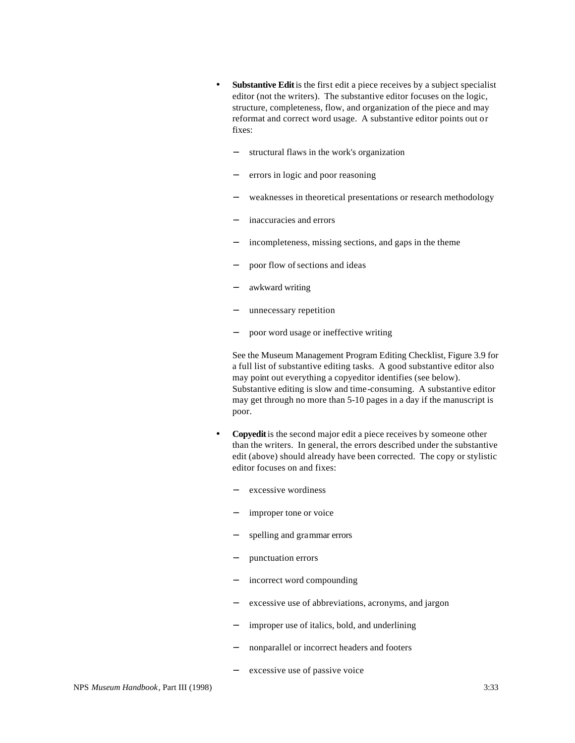- **Substantive Edit** is the first edit a piece receives by a subject specialist editor (not the writers). The substantive editor focuses on the logic, structure, completeness, flow, and organization of the piece and may reformat and correct word usage. A substantive editor points out or fixes:
	- − structural flaws in the work's organization
	- errors in logic and poor reasoning
	- weaknesses in theoretical presentations or research methodology
	- inaccuracies and errors
	- incompleteness, missing sections, and gaps in the theme
	- poor flow of sections and ideas
	- − awkward writing
	- unnecessary repetition
	- − poor word usage or ineffective writing

See the Museum Management Program Editing Checklist, Figure 3.9 for a full list of substantive editing tasks. A good substantive editor also may point out everything a copyeditor identifies (see below). Substantive editing is slow and time-consuming. A substantive editor may get through no more than 5-10 pages in a day if the manuscript is poor.

- **Copyedit** is the second major edit a piece receives by someone other than the writers. In general, the errors described under the substantive edit (above) should already have been corrected. The copy or stylistic editor focuses on and fixes:
	- − excessive wordiness
	- improper tone or voice
	- spelling and grammar errors
	- − punctuation errors
	- incorrect word compounding
	- excessive use of abbreviations, acronyms, and jargon
	- improper use of italics, bold, and underlining
	- nonparallel or incorrect headers and footers
	- excessive use of passive voice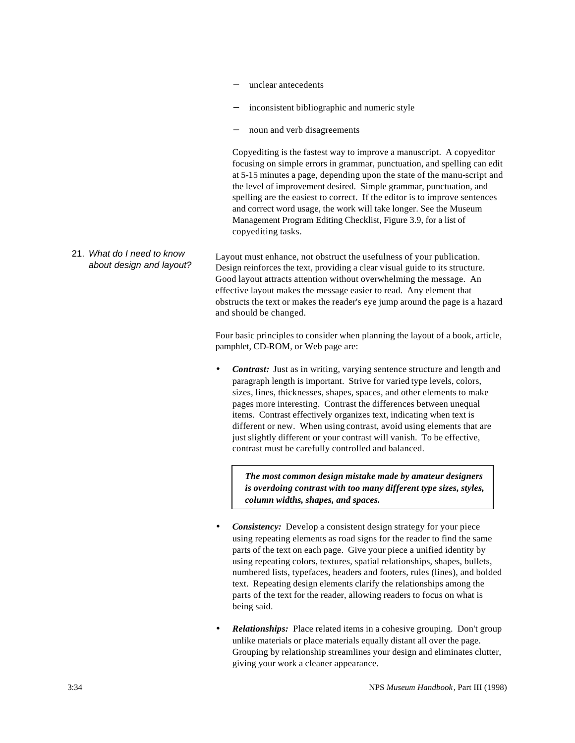- unclear antecedents
- inconsistent bibliographic and numeric style
- noun and verb disagreements

Copyediting is the fastest way to improve a manuscript. A copyeditor focusing on simple errors in grammar, punctuation, and spelling can edit at 5-15 minutes a page, depending upon the state of the manu-script and the level of improvement desired. Simple grammar, punctuation, and spelling are the easiest to correct. If the editor is to improve sentences and correct word usage, the work will take longer. See the Museum Management Program Editing Checklist, Figure 3.9, for a list of copyediting tasks.

21. *What do I need to know about design and layout?* Layout must enhance, not obstruct the usefulness of your publication. Design reinforces the text, providing a clear visual guide to its structure. Good layout attracts attention without overwhelming the message. An effective layout makes the message easier to read. Any element that obstructs the text or makes the reader's eye jump around the page is a hazard and should be changed.

> Four basic principles to consider when planning the layout of a book, article, pamphlet, CD-ROM, or Web page are:

*Contrast:* Just as in writing, varying sentence structure and length and paragraph length is important. Strive for varied type levels, colors, sizes, lines, thicknesses, shapes, spaces, and other elements to make pages more interesting. Contrast the differences between unequal items. Contrast effectively organizes text, indicating when text is different or new. When using contrast, avoid using elements that are just slightly different or your contrast will vanish. To be effective, contrast must be carefully controlled and balanced.

*The most common design mistake made by amateur designers is overdoing contrast with too many different type sizes, styles, column widths, shapes, and spaces.*

- *Consistency:* Develop a consistent design strategy for your piece using repeating elements as road signs for the reader to find the same parts of the text on each page. Give your piece a unified identity by using repeating colors, textures, spatial relationships, shapes, bullets, numbered lists, typefaces, headers and footers, rules (lines), and bolded text. Repeating design elements clarify the relationships among the parts of the text for the reader, allowing readers to focus on what is being said.
- *Relationships:* Place related items in a cohesive grouping. Don't group unlike materials or place materials equally distant all over the page. Grouping by relationship streamlines your design and eliminates clutter, giving your work a cleaner appearance.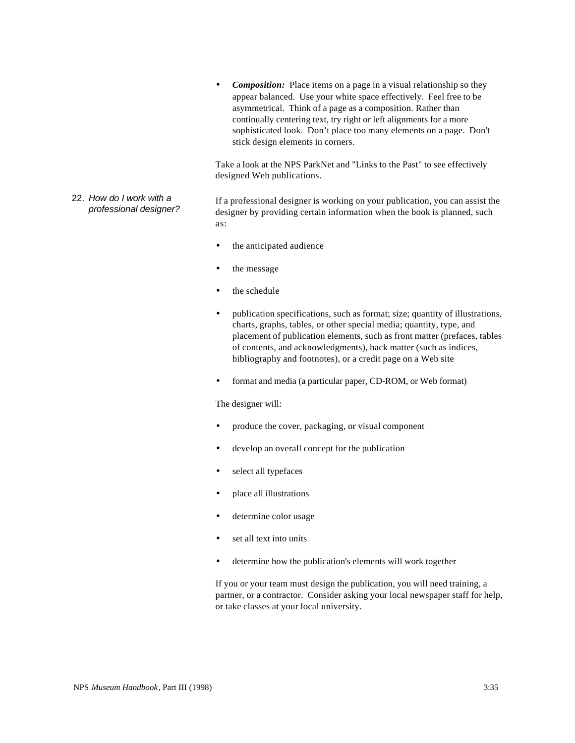• *Composition:* Place items on a page in a visual relationship so they appear balanced. Use your white space effectively. Feel free to be asymmetrical. Think of a page as a composition. Rather than continually centering text, try right or left alignments for a more sophisticated look. Don't place too many elements on a page. Don't stick design elements in corners.

Take a look at the NPS ParkNet and "Links to the Past" to see effectively designed Web publications.

#### 22. *How do I work with a professional designer?*  If a professional designer is working on your publication, you can assist the designer by providing certain information when the book is planned, such as:

- the anticipated audience
- the message
- the schedule
- publication specifications, such as format; size; quantity of illustrations, charts, graphs, tables, or other special media; quantity, type, and placement of publication elements, such as front matter (prefaces, tables of contents, and acknowledgments), back matter (such as indices, bibliography and footnotes), or a credit page on a Web site
- format and media (a particular paper, CD-ROM, or Web format)

The designer will:

- produce the cover, packaging, or visual component
- develop an overall concept for the publication
- select all typefaces
- place all illustrations
- determine color usage
- set all text into units
- determine how the publication's elements will work together

If you or your team must design the publication, you will need training, a partner, or a contractor. Consider asking your local newspaper staff for help, or take classes at your local university.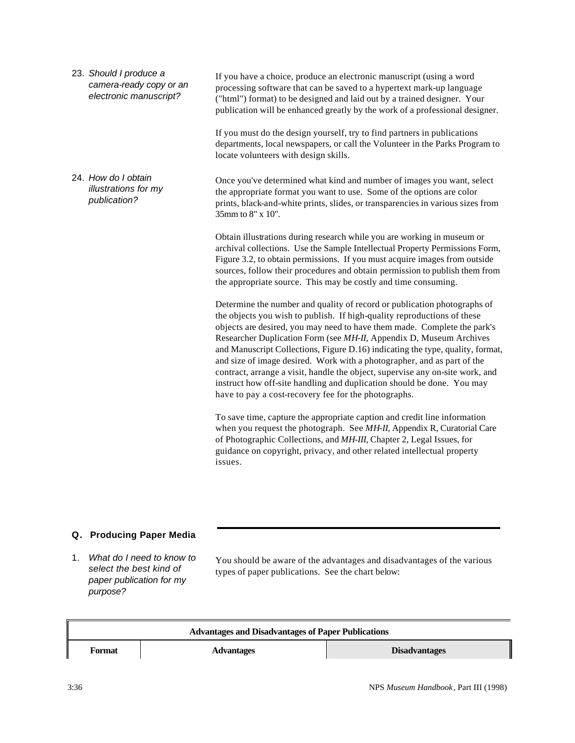| 23. Should I produce a<br>camera-ready copy or an<br>electronic manuscript? | If you have a choice, produce an electronic manuscript (using a word<br>processing software that can be saved to a hypertext mark-up language<br>("html") format) to be designed and laid out by a trained designer. Your<br>publication will be enhanced greatly by the work of a professional designer.                                                                                                                                                                                                                                                                                                                                                                              |
|-----------------------------------------------------------------------------|----------------------------------------------------------------------------------------------------------------------------------------------------------------------------------------------------------------------------------------------------------------------------------------------------------------------------------------------------------------------------------------------------------------------------------------------------------------------------------------------------------------------------------------------------------------------------------------------------------------------------------------------------------------------------------------|
|                                                                             | If you must do the design yourself, try to find partners in publications<br>departments, local newspapers, or call the Volunteer in the Parks Program to<br>locate volunteers with design skills.                                                                                                                                                                                                                                                                                                                                                                                                                                                                                      |
| 24. How do I obtain<br>illustrations for my<br>publication?                 | Once you've determined what kind and number of images you want, select<br>the appropriate format you want to use. Some of the options are color<br>prints, black-and-white prints, slides, or transparencies in various sizes from<br>35mm to 8" x 10".                                                                                                                                                                                                                                                                                                                                                                                                                                |
|                                                                             | Obtain illustrations during research while you are working in museum or<br>archival collections. Use the Sample Intellectual Property Permissions Form,<br>Figure 3.2, to obtain permissions. If you must acquire images from outside<br>sources, follow their procedures and obtain permission to publish them from<br>the appropriate source. This may be costly and time consuming.                                                                                                                                                                                                                                                                                                 |
|                                                                             | Determine the number and quality of record or publication photographs of<br>the objects you wish to publish. If high-quality reproductions of these<br>objects are desired, you may need to have them made. Complete the park's<br>Researcher Duplication Form (see MH-II, Appendix D, Museum Archives<br>and Manuscript Collections, Figure D.16) indicating the type, quality, format,<br>and size of image desired. Work with a photographer, and as part of the<br>contract, arrange a visit, handle the object, supervise any on-site work, and<br>instruct how off-site handling and duplication should be done. You may<br>have to pay a cost-recovery fee for the photographs. |
|                                                                             | To save time, capture the appropriate caption and credit line information<br>when you request the photograph. See MH-II, Appendix R, Curatorial Care<br>of Photographic Collections, and MH-III, Chapter 2, Legal Issues, for<br>guidance on copyright, privacy, and other related intellectual property                                                                                                                                                                                                                                                                                                                                                                               |

# **Q. Producing Paper Media**

1. *What do I need to know to select the best kind of paper publication for my purpose?*

You should be aware of the advantages and disadvantages of the various types of paper publications. See the chart below:

| <b>Advantages and Disadvantages of Paper Publications</b> |                   |                      |
|-----------------------------------------------------------|-------------------|----------------------|
| Format                                                    | <b>Advantages</b> | <b>Disadvantages</b> |

issues.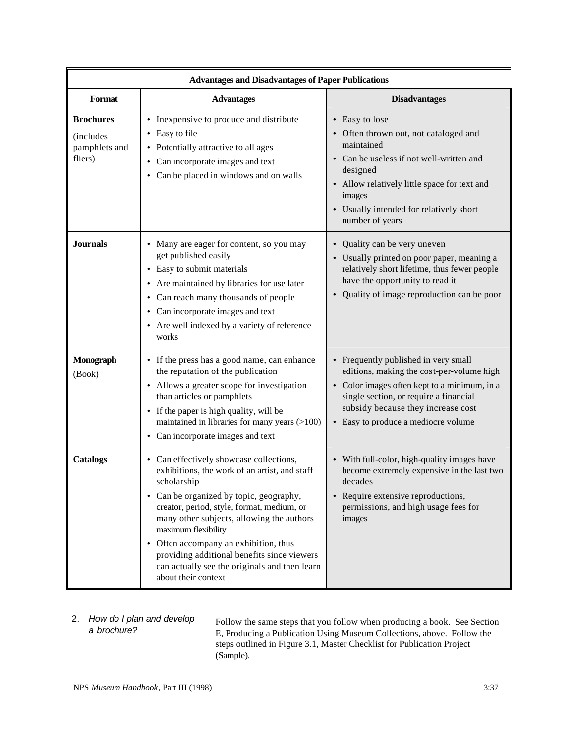| <b>Advantages and Disadvantages of Paper Publications</b>         |                                                                                                                                                                                                                                                                                                                                                                                                                                                                       |                                                                                                                                                                                                                                                          |
|-------------------------------------------------------------------|-----------------------------------------------------------------------------------------------------------------------------------------------------------------------------------------------------------------------------------------------------------------------------------------------------------------------------------------------------------------------------------------------------------------------------------------------------------------------|----------------------------------------------------------------------------------------------------------------------------------------------------------------------------------------------------------------------------------------------------------|
| Format                                                            | <b>Advantages</b>                                                                                                                                                                                                                                                                                                                                                                                                                                                     | <b>Disadvantages</b>                                                                                                                                                                                                                                     |
| <b>Brochures</b><br><i>(includes)</i><br>pamphlets and<br>fliers) | In expensive to produce and distribute<br>$\bullet$<br>Easy to file<br>$\bullet$<br>Potentially attractive to all ages<br>$\bullet$<br>Can incorporate images and text<br>Can be placed in windows and on walls                                                                                                                                                                                                                                                       | • Easy to lose<br>• Often thrown out, not cataloged and<br>maintained<br>• Can be useless if not well-written and<br>designed<br>• Allow relatively little space for text and<br>images<br>• Usually intended for relatively short<br>number of years    |
| <b>Journals</b>                                                   | Many are eager for content, so you may<br>$\bullet$<br>get published easily<br>Easy to submit materials<br>$\bullet$<br>Are maintained by libraries for use later<br>$\bullet$<br>Can reach many thousands of people<br>$\bullet$<br>Can incorporate images and text<br>$\bullet$<br>Are well indexed by a variety of reference<br>$\bullet$<br>works                                                                                                                 | • Quality can be very uneven<br>• Usually printed on poor paper, meaning a<br>relatively short lifetime, thus fewer people<br>have the opportunity to read it<br>• Quality of image reproduction can be poor                                             |
| Monograph<br>(Book)                                               | If the press has a good name, can enhance<br>$\bullet$<br>the reputation of the publication<br>• Allows a greater scope for investigation<br>than articles or pamphlets<br>If the paper is high quality, will be<br>$\bullet$<br>maintained in libraries for many years $(>100)$<br>Can incorporate images and text<br>$\bullet$                                                                                                                                      | • Frequently published in very small<br>editions, making the cost-per-volume high<br>• Color images often kept to a minimum, in a<br>single section, or require a financial<br>subsidy because they increase cost<br>• Easy to produce a mediocre volume |
| <b>Catalogs</b>                                                   | Can effectively showcase collections,<br>$\bullet$<br>exhibitions, the work of an artist, and staff<br>scholarship<br>Can be organized by topic, geography,<br>$\bullet$<br>creator, period, style, format, medium, or<br>many other subjects, allowing the authors<br>maximum flexibility<br>Often accompany an exhibition, thus<br>$\bullet$<br>providing additional benefits since viewers<br>can actually see the originals and then learn<br>about their context | • With full-color, high-quality images have<br>become extremely expensive in the last two<br>decades<br>• Require extensive reproductions,<br>permissions, and high usage fees for<br>images                                                             |

2. *How do I plan and develop a brochure?*

Follow the same steps that you follow when producing a book. See Section E, Producing a Publication Using Museum Collections, above. Follow the steps outlined in Figure 3.1, Master Checklist for Publication Project (Sample).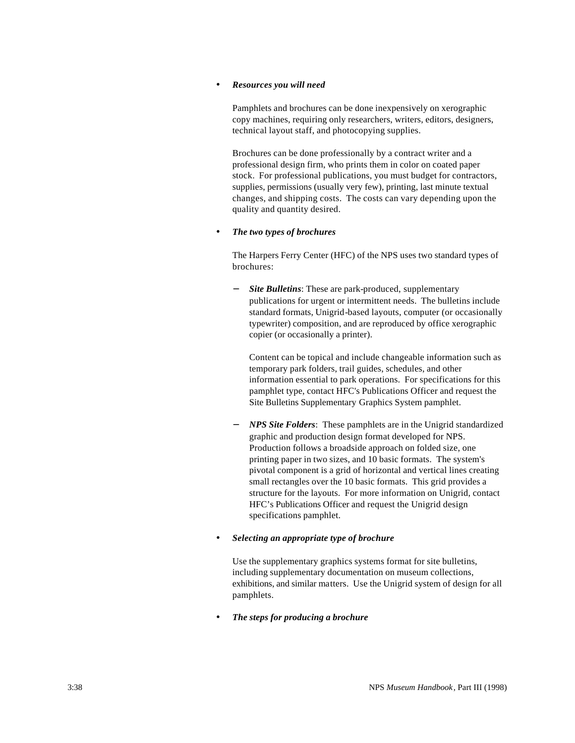#### • *Resources you will need*

Pamphlets and brochures can be done inexpensively on xerographic copy machines, requiring only researchers, writers, editors, designers, technical layout staff, and photocopying supplies.

Brochures can be done professionally by a contract writer and a professional design firm, who prints them in color on coated paper stock. For professional publications, you must budget for contractors, supplies, permissions (usually very few), printing, last minute textual changes, and shipping costs. The costs can vary depending upon the quality and quantity desired.

# • *The two types of brochures*

The Harpers Ferry Center (HFC) of the NPS uses two standard types of brochures:

Site Bulletins: These are park-produced, supplementary publications for urgent or intermittent needs. The bulletins include standard formats, Unigrid-based layouts, computer (or occasionally typewriter) composition, and are reproduced by office xerographic copier (or occasionally a printer).

Content can be topical and include changeable information such as temporary park folders, trail guides, schedules, and other information essential to park operations. For specifications for this pamphlet type, contact HFC's Publications Officer and request the Site Bulletins Supplementary Graphics System pamphlet.

*NPS Site Folders*: These pamphlets are in the Unigrid standardized graphic and production design format developed for NPS. Production follows a broadside approach on folded size, one printing paper in two sizes, and 10 basic formats. The system's pivotal component is a grid of horizontal and vertical lines creating small rectangles over the 10 basic formats. This grid provides a structure for the layouts. For more information on Unigrid, contact HFC's Publications Officer and request the Unigrid design specifications pamphlet.

#### • *Selecting an appropriate type of brochure*

Use the supplementary graphics systems format for site bulletins, including supplementary documentation on museum collections, exhibitions, and similar matters. Use the Unigrid system of design for all pamphlets.

• *The steps for producing a brochure*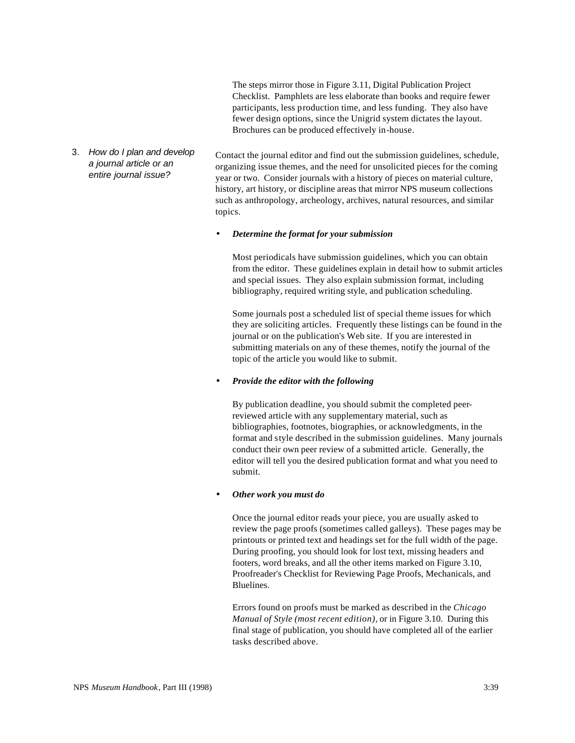The steps mirror those in Figure 3.11, Digital Publication Project Checklist. Pamphlets are less elaborate than books and require fewer participants, less production time, and less funding. They also have fewer design options, since the Unigrid system dictates the layout. Brochures can be produced effectively in-house.

3. *How do I plan and develop a journal article or an entire journal issue?*

Contact the journal editor and find out the submission guidelines, schedule, organizing issue themes, and the need for unsolicited pieces for the coming year or two. Consider journals with a history of pieces on material culture, history, art history, or discipline areas that mirror NPS museum collections such as anthropology, archeology, archives, natural resources, and similar topics.

#### • *Determine the format for your submission*

Most periodicals have submission guidelines, which you can obtain from the editor. These guidelines explain in detail how to submit articles and special issues. They also explain submission format, including bibliography, required writing style, and publication scheduling.

Some journals post a scheduled list of special theme issues for which they are soliciting articles. Frequently these listings can be found in the journal or on the publication's Web site. If you are interested in submitting materials on any of these themes, notify the journal of the topic of the article you would like to submit.

#### • *Provide the editor with the following*

By publication deadline, you should submit the completed peerreviewed article with any supplementary material, such as bibliographies, footnotes, biographies, or acknowledgments, in the format and style described in the submission guidelines. Many journals conduct their own peer review of a submitted article. Generally, the editor will tell you the desired publication format and what you need to submit.

#### • *Other work you must do*

Once the journal editor reads your piece, you are usually asked to review the page proofs (sometimes called galleys). These pages may be printouts or printed text and headings set for the full width of the page. During proofing, you should look for lost text, missing headers and footers, word breaks, and all the other items marked on Figure 3.10, Proofreader's Checklist for Reviewing Page Proofs, Mechanicals, and Bluelines.

Errors found on proofs must be marked as described in the *Chicago Manual of Style (most recent edition),* or in Figure 3.10. During this final stage of publication, you should have completed all of the earlier tasks described above.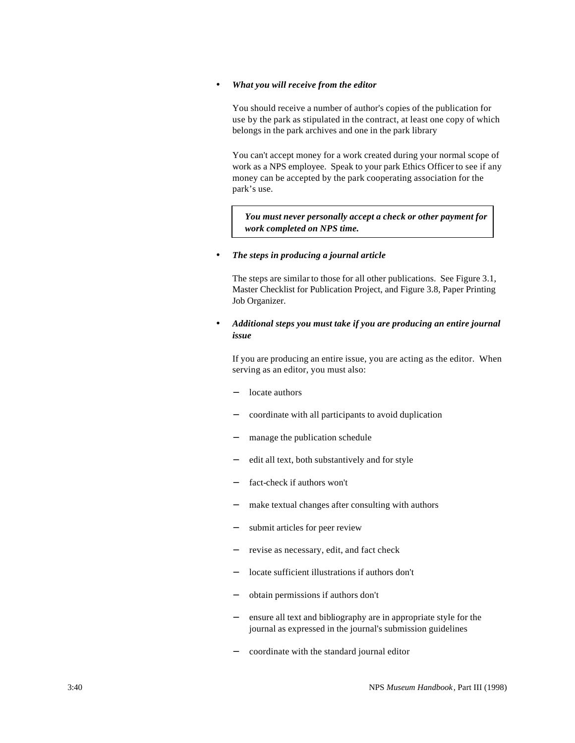#### • *What you will receive from the editor*

You should receive a number of author's copies of the publication for use by the park as stipulated in the contract, at least one copy of which belongs in the park archives and one in the park library

You can't accept money for a work created during your normal scope of work as a NPS employee. Speak to your park Ethics Officer to see if any money can be accepted by the park cooperating association for the park's use.

*You must never personally accept a check or other payment for work completed on NPS time.*

• *The steps in producing a journal article*

The steps are similar to those for all other publications. See Figure 3.1, Master Checklist for Publication Project, and Figure 3.8, Paper Printing Job Organizer.

# • *Additional steps you must take if you are producing an entire journal issue*

If you are producing an entire issue, you are acting as the editor. When serving as an editor, you must also:

- locate authors
- − coordinate with all participants to avoid duplication
- manage the publication schedule
- edit all text, both substantively and for style
- fact-check if authors won't
- make textual changes after consulting with authors
- submit articles for peer review
- − revise as necessary, edit, and fact check
- − locate sufficient illustrations if authors don't
- − obtain permissions if authors don't
- ensure all text and bibliography are in appropriate style for the journal as expressed in the journal's submission guidelines
- − coordinate with the standard journal editor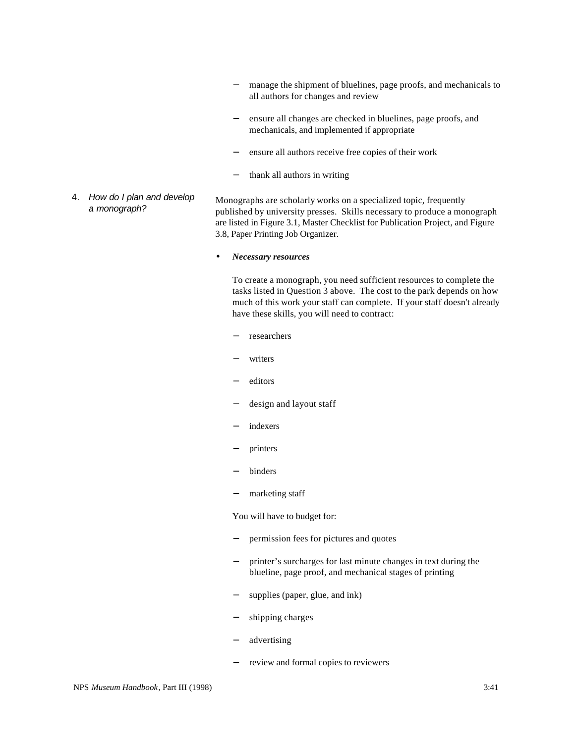- − manage the shipment of bluelines, page proofs, and mechanicals to all authors for changes and review
- ensure all changes are checked in bluelines, page proofs, and mechanicals, and implemented if appropriate
- − ensure all authors receive free copies of their work
- − thank all authors in writing
- 4. *How do I plan and develop a monograph?* Monographs are scholarly works on a specialized topic, frequently published by university presses. Skills necessary to produce a monograph are listed in Figure 3.1, Master Checklist for Publication Project, and Figure 3.8, Paper Printing Job Organizer.
	- *Necessary resources*

To create a monograph, you need sufficient resources to complete the tasks listed in Question 3 above. The cost to the park depends on how much of this work your staff can complete. If your staff doesn't already have these skills, you will need to contract:

- − researchers
- writers
- editors
- design and layout staff
- − indexers
- printers
- binders
- marketing staff

You will have to budget for:

- − permission fees for pictures and quotes
- printer's surcharges for last minute changes in text during the blueline, page proof, and mechanical stages of printing
- supplies (paper, glue, and ink)
- shipping charges
- − advertising
- − review and formal copies to reviewers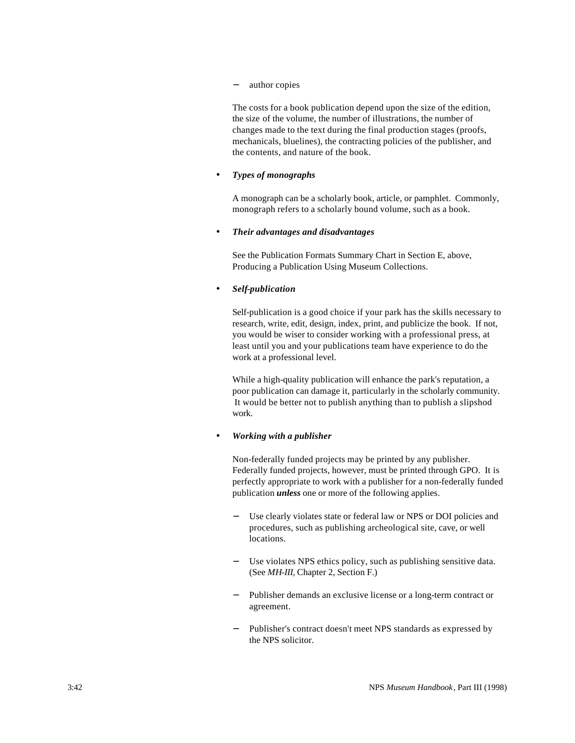author copies

The costs for a book publication depend upon the size of the edition, the size of the volume, the number of illustrations, the number of changes made to the text during the final production stages (proofs, mechanicals, bluelines), the contracting policies of the publisher, and the contents, and nature of the book.

### • *Types of monographs*

A monograph can be a scholarly book, article, or pamphlet. Commonly, monograph refers to a scholarly bound volume, such as a book.

#### • *Their advantages and disadvantages*

See the Publication Formats Summary Chart in Section E, above, Producing a Publication Using Museum Collections.

# • *Self-publication*

Self-publication is a good choice if your park has the skills necessary to research, write, edit, design, index, print, and publicize the book. If not, you would be wiser to consider working with a professional press, at least until you and your publications team have experience to do the work at a professional level.

While a high-quality publication will enhance the park's reputation, a poor publication can damage it, particularly in the scholarly community. It would be better not to publish anything than to publish a slipshod work.

#### • *Working with a publisher*

Non-federally funded projects may be printed by any publisher. Federally funded projects, however, must be printed through GPO. It is perfectly appropriate to work with a publisher for a non-federally funded publication *unless* one or more of the following applies.

- Use clearly violates state or federal law or NPS or DOI policies and procedures, such as publishing archeological site, cave, or well locations.
- − Use violates NPS ethics policy, such as publishing sensitive data. (See *MH-III,* Chapter 2, Section F.)
- Publisher demands an exclusive license or a long-term contract or agreement.
- Publisher's contract doesn't meet NPS standards as expressed by the NPS solicitor.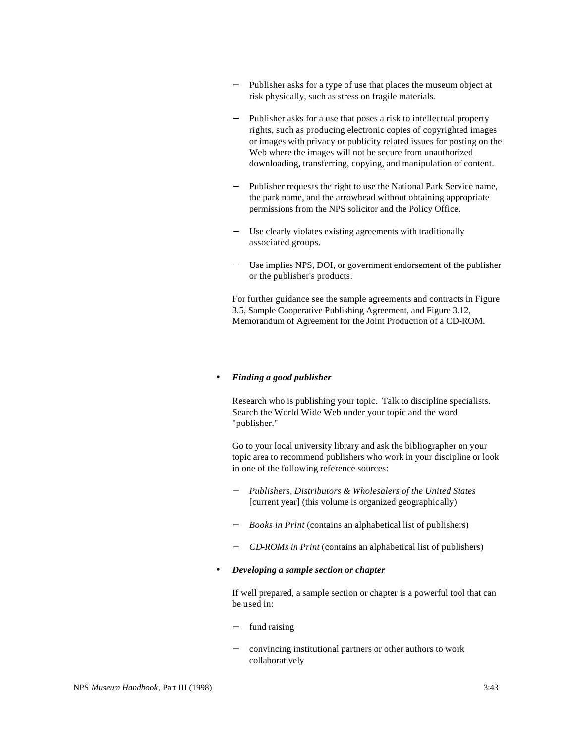- − Publisher asks for a type of use that places the museum object at risk physically, such as stress on fragile materials.
- Publisher asks for a use that poses a risk to intellectual property rights, such as producing electronic copies of copyrighted images or images with privacy or publicity related issues for posting on the Web where the images will not be secure from unauthorized downloading, transferring, copying, and manipulation of content.
- Publisher requests the right to use the National Park Service name, the park name, and the arrowhead without obtaining appropriate permissions from the NPS solicitor and the Policy Office.
- Use clearly violates existing agreements with traditionally associated groups.
- Use implies NPS, DOI, or government endorsement of the publisher or the publisher's products.

For further guidance see the sample agreements and contracts in Figure 3.5, Sample Cooperative Publishing Agreement, and Figure 3.12, Memorandum of Agreement for the Joint Production of a CD-ROM.

#### • *Finding a good publisher*

Research who is publishing your topic. Talk to discipline specialists. Search the World Wide Web under your topic and the word "publisher."

Go to your local university library and ask the bibliographer on your topic area to recommend publishers who work in your discipline or look in one of the following reference sources:

- − *Publishers, Distributors & Wholesalers of the United States*  [current year] (this volume is organized geographically)
- − *Books in Print* (contains an alphabetical list of publishers)
- − *CD-ROMs in Print* (contains an alphabetical list of publishers)
- *Developing a sample section or chapter*

If well prepared, a sample section or chapter is a powerful tool that can be used in:

- fund raising
- convincing institutional partners or other authors to work collaboratively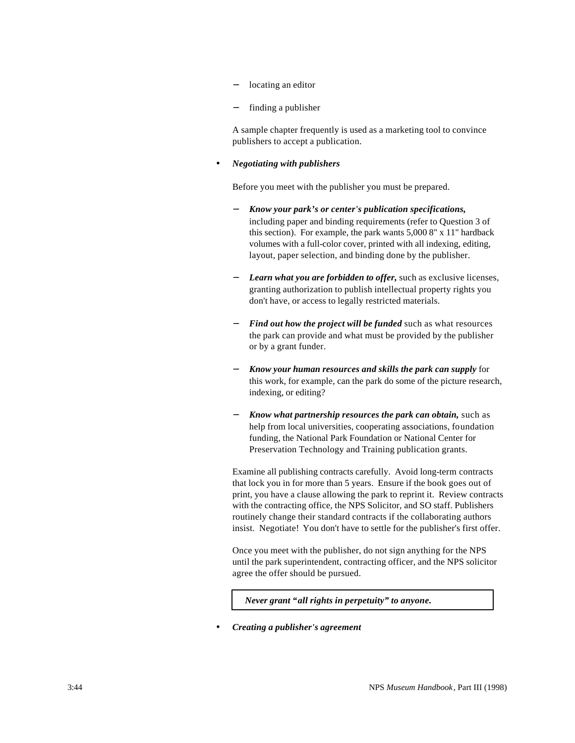- locating an editor
- finding a publisher

A sample chapter frequently is used as a marketing tool to convince publishers to accept a publication.

#### • *Negotiating with publishers*

Before you meet with the publisher you must be prepared.

- − *Know your park's or center's publication specifications,* including paper and binding requirements (refer to Question 3 of this section). For example, the park wants 5,000 8" x 11" hardback volumes with a full-color cover, printed with all indexing, editing, layout, paper selection, and binding done by the publisher.
- *Learn what you are forbidden to offer, such as exclusive licenses,* granting authorization to publish intellectual property rights you don't have, or access to legally restricted materials.
- − *Find out how the project will be funded* such as what resources the park can provide and what must be provided by the publisher or by a grant funder.
- − *Know your human resources and skills the park can supply* for this work, for example, can the park do some of the picture research, indexing, or editing?
- − *Know what partnership resources the park can obtain,* such as help from local universities, cooperating associations, foundation funding, the National Park Foundation or National Center for Preservation Technology and Training publication grants.

Examine all publishing contracts carefully. Avoid long-term contracts that lock you in for more than 5 years. Ensure if the book goes out of print, you have a clause allowing the park to reprint it. Review contracts with the contracting office, the NPS Solicitor, and SO staff. Publishers routinely change their standard contracts if the collaborating authors insist. Negotiate! You don't have to settle for the publisher's first offer.

Once you meet with the publisher, do not sign anything for the NPS until the park superintendent, contracting officer, and the NPS solicitor agree the offer should be pursued.

*Never grant "all rights in perpetuity" to anyone.*

• *Creating a publisher's agreement*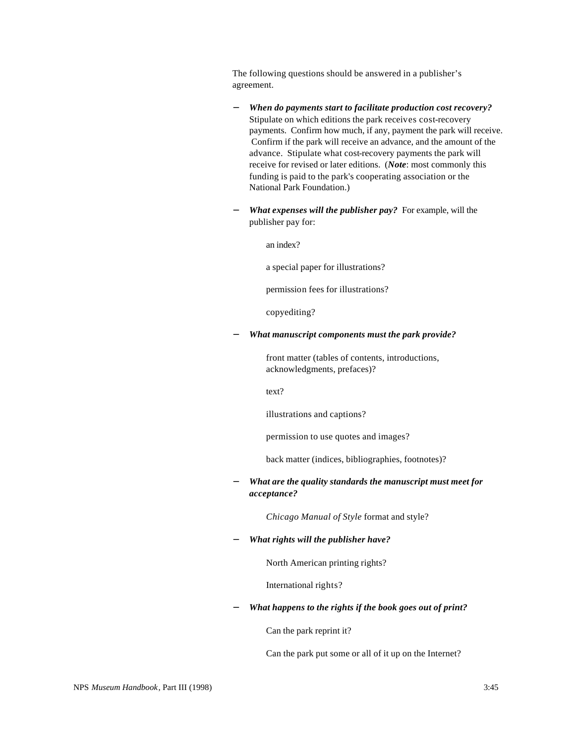The following questions should be answered in a publisher's agreement.

- − *When do payments start to facilitate production cost recovery?* Stipulate on which editions the park receives cost-recovery payments. Confirm how much, if any, payment the park will receive. Confirm if the park will receive an advance, and the amount of the advance. Stipulate what cost-recovery payments the park will receive for revised or later editions. (*Note*: most commonly this funding is paid to the park's cooperating association or the National Park Foundation.)
- − *What expenses will the publisher pay?* For example, will the publisher pay for:

an index?

a special paper for illustrations?

permission fees for illustrations?

copyediting?

− *What manuscript components must the park provide?*

front matter (tables of contents, introductions, acknowledgments, prefaces)?

text?

illustrations and captions?

permission to use quotes and images?

back matter (indices, bibliographies, footnotes)?

− *What are the quality standards the manuscript must meet for acceptance?*

*Chicago Manual of Style* format and style?

− *What rights will the publisher have?* 

North American printing rights?

International rights?

#### − *What happens to the rights if the book goes out of print?*

Can the park reprint it?

Can the park put some or all of it up on the Internet?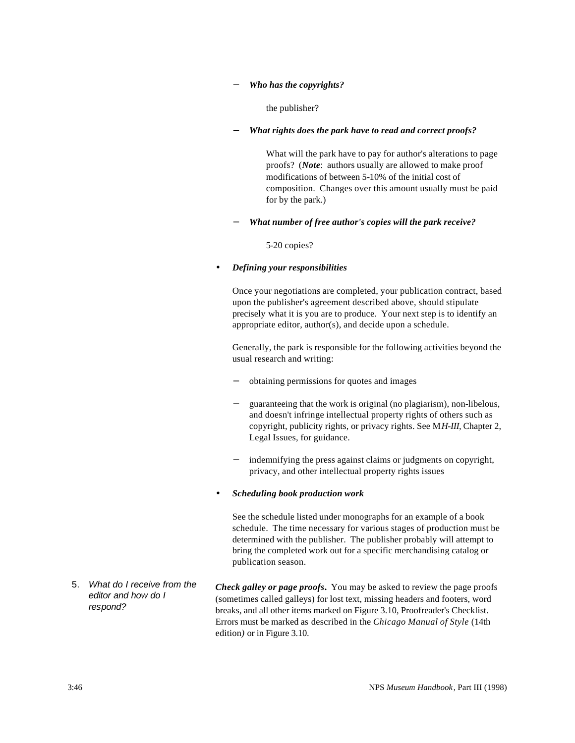#### − *Who has the copyrights?*

the publisher?

− *What rights does the park have to read and correct proofs?*

What will the park have to pay for author's alterations to page proofs? (*Note*: authors usually are allowed to make proof modifications of between 5-10% of the initial cost of composition. Changes over this amount usually must be paid for by the park.)

− *What number of free author's copies will the park receive?*

5-20 copies?

#### • *Defining your responsibilities*

Once your negotiations are completed, your publication contract, based upon the publisher's agreement described above, should stipulate precisely what it is you are to produce. Your next step is to identify an appropriate editor, author(s), and decide upon a schedule.

Generally, the park is responsible for the following activities beyond the usual research and writing:

- − obtaining permissions for quotes and images
- guaranteeing that the work is original (no plagiarism), non-libelous, and doesn't infringe intellectual property rights of others such as copyright, publicity rights, or privacy rights. See M*H-III,* Chapter 2, Legal Issues, for guidance.
- − indemnifying the press against claims or judgments on copyright, privacy, and other intellectual property rights issues

#### • *Scheduling book production work*

See the schedule listed under monographs for an example of a book schedule. The time necessary for various stages of production must be determined with the publisher. The publisher probably will attempt to bring the completed work out for a specific merchandising catalog or publication season.

5. *What do I receive from the editor and how do I respond? Check galley or page proofs***.** You may be asked to review the page proofs (sometimes called galleys) for lost text, missing headers and footers, word breaks, and all other items marked on Figure 3.10, Proofreader's Checklist. Errors must be marked as described in the *Chicago Manual of Style* (14th edition*)* or in Figure 3.10.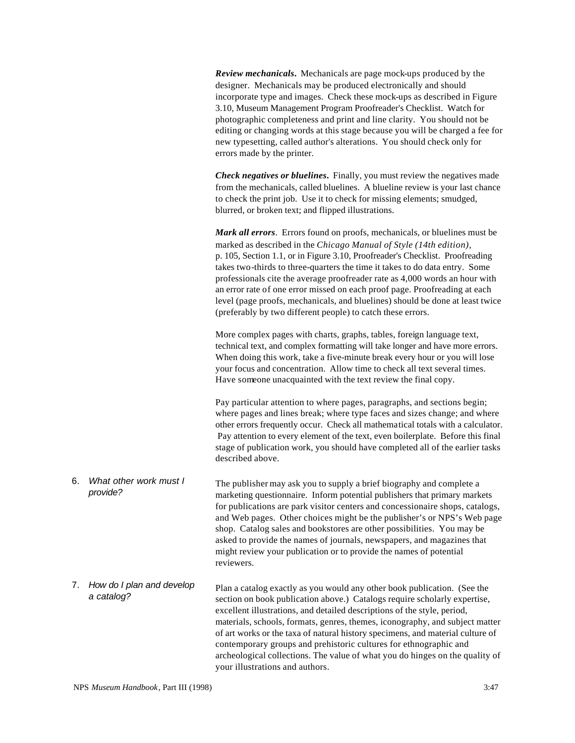*Review mechanicals***.** Mechanicals are page mock-ups produced by the designer. Mechanicals may be produced electronically and should incorporate type and images. Check these mock-ups as described in Figure 3.10, Museum Management Program Proofreader's Checklist. Watch for photographic completeness and print and line clarity. You should not be editing or changing words at this stage because you will be charged a fee for new typesetting, called author's alterations. You should check only for errors made by the printer.

*Check negatives or bluelines***.** Finally, you must review the negatives made from the mechanicals, called bluelines. A blueline review is your last chance to check the print job. Use it to check for missing elements; smudged, blurred, or broken text; and flipped illustrations.

*Mark all errors*. Errors found on proofs, mechanicals, or bluelines must be marked as described in the *Chicago Manual of Style (14th edition),* p. 105, Section 1.1, or in Figure 3.10, Proofreader's Checklist. Proofreading takes two-thirds to three-quarters the time it takes to do data entry. Some professionals cite the average proofreader rate as 4,000 words an hour with an error rate of one error missed on each proof page. Proofreading at each level (page proofs, mechanicals, and bluelines) should be done at least twice (preferably by two different people) to catch these errors.

More complex pages with charts, graphs, tables, foreign language text, technical text, and complex formatting will take longer and have more errors. When doing this work, take a five-minute break every hour or you will lose your focus and concentration. Allow time to check all text several times. Have someone unacquainted with the text review the final copy.

Pay particular attention to where pages, paragraphs, and sections begin; where pages and lines break; where type faces and sizes change; and where other errors frequently occur. Check all mathematical totals with a calculator. Pay attention to every element of the text, even boilerplate. Before this final stage of publication work, you should have completed all of the earlier tasks described above.

6. *What other work must I provide?* The publisher may ask you to supply a brief biography and complete a marketing questionnaire. Inform potential publishers that primary markets for publications are park visitor centers and concessionaire shops, catalogs, and Web pages. Other choices might be the publisher's or NPS's Web page shop. Catalog sales and bookstores are other possibilities. You may be asked to provide the names of journals, newspapers, and magazines that might review your publication or to provide the names of potential reviewers.

7. *How do I plan and develop a catalog?* Plan a catalog exactly as you would any other book publication. (See the section on book publication above.) Catalogs require scholarly expertise, excellent illustrations, and detailed descriptions of the style, period, materials, schools, formats, genres, themes, iconography, and subject matter of art works or the taxa of natural history specimens, and material culture of contemporary groups and prehistoric cultures for ethnographic and archeological collections. The value of what you do hinges on the quality of your illustrations and authors.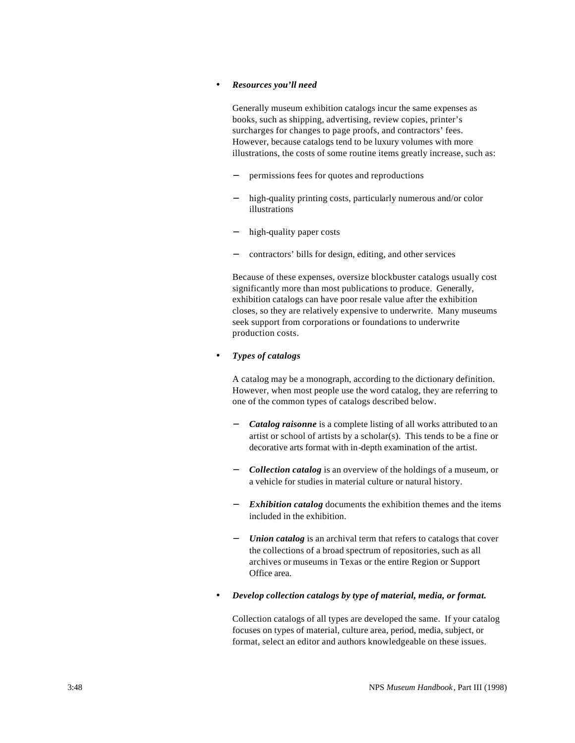#### • *Resources you'll need*

Generally museum exhibition catalogs incur the same expenses as books, such as shipping, advertising, review copies, printer's surcharges for changes to page proofs, and contractors' fees. However, because catalogs tend to be luxury volumes with more illustrations, the costs of some routine items greatly increase, such as:

- permissions fees for quotes and reproductions
- high-quality printing costs, particularly numerous and/or color illustrations
- high-quality paper costs
- − contractors' bills for design, editing, and other services

Because of these expenses, oversize blockbuster catalogs usually cost significantly more than most publications to produce. Generally, exhibition catalogs can have poor resale value after the exhibition closes, so they are relatively expensive to underwrite. Many museums seek support from corporations or foundations to underwrite production costs.

# • *Types of catalogs*

A catalog may be a monograph, according to the dictionary definition. However, when most people use the word catalog, they are referring to one of the common types of catalogs described below.

- *Catalog raisonne* is a complete listing of all works attributed to an artist or school of artists by a scholar(s). This tends to be a fine or decorative arts format with in-depth examination of the artist.
- *Collection catalog* is an overview of the holdings of a museum, or a vehicle for studies in material culture or natural history.
- **Exhibition catalog** documents the exhibition themes and the items included in the exhibition.
- − *Union catalog* is an archival term that refers to catalogs that cover the collections of a broad spectrum of repositories, such as all archives or museums in Texas or the entire Region or Support Office area.
- *Develop collection catalogs by type of material, media, or format.*

Collection catalogs of all types are developed the same. If your catalog focuses on types of material, culture area, period, media, subject, or format, select an editor and authors knowledgeable on these issues.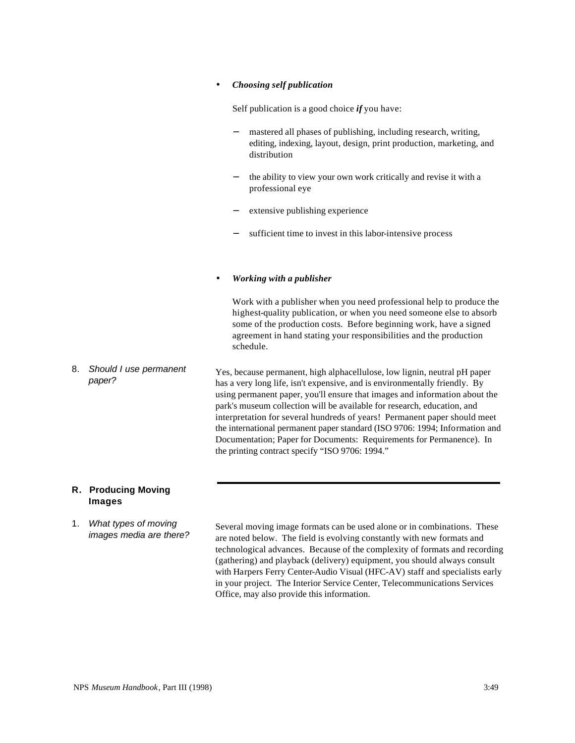|  | <b>Choosing self publication</b> |  |  |
|--|----------------------------------|--|--|
|--|----------------------------------|--|--|

Self publication is a good choice *if* you have:

- mastered all phases of publishing, including research, writing, editing, indexing, layout, design, print production, marketing, and distribution
- the ability to view your own work critically and revise it with a professional eye
- extensive publishing experience
- sufficient time to invest in this labor-intensive process

# • *Working with a publisher*

Work with a publisher when you need professional help to produce the highest-quality publication, or when you need someone else to absorb some of the production costs. Before beginning work, have a signed agreement in hand stating your responsibilities and the production schedule.

8. *Should I use permanent paper?* Yes, because permanent, high alphacellulose, low lignin, neutral pH paper has a very long life, isn't expensive, and is environmentally friendly. By using permanent paper, you'll ensure that images and information about the park's museum collection will be available for research, education, and interpretation for several hundreds of years! Permanent paper should meet the international permanent paper standard (ISO 9706: 1994; Information and Documentation; Paper for Documents: Requirements for Permanence). In the printing contract specify "ISO 9706: 1994."

#### **R. Producing Moving Images**

1. *What types of moving images media are there?*

Several moving image formats can be used alone or in combinations. These are noted below. The field is evolving constantly with new formats and technological advances. Because of the complexity of formats and recording (gathering) and playback (delivery) equipment, you should always consult with Harpers Ferry Center-Audio Visual (HFC-AV) staff and specialists early in your project. The Interior Service Center, Telecommunications Services Office, may also provide this information.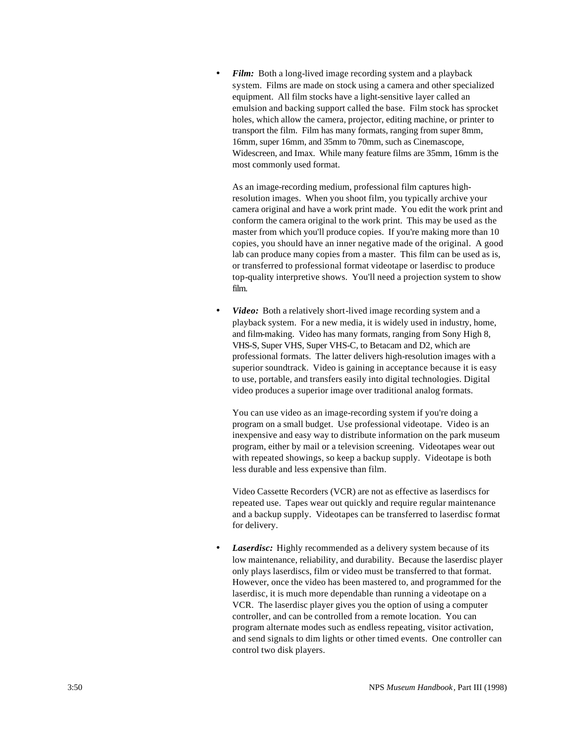**Film:** Both a long-lived image recording system and a playback system. Films are made on stock using a camera and other specialized equipment. All film stocks have a light-sensitive layer called an emulsion and backing support called the base. Film stock has sprocket holes, which allow the camera, projector, editing machine, or printer to transport the film. Film has many formats, ranging from super 8mm, 16mm, super 16mm, and 35mm to 70mm, such as Cinemascope, Widescreen, and Imax. While many feature films are 35mm, 16mm is the most commonly used format.

As an image-recording medium, professional film captures highresolution images. When you shoot film, you typically archive your camera original and have a work print made. You edit the work print and conform the camera original to the work print. This may be used as the master from which you'll produce copies. If you're making more than 10 copies, you should have an inner negative made of the original. A good lab can produce many copies from a master. This film can be used as is, or transferred to professional format videotape or laserdisc to produce top-quality interpretive shows. You'll need a projection system to show film.

• *Video:* Both a relatively short-lived image recording system and a playback system. For a new media, it is widely used in industry, home, and film-making. Video has many formats, ranging from Sony High 8, VHS-S, Super VHS, Super VHS-C, to Betacam and D2, which are professional formats. The latter delivers high-resolution images with a superior soundtrack. Video is gaining in acceptance because it is easy to use, portable, and transfers easily into digital technologies. Digital video produces a superior image over traditional analog formats.

You can use video as an image-recording system if you're doing a program on a small budget. Use professional videotape. Video is an inexpensive and easy way to distribute information on the park museum program, either by mail or a television screening. Videotapes wear out with repeated showings, so keep a backup supply. Videotape is both less durable and less expensive than film.

Video Cassette Recorders (VCR) are not as effective as laserdiscs for repeated use. Tapes wear out quickly and require regular maintenance and a backup supply. Videotapes can be transferred to laserdisc format for delivery.

*Laserdisc:* Highly recommended as a delivery system because of its low maintenance, reliability, and durability. Because the laserdisc player only plays laserdiscs, film or video must be transferred to that format. However, once the video has been mastered to, and programmed for the laserdisc, it is much more dependable than running a videotape on a VCR. The laserdisc player gives you the option of using a computer controller, and can be controlled from a remote location. You can program alternate modes such as endless repeating, visitor activation, and send signals to dim lights or other timed events. One controller can control two disk players.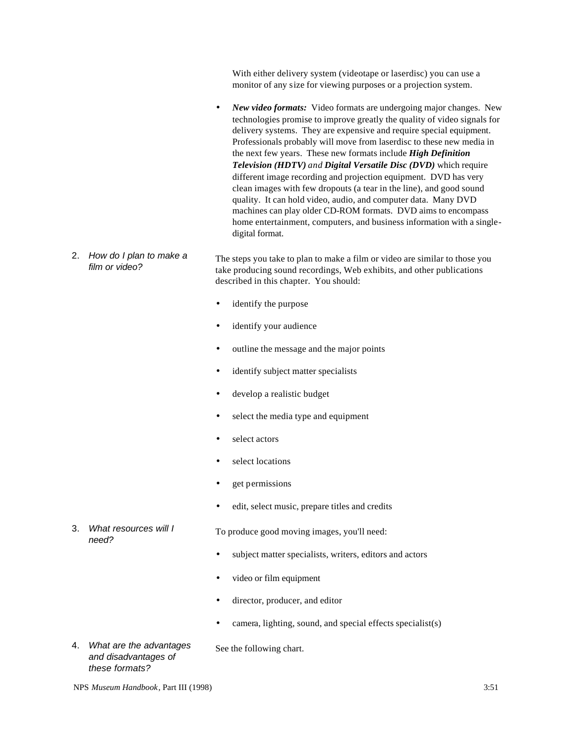With either delivery system (videotape or laserdisc) you can use a monitor of any size for viewing purposes or a projection system.

- *New video formats:* Video formats are undergoing major changes. New technologies promise to improve greatly the quality of video signals for delivery systems. They are expensive and require special equipment. Professionals probably will move from laserdisc to these new media in the next few years. These new formats include *High Definition Television (HDTV) and Digital Versatile Disc (DVD)* which require different image recording and projection equipment. DVD has very clean images with few dropouts (a tear in the line), and good sound quality. It can hold video, audio, and computer data. Many DVD machines can play older CD-ROM formats. DVD aims to encompass home entertainment, computers, and business information with a singledigital format.
- 2. *How do I plan to make a film or video?*  The steps you take to plan to make a film or video are similar to those you take producing sound recordings, Web exhibits, and other publications described in this chapter. You should:
	- identify the purpose
	- identify your audience
	- outline the message and the major points
	- identify subject matter specialists
	- develop a realistic budget
	- select the media type and equipment
	- select actors
	- select locations
	- get permissions
	- edit, select music, prepare titles and credits

3. *What resources will I need?*

To produce good moving images, you'll need:

- subject matter specialists, writers, editors and actors
- video or film equipment
- director, producer, and editor
- camera, lighting, sound, and special effects specialist(s)
- 4. *What are the advantages and disadvantages of these formats?*

See the following chart.

NPS *Museum Handbook*, Part III (1998) 3:51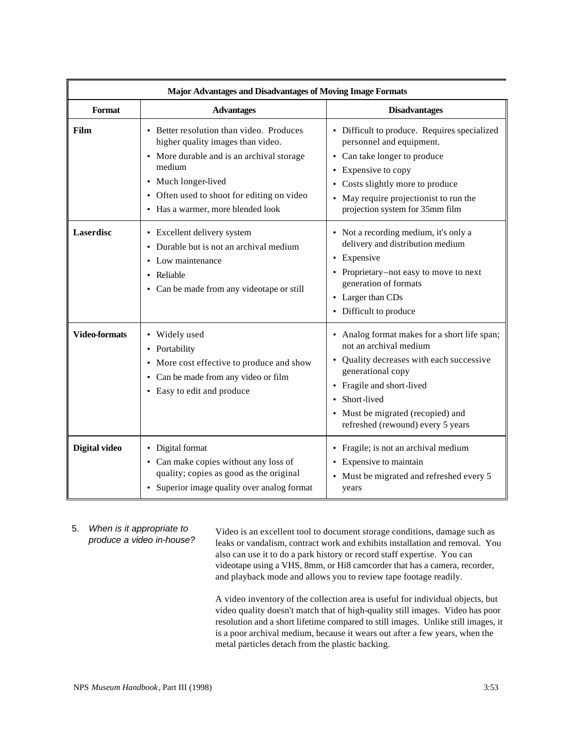| <b>Major Advantages and Disadvantages of Moving Image Formats</b> |                                                                                                                                                                                                                                                |                                                                                                                                                                                                                                                                          |
|-------------------------------------------------------------------|------------------------------------------------------------------------------------------------------------------------------------------------------------------------------------------------------------------------------------------------|--------------------------------------------------------------------------------------------------------------------------------------------------------------------------------------------------------------------------------------------------------------------------|
| Format                                                            | <b>Advantages</b>                                                                                                                                                                                                                              | <b>Disadvantages</b>                                                                                                                                                                                                                                                     |
| Film                                                              | • Better resolution than video. Produces<br>higher quality images than video.<br>• More durable and is an archival storage<br>medium<br>• Much longer-lived<br>• Often used to shoot for editing on video<br>• Has a warmer, more blended look | • Difficult to produce. Requires specialized<br>personnel and equipment.<br>• Can take longer to produce<br>Expensive to copy<br>$\bullet$<br>Costs slightly more to produce<br>May require projectionist to run the<br>$\bullet$<br>projection system for 35mm film     |
| Laserdisc                                                         | • Excellent delivery system<br>Durable but is not an archival medium<br>• Low maintenance<br>• Reliable<br>• Can be made from any videotape or still                                                                                           | • Not a recording medium, it's only a<br>delivery and distribution medium<br>• Expensive<br>• Proprietary–not easy to move to next<br>generation of formats<br>Larger than CDs<br>• Difficult to produce                                                                 |
| <b>Video-formats</b>                                              | • Widely used<br>• Portability<br>• More cost effective to produce and show<br>Can be made from any video or film<br>$\bullet$<br>• Easy to edit and produce                                                                                   | • Analog format makes for a short life span;<br>not an archival medium<br>• Quality decreases with each successive<br>generational copy<br>Fragile and short-lived<br>$\bullet$<br>Short-lived<br>• Must be migrated (recopied) and<br>refreshed (rewound) every 5 years |
| Digital video                                                     | • Digital format<br>• Can make copies without any loss of<br>quality; copies as good as the original<br>Superior image quality over analog format                                                                                              | Fragile; is not an archival medium<br>Expensive to maintain<br>$\bullet$<br>Must be migrated and refreshed every 5<br>years                                                                                                                                              |

# 5. *When is it appropriate to produce a video in-house?*

Video is an excellent tool to document storage conditions, damage such as leaks or vandalism, contract work and exhibits installation and removal. You also can use it to do a park history or record staff expertise. You can videotape using a VHS, 8mm, or Hi8 camcorder that has a camera, recorder, and playback mode and allows you to review tape footage readily.

A video inventory of the collection area is useful for individual objects, but video quality doesn't match that of high-quality still images. Video has poor resolution and a short lifetime compared to still images. Unlike still images, it is a poor archival medium, because it wears out after a few years, when the metal particles detach from the plastic backing.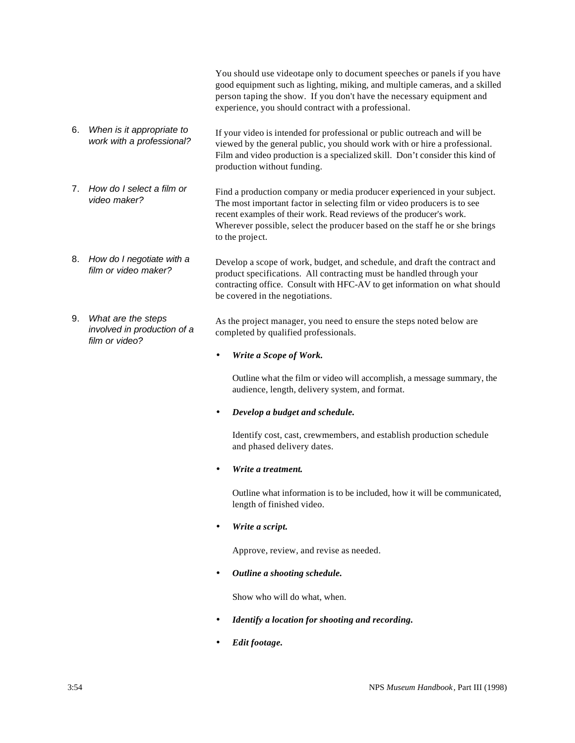|    |                                                                     | You should use videotape only to document speeches or panels if you have<br>good equipment such as lighting, miking, and multiple cameras, and a skilled<br>person taping the show. If you don't have the necessary equipment and<br>experience, you should contract with a professional.                                    |
|----|---------------------------------------------------------------------|------------------------------------------------------------------------------------------------------------------------------------------------------------------------------------------------------------------------------------------------------------------------------------------------------------------------------|
| 6. | When is it appropriate to<br>work with a professional?              | If your video is intended for professional or public outreach and will be<br>viewed by the general public, you should work with or hire a professional.<br>Film and video production is a specialized skill. Don't consider this kind of<br>production without funding.                                                      |
| 7. | How do I select a film or<br>video maker?                           | Find a production company or media producer experienced in your subject.<br>The most important factor in selecting film or video producers is to see<br>recent examples of their work. Read reviews of the producer's work.<br>Wherever possible, select the producer based on the staff he or she brings<br>to the project. |
| 8. | How do I negotiate with a<br>film or video maker?                   | Develop a scope of work, budget, and schedule, and draft the contract and<br>product specifications. All contracting must be handled through your<br>contracting office. Consult with HFC-AV to get information on what should<br>be covered in the negotiations.                                                            |
| 9. | What are the steps<br>involved in production of a<br>film or video? | As the project manager, you need to ensure the steps noted below are<br>completed by qualified professionals.                                                                                                                                                                                                                |
|    |                                                                     | Write a Scope of Work.                                                                                                                                                                                                                                                                                                       |
|    |                                                                     | Outline what the film or video will accomplish, a message summary, the<br>audience, length, delivery system, and format.                                                                                                                                                                                                     |
|    |                                                                     | Develop a budget and schedule.                                                                                                                                                                                                                                                                                               |
|    |                                                                     | Identify cost, cast, crewmembers, and establish production schedule<br>and phased delivery dates.                                                                                                                                                                                                                            |
|    |                                                                     | Write a treatment.                                                                                                                                                                                                                                                                                                           |
|    |                                                                     | Outline what information is to be included, how it will be communicated,<br>length of finished video.                                                                                                                                                                                                                        |

• *Write a script.*

Approve, review, and revise as needed.

• *Outline a shooting schedule.*

Show who will do what, when.

- *Identify a location for shooting and recording.*
- *Edit footage.*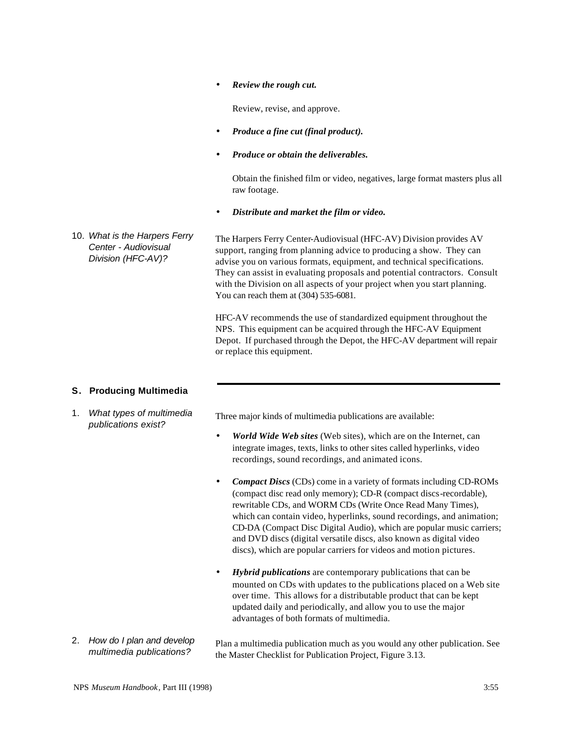• *Review the rough cut.*

Review, revise, and approve.

- *Produce a fine cut (final product).*
- *Produce or obtain the deliverables.*

Obtain the finished film or video, negatives, large format masters plus all raw footage.

• *Distribute and market the film or video.*

10. *What is the Harpers Ferry Center - Audiovisual Division (HFC-AV)?* The Harpers Ferry Center-Audiovisual (HFC-AV) Division provides AV support, ranging from planning advice to producing a show. They can advise you on various formats, equipment, and technical specifications. They can assist in evaluating proposals and potential contractors. Consult with the Division on all aspects of your project when you start planning. You can reach them at (304) 535-6081.

> HFC-AV recommends the use of standardized equipment throughout the NPS. This equipment can be acquired through the HFC-AV Equipment Depot. If purchased through the Depot, the HFC-AV department will repair or replace this equipment.

# **S. Producing Multimedia**

1. *What types of multimedia publications exist?*

Three major kinds of multimedia publications are available:

- *World Wide Web sites* (Web sites), which are on the Internet, can integrate images, texts, links to other sites called hyperlinks, video recordings, sound recordings, and animated icons.
- *Compact Discs* (CDs) come in a variety of formats including CD-ROMs (compact disc read only memory); CD-R (compact discs-recordable), rewritable CDs, and WORM CDs (Write Once Read Many Times), which can contain video, hyperlinks, sound recordings, and animation; CD-DA (Compact Disc Digital Audio), which are popular music carriers; and DVD discs (digital versatile discs, also known as digital video discs), which are popular carriers for videos and motion pictures.
- *Hybrid publications* are contemporary publications that can be mounted on CDs with updates to the publications placed on a Web site over time. This allows for a distributable product that can be kept updated daily and periodically, and allow you to use the major advantages of both formats of multimedia.
- 2. *How do I plan and develop multimedia publications?*

Plan a multimedia publication much as you would any other publication. See the Master Checklist for Publication Project, Figure 3.13.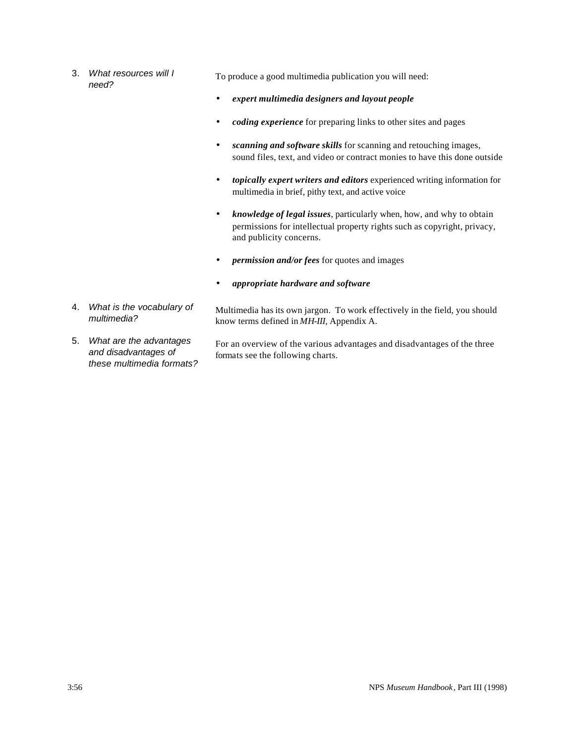3. *What resources will I need?*

To produce a good multimedia publication you will need:

- *expert multimedia designers and layout people*
- *coding experience* for preparing links to other sites and pages
- *scanning and software skills* for scanning and retouching images, sound files, text, and video or contract monies to have this done outside
- *topically expert writers and editors* experienced writing information for multimedia in brief, pithy text, and active voice
- *knowledge of legal issues*, particularly when, how, and why to obtain permissions for intellectual property rights such as copyright, privacy, and publicity concerns.
- *permission and/or fees* for quotes and images
- *appropriate hardware and software*
- 4. *What is the vocabulary of multimedia?*
- 5. *What are the advantages and disadvantages of these multimedia formats?*

know terms defined in *MH-III*, Appendix A.

Multimedia has its own jargon. To work effectively in the field, you should

For an overview of the various advantages and disadvantages of the three formats see the following charts.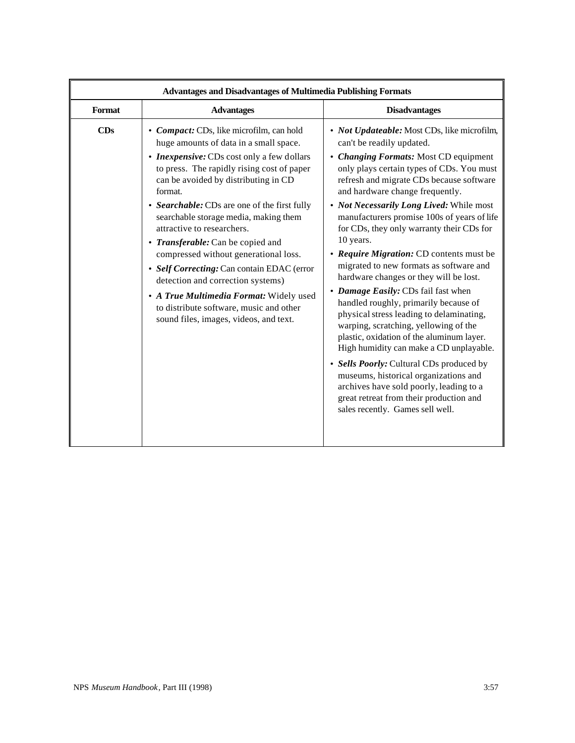| <b>Advantages and Disadvantages of Multimedia Publishing Formats</b> |                                                                                                                                                                                                                                                                                                                                                                                                                                                                                                                                                                                                                                                           |                                                                                                                                                                                                                                                                                                                                                                                                                                                                                                                                                                                                                                                                                                                                                                                                                                                                                                                                                                                                                 |
|----------------------------------------------------------------------|-----------------------------------------------------------------------------------------------------------------------------------------------------------------------------------------------------------------------------------------------------------------------------------------------------------------------------------------------------------------------------------------------------------------------------------------------------------------------------------------------------------------------------------------------------------------------------------------------------------------------------------------------------------|-----------------------------------------------------------------------------------------------------------------------------------------------------------------------------------------------------------------------------------------------------------------------------------------------------------------------------------------------------------------------------------------------------------------------------------------------------------------------------------------------------------------------------------------------------------------------------------------------------------------------------------------------------------------------------------------------------------------------------------------------------------------------------------------------------------------------------------------------------------------------------------------------------------------------------------------------------------------------------------------------------------------|
| Format                                                               | <b>Advantages</b>                                                                                                                                                                                                                                                                                                                                                                                                                                                                                                                                                                                                                                         | <b>Disadvantages</b>                                                                                                                                                                                                                                                                                                                                                                                                                                                                                                                                                                                                                                                                                                                                                                                                                                                                                                                                                                                            |
| CDs                                                                  | • Compact: CDs, like microfilm, can hold<br>huge amounts of data in a small space.<br>• Inexpensive: CDs cost only a few dollars<br>to press. The rapidly rising cost of paper<br>can be avoided by distributing in CD<br>format.<br>• Searchable: CDs are one of the first fully<br>searchable storage media, making them<br>attractive to researchers.<br>• Transferable: Can be copied and<br>compressed without generational loss.<br>• Self Correcting: Can contain EDAC (error<br>detection and correction systems)<br>· A True Multimedia Format: Widely used<br>to distribute software, music and other<br>sound files, images, videos, and text. | • Not Updateable: Most CDs, like microfilm,<br>can't be readily updated.<br>• Changing Formats: Most CD equipment<br>only plays certain types of CDs. You must<br>refresh and migrate CDs because software<br>and hardware change frequently.<br>• Not Necessarily Long Lived: While most<br>manufacturers promise 100s of years of life<br>for CDs, they only warranty their CDs for<br>10 years.<br>• Require Migration: CD contents must be<br>migrated to new formats as software and<br>hardware changes or they will be lost.<br>• Damage Easily: CDs fail fast when<br>handled roughly, primarily because of<br>physical stress leading to delaminating,<br>warping, scratching, yellowing of the<br>plastic, oxidation of the aluminum layer.<br>High humidity can make a CD unplayable.<br>• Sells Poorly: Cultural CDs produced by<br>museums, historical organizations and<br>archives have sold poorly, leading to a<br>great retreat from their production and<br>sales recently. Games sell well. |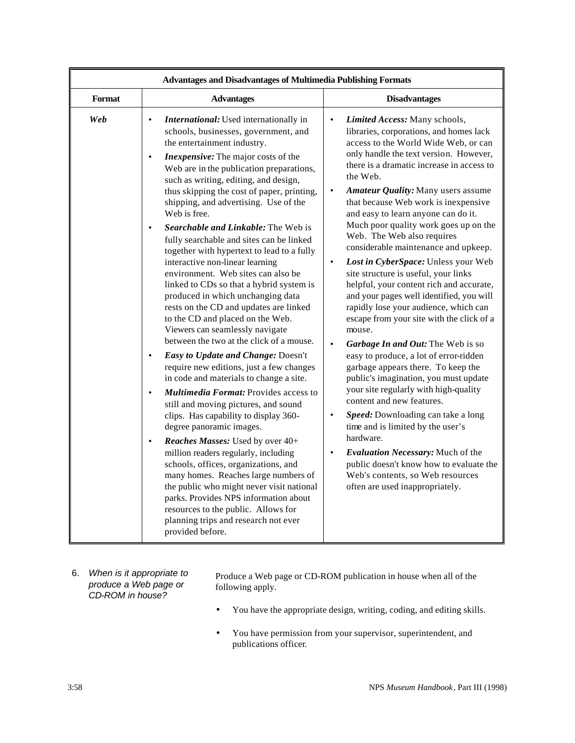|        | <b>Advantages and Disadvantages of Multimedia Publishing Formats</b>                                                                                                                                                                                                                                                                                                                                                                                                                                                                                                                                                                                                                                                                                                                                                                                                                                                                                                                                                                                                                                                                                                                                                                                                                                                                                                                                                                                                                                                     |                                                                                                                                                                                                                                                                                                                                                                                                                                                                                                                                                                                                                                                                                                                                                                                                                                                                                                                                                                                                                                                                                                                                                                                                                                                                                                 |
|--------|--------------------------------------------------------------------------------------------------------------------------------------------------------------------------------------------------------------------------------------------------------------------------------------------------------------------------------------------------------------------------------------------------------------------------------------------------------------------------------------------------------------------------------------------------------------------------------------------------------------------------------------------------------------------------------------------------------------------------------------------------------------------------------------------------------------------------------------------------------------------------------------------------------------------------------------------------------------------------------------------------------------------------------------------------------------------------------------------------------------------------------------------------------------------------------------------------------------------------------------------------------------------------------------------------------------------------------------------------------------------------------------------------------------------------------------------------------------------------------------------------------------------------|-------------------------------------------------------------------------------------------------------------------------------------------------------------------------------------------------------------------------------------------------------------------------------------------------------------------------------------------------------------------------------------------------------------------------------------------------------------------------------------------------------------------------------------------------------------------------------------------------------------------------------------------------------------------------------------------------------------------------------------------------------------------------------------------------------------------------------------------------------------------------------------------------------------------------------------------------------------------------------------------------------------------------------------------------------------------------------------------------------------------------------------------------------------------------------------------------------------------------------------------------------------------------------------------------|
| Format | <b>Advantages</b>                                                                                                                                                                                                                                                                                                                                                                                                                                                                                                                                                                                                                                                                                                                                                                                                                                                                                                                                                                                                                                                                                                                                                                                                                                                                                                                                                                                                                                                                                                        | <b>Disadvantages</b>                                                                                                                                                                                                                                                                                                                                                                                                                                                                                                                                                                                                                                                                                                                                                                                                                                                                                                                                                                                                                                                                                                                                                                                                                                                                            |
| Web    | International: Used internationally in<br>$\bullet$<br>schools, businesses, government, and<br>the entertainment industry.<br>Inexpensive: The major costs of the<br>Web are in the publication preparations,<br>such as writing, editing, and design,<br>thus skipping the cost of paper, printing,<br>shipping, and advertising. Use of the<br>Web is free.<br><b>Searchable and Linkable:</b> The Web is<br>$\bullet$<br>fully searchable and sites can be linked<br>together with hypertext to lead to a fully<br>interactive non-linear learning<br>environment. Web sites can also be<br>linked to CDs so that a hybrid system is<br>produced in which unchanging data<br>rests on the CD and updates are linked<br>to the CD and placed on the Web.<br>Viewers can seamlessly navigate<br>between the two at the click of a mouse.<br>Easy to Update and Change: Doesn't<br>$\bullet$<br>require new editions, just a few changes<br>in code and materials to change a site.<br>Multimedia Format: Provides access to<br>$\bullet$<br>still and moving pictures, and sound<br>clips. Has capability to display 360-<br>degree panoramic images.<br>Reaches Masses: Used by over 40+<br>$\bullet$<br>million readers regularly, including<br>schools, offices, organizations, and<br>many homes. Reaches large numbers of<br>the public who might never visit national<br>parks. Provides NPS information about<br>resources to the public. Allows for<br>planning trips and research not ever<br>provided before. | Limited Access: Many schools,<br>$\bullet$<br>libraries, corporations, and homes lack<br>access to the World Wide Web, or can<br>only handle the text version. However,<br>there is a dramatic increase in access to<br>the Web.<br>Amateur Quality: Many users assume<br>$\bullet$<br>that because Web work is inexpensive<br>and easy to learn anyone can do it.<br>Much poor quality work goes up on the<br>Web. The Web also requires<br>considerable maintenance and upkeep.<br>Lost in CyberSpace: Unless your Web<br>$\bullet$<br>site structure is useful, your links<br>helpful, your content rich and accurate,<br>and your pages well identified, you will<br>rapidly lose your audience, which can<br>escape from your site with the click of a<br>mouse.<br>Garbage In and Out: The Web is so<br>$\bullet$<br>easy to produce, a lot of error-ridden<br>garbage appears there. To keep the<br>public's imagination, you must update<br>your site regularly with high-quality<br>content and new features.<br>Speed: Downloading can take a long<br>$\bullet$<br>time and is limited by the user's<br>hardware.<br>Evaluation Necessary: Much of the<br>$\bullet$<br>public doesn't know how to evaluate the<br>Web's contents, so Web resources<br>often are used inappropriately. |

6. *When is it appropriate to produce a Web page or CD-ROM in house?*

Produce a Web page or CD-ROM publication in house when all of the following apply.

- You have the appropriate design, writing, coding, and editing skills.
- You have permission from your supervisor, superintendent, and publications officer*.*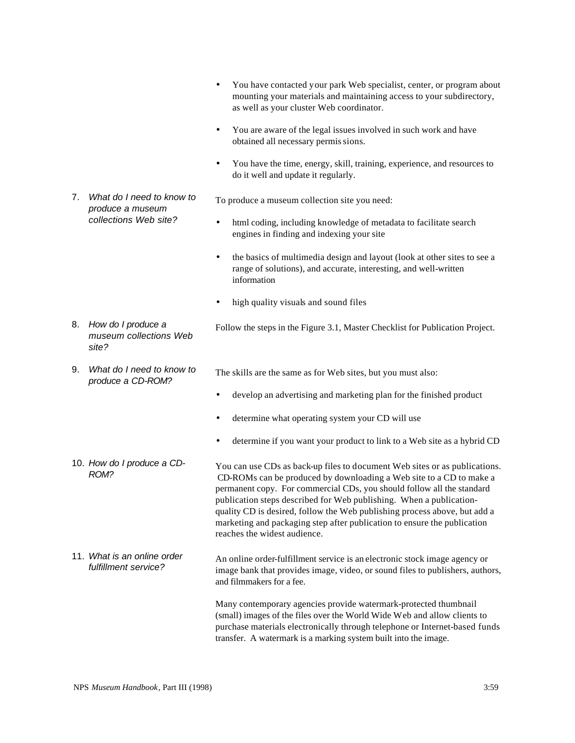• You have contacted your park Web specialist, center, or program about mounting your materials and maintaining access to your subdirectory, as well as your cluster Web coordinator. • You are aware of the legal issues involved in such work and have obtained all necessary permissions*.* • You have the time, energy, skill, training, experience, and resources to do it well and update it regularly. 7. *What do I need to know to produce a museum collections Web site?* To produce a museum collection site you need: html coding, including knowledge of metadata to facilitate search engines in finding and indexing your site • the basics of multimedia design and layout (look at other sites to see a range of solutions), and accurate, interesting, and well-written information high quality visuals and sound files 8. *How do I produce a museum collections Web site?* Follow the steps in the Figure 3.1, Master Checklist for Publication Project. 9. *What do I need to know to produce a CD-ROM?* The skills are the same as for Web sites, but you must also: develop an advertising and marketing plan for the finished product determine what operating system your CD will use determine if you want your product to link to a Web site as a hybrid CD 10. *How do I produce a CD-ROM?* You can use CDs as back-up files to document Web sites or as publications. CD-ROMs can be produced by downloading a Web site to a CD to make a permanent copy. For commercial CDs, you should follow all the standard publication steps described for Web publishing. When a publicationquality CD is desired, follow the Web publishing process above, but add a marketing and packaging step after publication to ensure the publication reaches the widest audience. 11. *What is an online order fulfillment service?* An online order-fulfillment service is an electronic stock image agency or image bank that provides image, video, or sound files to publishers, authors, and filmmakers for a fee. Many contemporary agencies provide watermark-protected thumbnail (small) images of the files over the World Wide Web and allow clients to purchase materials electronically through telephone or Internet-based funds transfer. A watermark is a marking system built into the image.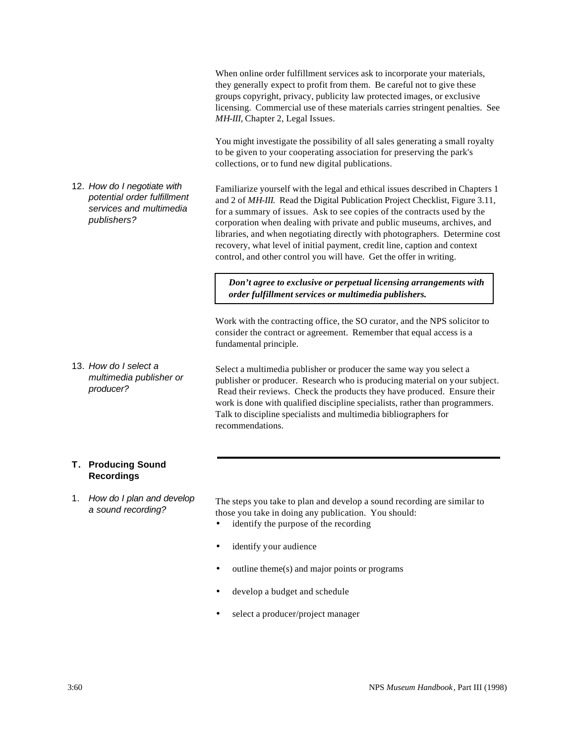When online order fulfillment services ask to incorporate your materials, they generally expect to profit from them. Be careful not to give these groups copyright, privacy, publicity law protected images, or exclusive licensing. Commercial use of these materials carries stringent penalties. See *MH-III,* Chapter 2, Legal Issues.

You might investigate the possibility of all sales generating a small royalty to be given to your cooperating association for preserving the park's collections, or to fund new digital publications.

12. *How do I negotiate with potential order fulfillment services and multimedia publishers?*

Familiarize yourself with the legal and ethical issues described in Chapters 1 and 2 of *MH-III.* Read the Digital Publication Project Checklist, Figure 3.11, for a summary of issues. Ask to see copies of the contracts used by the corporation when dealing with private and public museums, archives, and libraries, and when negotiating directly with photographers. Determine cost recovery, what level of initial payment, credit line, caption and context control, and other control you will have. Get the offer in writing.

*Don't agree to exclusive or perpetual licensing arrangements with order fulfillment services or multimedia publishers.*

Work with the contracting office, the SO curator, and the NPS solicitor to consider the contract or agreement. Remember that equal access is a fundamental principle.

13. *How do I select a multimedia publisher or producer?* Select a multimedia publisher or producer the same way you select a publisher or producer. Research who is producing material on your subject. Read their reviews. Check the products they have produced. Ensure their work is done with qualified discipline specialists, rather than programmers. Talk to discipline specialists and multimedia bibliographers for recommendations.

# **T. Producing Sound Recordings**

1. *How do I plan and develop a sound recording?*

The steps you take to plan and develop a sound recording are similar to those you take in doing any publication. You should:

- identify the purpose of the recording
- identify your audience
- outline theme(s) and major points or programs
- develop a budget and schedule
- select a producer/project manager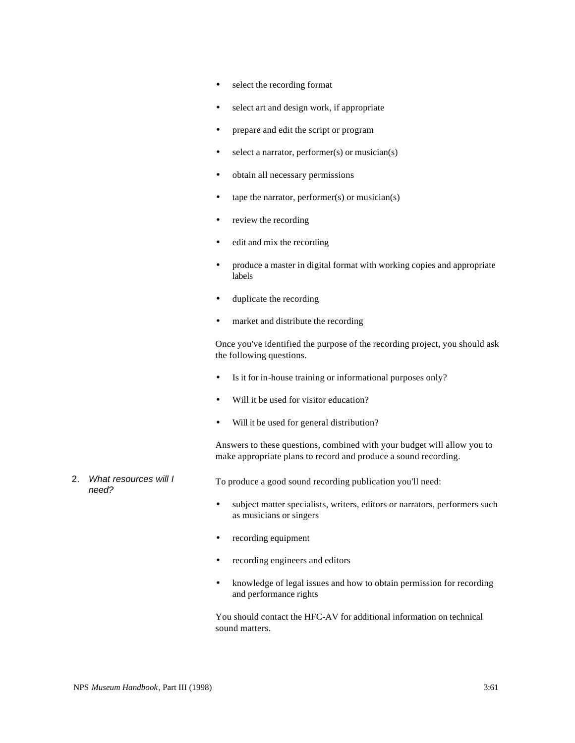- select the recording format
- select art and design work, if appropriate
- prepare and edit the script or program
- select a narrator, performer $(s)$  or musician $(s)$
- obtain all necessary permissions
- tape the narrator, performer $(s)$  or musician $(s)$
- review the recording
- edit and mix the recording
- produce a master in digital format with working copies and appropriate labels
- duplicate the recording
- market and distribute the recording

Once you've identified the purpose of the recording project, you should ask the following questions.

- Is it for in-house training or informational purposes only?
- Will it be used for visitor education?
- Will it be used for general distribution?

Answers to these questions, combined with your budget will allow you to make appropriate plans to record and produce a sound recording.

- 2. *What resources will I need?*
	- To produce a good sound recording publication you'll need:
	- subject matter specialists, writers, editors or narrators, performers such as musicians or singers
	- recording equipment
	- recording engineers and editors
	- knowledge of legal issues and how to obtain permission for recording and performance rights

You should contact the HFC-AV for additional information on technical sound matters.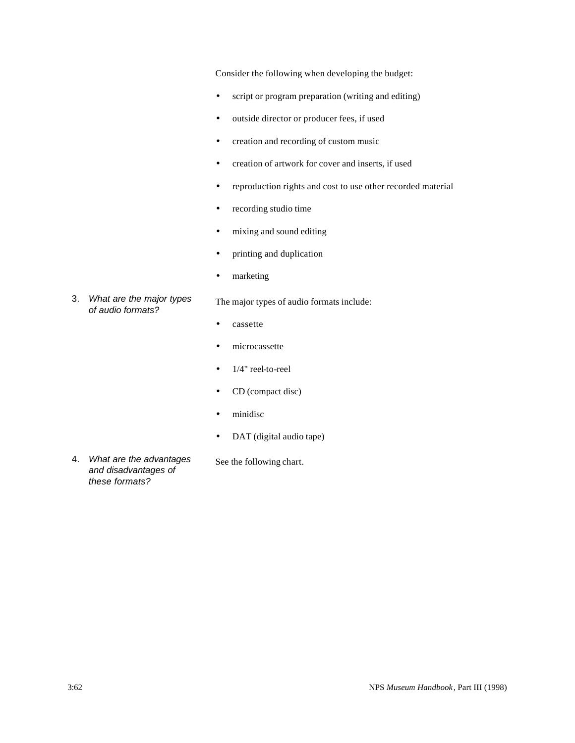Consider the following when developing the budget:

- script or program preparation (writing and editing)
- outside director or producer fees, if used
- creation and recording of custom music
- creation of artwork for cover and inserts, if used
- reproduction rights and cost to use other recorded material
- recording studio time
- mixing and sound editing
- printing and duplication
- marketing
- 3. *What are the major types of audio formats?*
- The major types of audio formats include:
- cassette
- microcassette
- 1/4" reel-to-reel
- CD (compact disc)
- minidisc
- DAT (digital audio tape)
- 4. *What are the advantages and disadvantages of these formats?*
- See the following chart.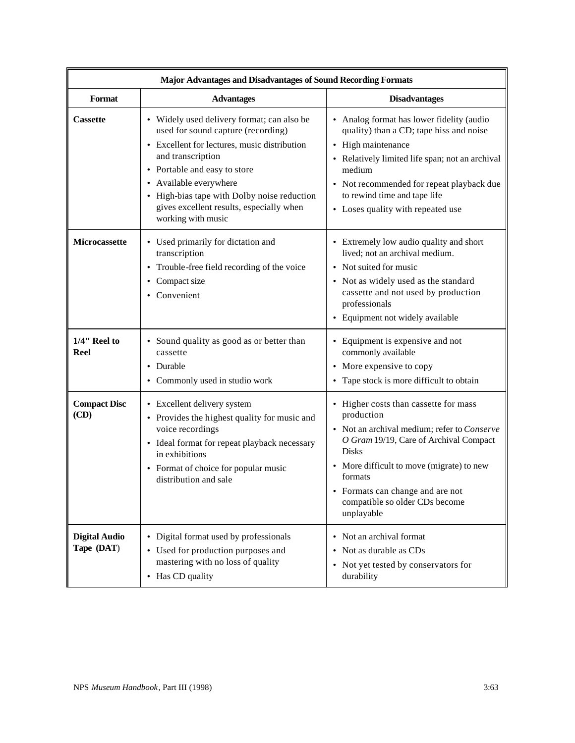| <b>Major Advantages and Disadvantages of Sound Recording Formats</b> |                                                                                                                                                                                                                                                                                                                                  |                                                                                                                                                                                                                                                                                                          |
|----------------------------------------------------------------------|----------------------------------------------------------------------------------------------------------------------------------------------------------------------------------------------------------------------------------------------------------------------------------------------------------------------------------|----------------------------------------------------------------------------------------------------------------------------------------------------------------------------------------------------------------------------------------------------------------------------------------------------------|
| Format                                                               | <b>Advantages</b>                                                                                                                                                                                                                                                                                                                | <b>Disadvantages</b>                                                                                                                                                                                                                                                                                     |
| <b>Cassette</b>                                                      | • Widely used delivery format; can also be<br>used for sound capture (recording)<br>• Excellent for lectures, music distribution<br>and transcription<br>• Portable and easy to store<br>• Available everywhere<br>• High-bias tape with Dolby noise reduction<br>gives excellent results, especially when<br>working with music | • Analog format has lower fidelity (audio<br>quality) than a CD; tape hiss and noise<br>• High maintenance<br>• Relatively limited life span; not an archival<br>medium<br>• Not recommended for repeat playback due<br>to rewind time and tape life<br>• Loses quality with repeated use                |
| Microcassette                                                        | • Used primarily for dictation and<br>transcription<br>Trouble-free field recording of the voice<br>$\bullet$<br>Compact size<br>٠<br>• Convenient                                                                                                                                                                               | • Extremely low audio quality and short<br>lived; not an archival medium.<br>• Not suited for music<br>• Not as widely used as the standard<br>cassette and not used by production<br>professionals<br>• Equipment not widely available                                                                  |
| 1/4" Reel to<br>Reel                                                 | • Sound quality as good as or better than<br>cassette<br>Durable<br>Commonly used in studio work                                                                                                                                                                                                                                 | • Equipment is expensive and not<br>commonly available<br>• More expensive to copy<br>Tape stock is more difficult to obtain                                                                                                                                                                             |
| <b>Compact Disc</b><br>(CD)                                          | • Excellent delivery system<br>• Provides the highest quality for music and<br>voice recordings<br>• Ideal format for repeat playback necessary<br>in exhibitions<br>• Format of choice for popular music<br>distribution and sale                                                                                               | • Higher costs than cassette for mass<br>production<br>• Not an archival medium; refer to Conserve<br>O Gram 19/19, Care of Archival Compact<br><b>Disks</b><br>• More difficult to move (migrate) to new<br>formats<br>• Formats can change and are not<br>compatible so older CDs become<br>unplayable |
| <b>Digital Audio</b><br>Tape (DAT)                                   | • Digital format used by professionals<br>• Used for production purposes and<br>mastering with no loss of quality<br>Has CD quality<br>$\bullet$                                                                                                                                                                                 | Not an archival format<br>$\bullet$<br>Not as durable as CDs<br>Not yet tested by conservators for<br>$\bullet$<br>durability                                                                                                                                                                            |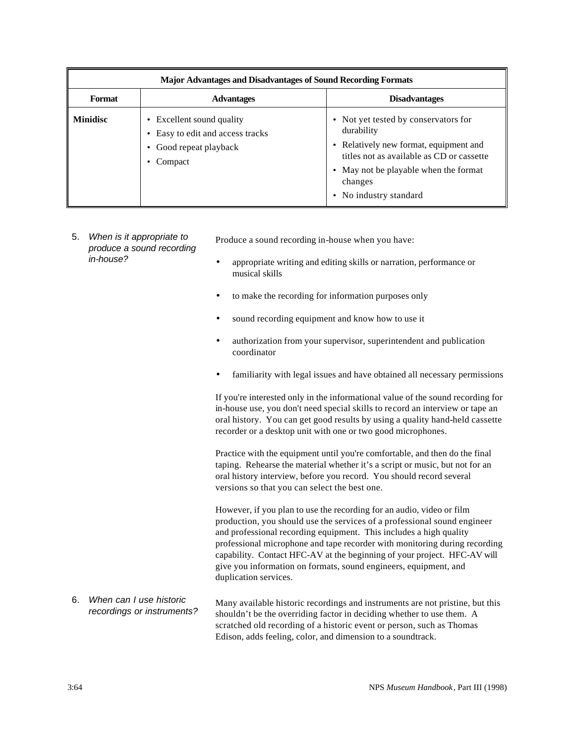| <b>Major Advantages and Disadvantages of Sound Recording Formats</b> |                                                                                                      |                                                                                                                                                                                                                         |
|----------------------------------------------------------------------|------------------------------------------------------------------------------------------------------|-------------------------------------------------------------------------------------------------------------------------------------------------------------------------------------------------------------------------|
| Format                                                               | <b>Advantages</b>                                                                                    | <b>Disadvantages</b>                                                                                                                                                                                                    |
| <b>Minidisc</b>                                                      | • Excellent sound quality<br>• Easy to edit and access tracks<br>• Good repeat playback<br>• Compact | • Not yet tested by conservators for<br>durability<br>• Relatively new format, equipment and<br>titles not as available as CD or cassette<br>• May not be playable when the format<br>changes<br>• No industry standard |

5. *When is it appropriate to produce a sound recording in-house?*

Produce a sound recording in-house when you have:

- appropriate writing and editing skills or narration, performance or musical skills
- to make the recording for information purposes only
- sound recording equipment and know how to use it
- authorization from your supervisor, superintendent and publication coordinator
- familiarity with legal issues and have obtained all necessary permissions

If you're interested only in the informational value of the sound recording for in-house use, you don't need special skills to record an interview or tape an oral history. You can get good results by using a quality hand-held cassette recorder or a desktop unit with one or two good microphones.

Practice with the equipment until you're comfortable, and then do the final taping. Rehearse the material whether it's a script or music, but not for an oral history interview, before you record. You should record several versions so that you can select the best one.

However, if you plan to use the recording for an audio, video or film production, you should use the services of a professional sound engineer and professional recording equipment. This includes a high quality professional microphone and tape recorder with monitoring during recording capability. Contact HFC-AV at the beginning of your project. HFC-AV will give you information on formats, sound engineers, equipment, and duplication services.

6. *When can I use historic recordings or instruments?* Many available historic recordings and instruments are not pristine, but this shouldn't be the overriding factor in deciding whether to use them. A scratched old recording of a historic event or person, such as Thomas Edison, adds feeling, color, and dimension to a soundtrack.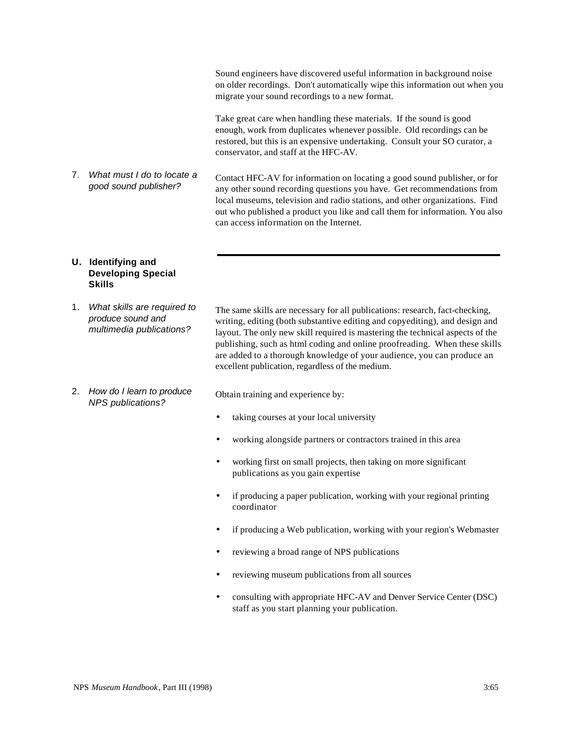Sound engineers have discovered useful information in background noise on older recordings. Don't automatically wipe this information out when you migrate your sound recordings to a new format.

Take great care when handling these materials. If the sound is good enough, work from duplicates whenever possible. Old recordings can be restored, but this is an expensive undertaking. Consult your SO curator, a conservator, and staff at the HFC-AV.

7. *What must I do to locate a good sound publisher?* Contact HFC-AV for information on locating a good sound publisher, or for any other sound recording questions you have. Get recommendations from local museums, television and radio stations, and other organizations. Find out who published a product you like and call them for information. You also can access information on the Internet.

# **U. Identifying and Developing Special Skills**

- 1. *What skills are required to produce sound and multimedia publications?*
- 2. *How do I learn to produce NPS publications?*

The same skills are necessary for all publications: research, fact-checking, writing, editing (both substantive editing and copyediting), and design and layout. The only new skill required is mastering the technical aspects of the publishing, such as html coding and online proofreading. When these skills are added to a thorough knowledge of your audience, you can produce an excellent publication, regardless of the medium.

Obtain training and experience by:

- taking courses at your local university
- working alongside partners or contractors trained in this area
- working first on small projects, then taking on more significant publications as you gain expertise
- if producing a paper publication, working with your regional printing coordinator
- if producing a Web publication, working with your region's Webmaster
- reviewing a broad range of NPS publications
- reviewing museum publications from all sources
- consulting with appropriate HFC-AV and Denver Service Center (DSC) staff as you start planning your publication.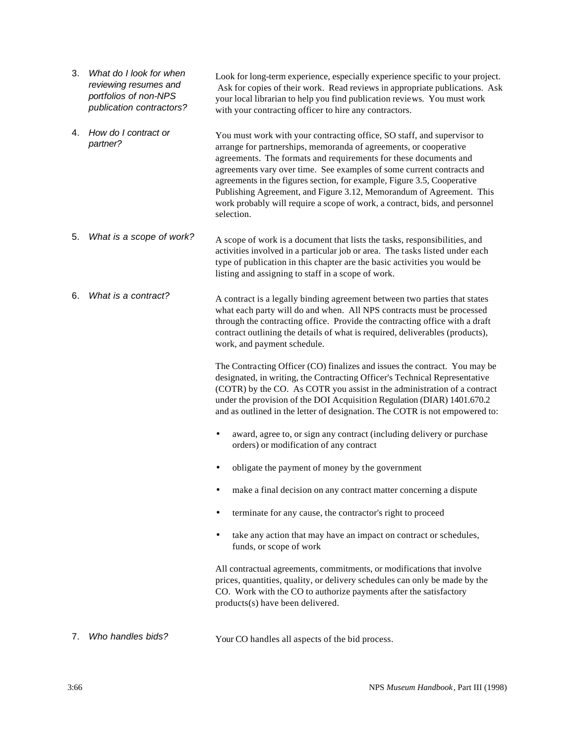| 3. | What do I look for when<br>reviewing resumes and<br>portfolios of non-NPS<br>publication contractors? | Look for long-term experience, especially experience specific to your project.<br>Ask for copies of their work. Read reviews in appropriate publications. Ask<br>your local librarian to help you find publication reviews. You must work<br>with your contracting officer to hire any contractors.                                                                                                                                                                                                                                       |  |
|----|-------------------------------------------------------------------------------------------------------|-------------------------------------------------------------------------------------------------------------------------------------------------------------------------------------------------------------------------------------------------------------------------------------------------------------------------------------------------------------------------------------------------------------------------------------------------------------------------------------------------------------------------------------------|--|
| 4. | How do I contract or<br>partner?                                                                      | You must work with your contracting office, SO staff, and supervisor to<br>arrange for partnerships, memoranda of agreements, or cooperative<br>agreements. The formats and requirements for these documents and<br>agreements vary over time. See examples of some current contracts and<br>agreements in the figures section, for example, Figure 3.5, Cooperative<br>Publishing Agreement, and Figure 3.12, Memorandum of Agreement. This<br>work probably will require a scope of work, a contract, bids, and personnel<br>selection. |  |
| 5. | What is a scope of work?                                                                              | A scope of work is a document that lists the tasks, responsibilities, and<br>activities involved in a particular job or area. The tasks listed under each<br>type of publication in this chapter are the basic activities you would be<br>listing and assigning to staff in a scope of work.                                                                                                                                                                                                                                              |  |
| 6. | What is a contract?                                                                                   | A contract is a legally binding agreement between two parties that states<br>what each party will do and when. All NPS contracts must be processed<br>through the contracting office. Provide the contracting office with a draft<br>contract outlining the details of what is required, deliverables (products),<br>work, and payment schedule.                                                                                                                                                                                          |  |
|    |                                                                                                       | The Contracting Officer (CO) finalizes and issues the contract. You may be<br>designated, in writing, the Contracting Officer's Technical Representative<br>(COTR) by the CO. As COTR you assist in the administration of a contract<br>under the provision of the DOI Acquisition Regulation (DIAR) 1401.670.2<br>and as outlined in the letter of designation. The COTR is not empowered to:                                                                                                                                            |  |
|    |                                                                                                       | award, agree to, or sign any contract (including delivery or purchase<br>orders) or modification of any contract                                                                                                                                                                                                                                                                                                                                                                                                                          |  |
|    |                                                                                                       | obligate the payment of money by the government                                                                                                                                                                                                                                                                                                                                                                                                                                                                                           |  |
|    |                                                                                                       | make a final decision on any contract matter concerning a dispute                                                                                                                                                                                                                                                                                                                                                                                                                                                                         |  |
|    |                                                                                                       | terminate for any cause, the contractor's right to proceed                                                                                                                                                                                                                                                                                                                                                                                                                                                                                |  |
|    |                                                                                                       | take any action that may have an impact on contract or schedules,<br>funds, or scope of work                                                                                                                                                                                                                                                                                                                                                                                                                                              |  |
|    |                                                                                                       | All contractual agreements, commitments, or modifications that involve<br>prices, quantities, quality, or delivery schedules can only be made by the<br>CO. Work with the CO to authorize payments after the satisfactory<br>products(s) have been delivered.                                                                                                                                                                                                                                                                             |  |
| 7. | Who handles bids?                                                                                     | Your CO handles all aspects of the bid process.                                                                                                                                                                                                                                                                                                                                                                                                                                                                                           |  |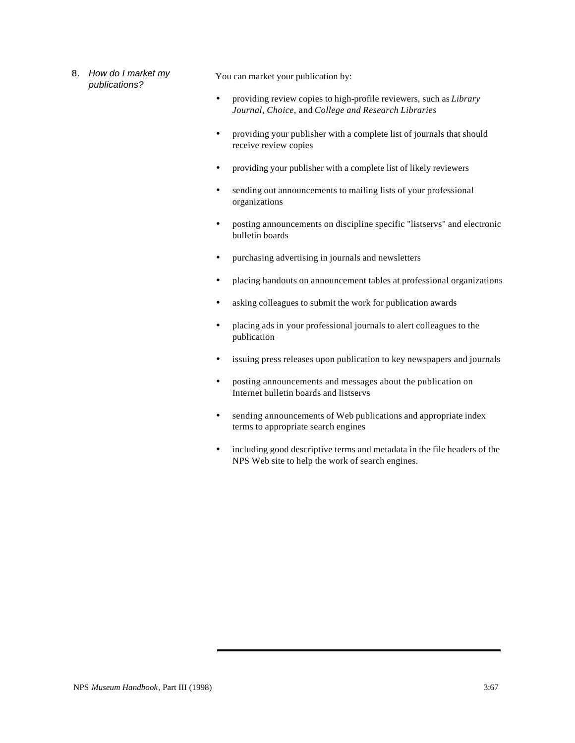8. *How do I market my publications?*

You can market your publication by:

- providing review copies to high-profile reviewers, such as *Library Journal, Choice,* and *College and Research Libraries*
- providing your publisher with a complete list of journals that should receive review copies
- providing your publisher with a complete list of likely reviewers
- sending out announcements to mailing lists of your professional organizations
- posting announcements on discipline specific "listservs" and electronic bulletin boards
- purchasing advertising in journals and newsletters
- placing handouts on announcement tables at professional organizations
- asking colleagues to submit the work for publication awards
- placing ads in your professional journals to alert colleagues to the publication
- issuing press releases upon publication to key newspapers and journals
- posting announcements and messages about the publication on Internet bulletin boards and listservs
- sending announcements of Web publications and appropriate index terms to appropriate search engines
- including good descriptive terms and metadata in the file headers of the NPS Web site to help the work of search engines.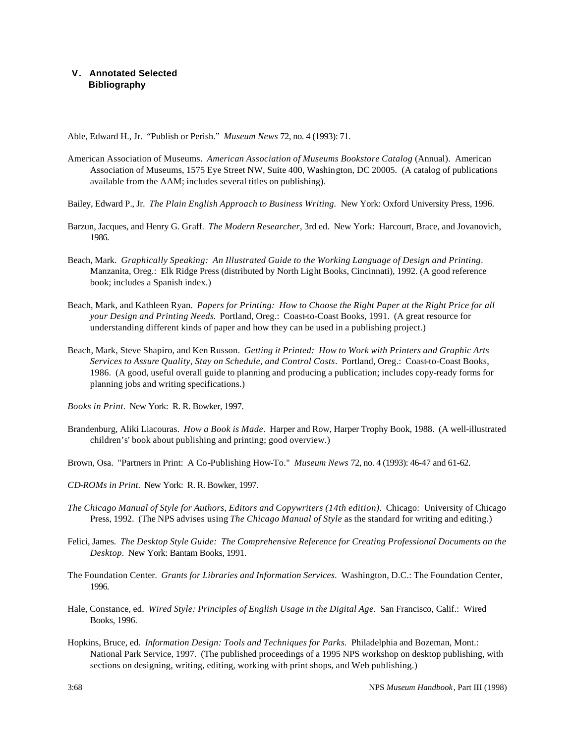# **V. Annotated Selected Bibliography**

Able, Edward H., Jr. "Publish or Perish." *Museum News* 72, no. 4 (1993): 71.

- American Association of Museums. *American Association of Museums Bookstore Catalog* (Annual). American Association of Museums, 1575 Eye Street NW, Suite 400, Washington, DC 20005. (A catalog of publications available from the AAM; includes several titles on publishing).
- Bailey, Edward P., Jr. *The Plain English Approach to Business Writing.* New York: Oxford University Press, 1996.
- Barzun, Jacques, and Henry G. Graff. *The Modern Researcher*, 3rd ed. New York: Harcourt, Brace, and Jovanovich, 1986.
- Beach, Mark. *Graphically Speaking: An Illustrated Guide to the Working Language of Design and Printing*. Manzanita, Oreg.: Elk Ridge Press (distributed by North Light Books, Cincinnati), 1992. (A good reference book; includes a Spanish index.)
- Beach, Mark, and Kathleen Ryan. *Papers for Printing: How to Choose the Right Paper at the Right Price for all your Design and Printing Needs*. Portland, Oreg.: Coast-to-Coast Books, 1991. (A great resource for understanding different kinds of paper and how they can be used in a publishing project.)
- Beach, Mark, Steve Shapiro, and Ken Russon. *Getting it Printed: How to Work with Printers and Graphic Arts Services to Assure Quality, Stay on Schedule, and Control Costs*. Portland, Oreg.: Coast-to-Coast Books, 1986. (A good, useful overall guide to planning and producing a publication; includes copy-ready forms for planning jobs and writing specifications.)

*Books in Print.* New York: R. R. Bowker, 1997.

- Brandenburg, Aliki Liacouras. *How a Book is Made*. Harper and Row, Harper Trophy Book, 1988. (A well-illustrated children's' book about publishing and printing; good overview.)
- Brown, Osa. "Partners in Print: A Co-Publishing How-To." *Museum News* 72, no. 4 (1993): 46-47 and 61-62.
- *CD-ROMs in Print.* New York: R. R. Bowker, 1997.
- *The Chicago Manual of Style for Authors, Editors and Copywriters (14th edition).* Chicago: University of Chicago Press, 1992. (The NPS advises using *The Chicago Manual of Style* as the standard for writing and editing.)
- Felici, James. *The Desktop Style Guide: The Comprehensive Reference for Creating Professional Documents on the Desktop.* New York: Bantam Books, 1991.
- The Foundation Center. *Grants for Libraries and Information Services.* Washington, D.C.: The Foundation Center, 1996.
- Hale, Constance, ed. *Wired Style: Principles of English Usage in the Digital Age.* San Francisco, Calif.: Wired Books, 1996.
- Hopkins, Bruce, ed. *Information Design: Tools and Techniques for Parks.* Philadelphia and Bozeman, Mont.: National Park Service, 1997. (The published proceedings of a 1995 NPS workshop on desktop publishing, with sections on designing, writing, editing, working with print shops, and Web publishing.)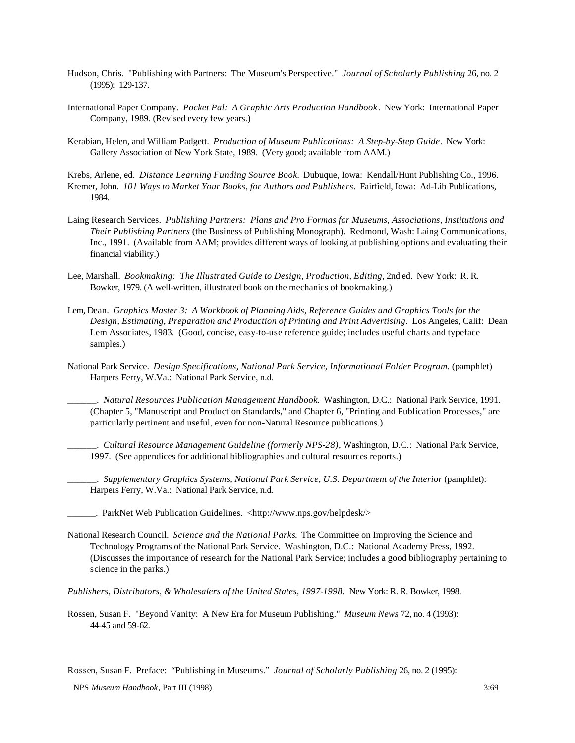- Hudson, Chris. "Publishing with Partners: The Museum's Perspective." *Journal of Scholarly Publishing* 26, no. 2 (1995): 129-137.
- International Paper Company. *Pocket Pal: A Graphic Arts Production Handbook*. New York: International Paper Company, 1989. (Revised every few years.)
- Kerabian, Helen, and William Padgett. *Production of Museum Publications: A Step-by-Step Guide*. New York: Gallery Association of New York State, 1989. (Very good; available from AAM.)
- Krebs, Arlene, ed. *Distance Learning Funding Source Book.* Dubuque, Iowa: Kendall/Hunt Publishing Co., 1996. Kremer, John. *101 Ways to Market Your Books, for Authors and Publishers*. Fairfield, Iowa: Ad-Lib Publications, 1984.
- Laing Research Services. *Publishing Partners: Plans and Pro Formas for Museums, Associations, Institutions and Their Publishing Partners* (the Business of Publishing Monograph). Redmond, Wash: Laing Communications, Inc., 1991. (Available from AAM; provides different ways of looking at publishing options and evaluating their financial viability.)
- Lee, Marshall. *Bookmaking: The Illustrated Guide to Design, Production, Editing*, 2nd ed. New York: R. R. Bowker, 1979. (A well-written, illustrated book on the mechanics of bookmaking.)
- Lem, Dean. *Graphics Master 3: A Workbook of Planning Aids, Reference Guides and Graphics Tools for the Design, Estimating, Preparation and Production of Printing and Print Advertising*. Los Angeles, Calif: Dean Lem Associates, 1983. (Good, concise, easy-to-use reference guide; includes useful charts and typeface samples.)
- National Park Service. *Design Specifications, National Park Service, Informational Folder Program.* (pamphlet) Harpers Ferry, W.Va.: National Park Service, n.d.
- \_\_\_\_\_\_. *Natural Resources Publication Management Handbook.* Washington, D.C.: National Park Service, 1991. (Chapter 5, "Manuscript and Production Standards," and Chapter 6, "Printing and Publication Processes," are particularly pertinent and useful, even for non-Natural Resource publications.)
	- \_\_\_\_\_\_. *Cultural Resource Management Guideline (formerly NPS-28)*, Washington, D.C.: National Park Service, 1997. (See appendices for additional bibliographies and cultural resources reports.)
- \_\_\_\_\_\_. *Supplementary Graphics Systems, National Park Service, U.S. Department of the Interior* (pamphlet): Harpers Ferry, W.Va.: National Park Service, n.d.
	- . ParkNet Web Publication Guidelines. <http://www.nps.gov/helpdesk/>
- National Research Council. *Science and the National Parks*. The Committee on Improving the Science and Technology Programs of the National Park Service. Washington, D.C.: National Academy Press, 1992. (Discusses the importance of research for the National Park Service; includes a good bibliography pertaining to science in the parks.)
- *Publishers, Distributors, & Wholesalers of the United States, 1997-1998.* New York: R. R. Bowker, 1998.
- Rossen, Susan F. "Beyond Vanity: A New Era for Museum Publishing." *Museum News* 72, no. 4 (1993): 44-45 and 59-62.

Rossen, Susan F. Preface: "Publishing in Museums." *Journal of Scholarly Publishing* 26, no. 2 (1995):

NPS *Museum Handbook*, Part III (1998) 3:69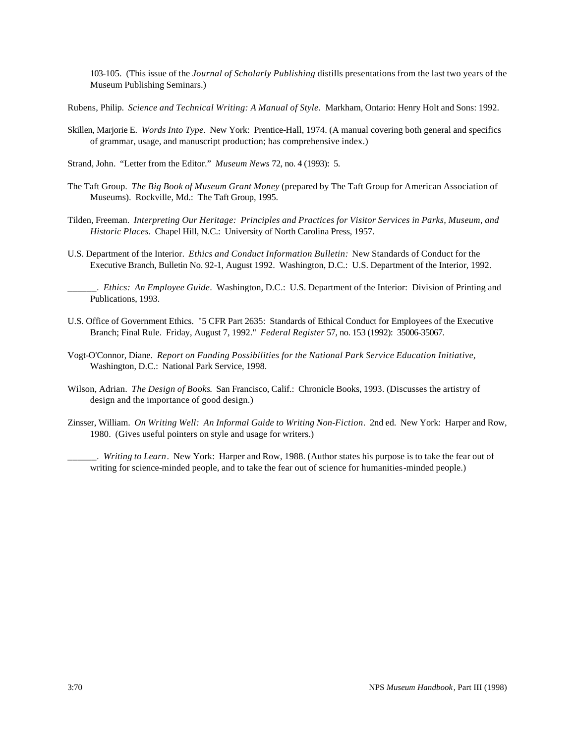103-105. (This issue of the *Journal of Scholarly Publishing* distills presentations from the last two years of the Museum Publishing Seminars.)

- Rubens, Philip. *Science and Technical Writing: A Manual of Style.* Markham, Ontario: Henry Holt and Sons: 1992.
- Skillen, Marjorie E. *Words Into Type*. New York: Prentice-Hall, 1974. (A manual covering both general and specifics of grammar, usage, and manuscript production; has comprehensive index.)
- Strand, John. "Letter from the Editor." *Museum News* 72, no. 4 (1993): 5.
- The Taft Group. *The Big Book of Museum Grant Money* (prepared by The Taft Group for American Association of Museums). Rockville, Md.: The Taft Group, 1995.
- Tilden, Freeman. *Interpreting Our Heritage: Principles and Practices for Visitor Services in Parks, Museum, and Historic Places*. Chapel Hill, N.C.: University of North Carolina Press, 1957.
- U.S. Department of the Interior. *Ethics and Conduct Information Bulletin:* New Standards of Conduct for the Executive Branch, Bulletin No. 92-1, August 1992. Washington, D.C.: U.S. Department of the Interior, 1992.
	- \_\_\_\_\_\_. *Ethics: An Employee Guide*. Washington, D.C.: U.S. Department of the Interior: Division of Printing and Publications, 1993.
- U.S. Office of Government Ethics. "5 CFR Part 2635: Standards of Ethical Conduct for Employees of the Executive Branch; Final Rule. Friday, August 7, 1992." *Federal Register* 57, no. 153 (1992): 35006-35067.
- Vogt-O'Connor, Diane. *Report on Funding Possibilities for the National Park Service Education Initiative,* Washington, D.C.: National Park Service, 1998.
- Wilson, Adrian. *The Design of Books*. San Francisco, Calif.: Chronicle Books, 1993. (Discusses the artistry of design and the importance of good design.)
- Zinsser, William. *On Writing Well: An Informal Guide to Writing Non-Fiction*. 2nd ed. New York: Harper and Row, 1980. (Gives useful pointers on style and usage for writers.)
- \_\_\_\_\_\_. *Writing to Learn*. New York: Harper and Row, 1988. (Author states his purpose is to take the fear out of writing for science-minded people, and to take the fear out of science for humanities-minded people.)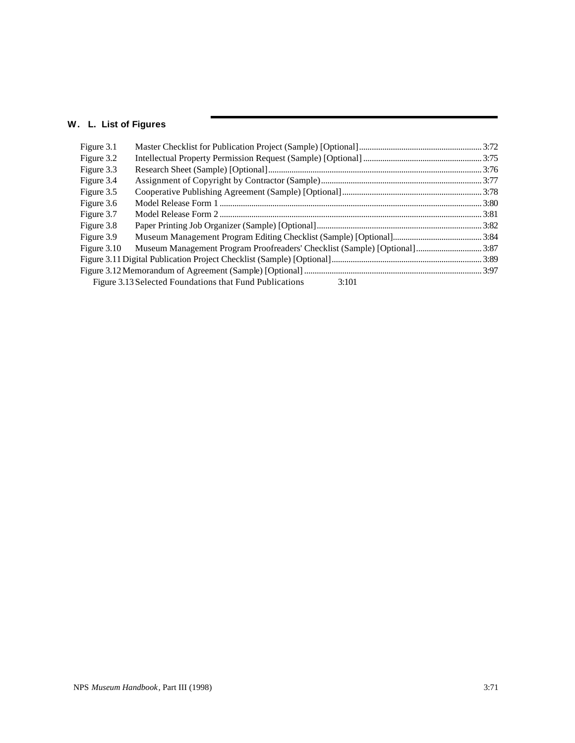# **W. L. List of Figures**

| Figure 3.1  |                                                                            |  |
|-------------|----------------------------------------------------------------------------|--|
| Figure 3.2  |                                                                            |  |
| Figure 3.3  |                                                                            |  |
| Figure 3.4  |                                                                            |  |
| Figure 3.5  |                                                                            |  |
| Figure 3.6  |                                                                            |  |
| Figure 3.7  |                                                                            |  |
| Figure 3.8  |                                                                            |  |
| Figure 3.9  |                                                                            |  |
| Figure 3.10 | Museum Management Program Proofreaders' Checklist (Sample) [Optional] 3:87 |  |
|             |                                                                            |  |
|             |                                                                            |  |
|             | Figure 3.13 Selected Foundations that Fund Publications 3:101              |  |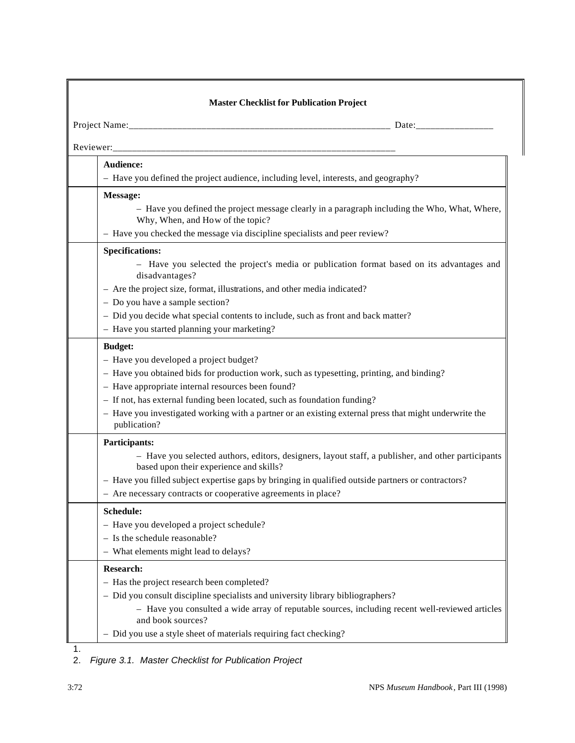| <b>Master Checklist for Publication Project</b>                                                                                               |
|-----------------------------------------------------------------------------------------------------------------------------------------------|
| Date:                                                                                                                                         |
|                                                                                                                                               |
| Audience:                                                                                                                                     |
| - Have you defined the project audience, including level, interests, and geography?                                                           |
|                                                                                                                                               |
| Message:<br>- Have you defined the project message clearly in a paragraph including the Who, What, Where,<br>Why, When, and How of the topic? |
| - Have you checked the message via discipline specialists and peer review?                                                                    |
| <b>Specifications:</b>                                                                                                                        |
| - Have you selected the project's media or publication format based on its advantages and<br>disadvantages?                                   |
| - Are the project size, format, illustrations, and other media indicated?                                                                     |
| - Do you have a sample section?                                                                                                               |
| - Did you decide what special contents to include, such as front and back matter?                                                             |
| - Have you started planning your marketing?                                                                                                   |
| <b>Budget:</b>                                                                                                                                |
| - Have you developed a project budget?                                                                                                        |
| - Have you obtained bids for production work, such as typesetting, printing, and binding?                                                     |
| - Have appropriate internal resources been found?                                                                                             |
| - If not, has external funding been located, such as foundation funding?                                                                      |
| - Have you investigated working with a partner or an existing external press that might underwrite the<br>publication?                        |
| Participants:                                                                                                                                 |
| - Have you selected authors, editors, designers, layout staff, a publisher, and other participants<br>based upon their experience and skills? |
| - Have you filled subject expertise gaps by bringing in qualified outside partners or contractors?                                            |
| - Are necessary contracts or cooperative agreements in place?                                                                                 |
| Schedule:                                                                                                                                     |
| - Have you developed a project schedule?                                                                                                      |
| - Is the schedule reasonable?                                                                                                                 |
| - What elements might lead to delays?                                                                                                         |
| Research:                                                                                                                                     |
| - Has the project research been completed?                                                                                                    |
| - Did you consult discipline specialists and university library bibliographers?                                                               |
| - Have you consulted a wide array of reputable sources, including recent well-reviewed articles<br>and book sources?                          |
| - Did you use a style sheet of materials requiring fact checking?                                                                             |

2. *Figure 3.1. Master Checklist for Publication Project*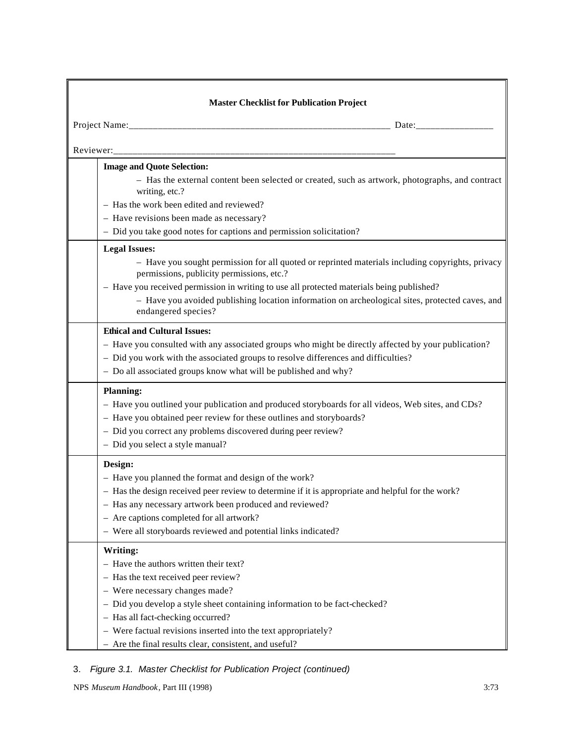| <b>Master Checklist for Publication Project</b> |                                                                                                                                                                                                                                                                                                                                                                           |  |
|-------------------------------------------------|---------------------------------------------------------------------------------------------------------------------------------------------------------------------------------------------------------------------------------------------------------------------------------------------------------------------------------------------------------------------------|--|
|                                                 |                                                                                                                                                                                                                                                                                                                                                                           |  |
| Reviewer:                                       |                                                                                                                                                                                                                                                                                                                                                                           |  |
|                                                 | <b>Image and Quote Selection:</b>                                                                                                                                                                                                                                                                                                                                         |  |
|                                                 | - Has the external content been selected or created, such as artwork, photographs, and contract<br>writing, etc.?                                                                                                                                                                                                                                                         |  |
|                                                 | - Has the work been edited and reviewed?                                                                                                                                                                                                                                                                                                                                  |  |
|                                                 | - Have revisions been made as necessary?                                                                                                                                                                                                                                                                                                                                  |  |
|                                                 | - Did you take good notes for captions and permission solicitation?                                                                                                                                                                                                                                                                                                       |  |
|                                                 | <b>Legal Issues:</b>                                                                                                                                                                                                                                                                                                                                                      |  |
|                                                 | - Have you sought permission for all quoted or reprinted materials including copyrights, privacy<br>permissions, publicity permissions, etc.?                                                                                                                                                                                                                             |  |
|                                                 | - Have you received permission in writing to use all protected materials being published?                                                                                                                                                                                                                                                                                 |  |
|                                                 | - Have you avoided publishing location information on archeological sites, protected caves, and<br>endangered species?                                                                                                                                                                                                                                                    |  |
|                                                 | <b>Ethical and Cultural Issues:</b><br>- Have you consulted with any associated groups who might be directly affected by your publication?<br>- Did you work with the associated groups to resolve differences and difficulties?<br>- Do all associated groups know what will be published and why?                                                                       |  |
|                                                 | <b>Planning:</b><br>- Have you outlined your publication and produced storyboards for all videos, Web sites, and CDs?<br>- Have you obtained peer review for these outlines and storyboards?<br>- Did you correct any problems discovered during peer review?<br>- Did you select a style manual?                                                                         |  |
|                                                 | Design:<br>- Have you planned the format and design of the work?<br>- Has the design received peer review to determine if it is appropriate and helpful for the work?<br>- Has any necessary artwork been produced and reviewed?<br>- Are captions completed for all artwork?<br>- Were all storyboards reviewed and potential links indicated?                           |  |
|                                                 | Writing:<br>- Have the authors written their text?<br>- Has the text received peer review?<br>- Were necessary changes made?<br>- Did you develop a style sheet containing information to be fact-checked?<br>- Has all fact-checking occurred?<br>- Were factual revisions inserted into the text appropriately?<br>Are the final results clear, consistent, and useful? |  |

## 3. *Figure 3.1. Master Checklist for Publication Project (continued)*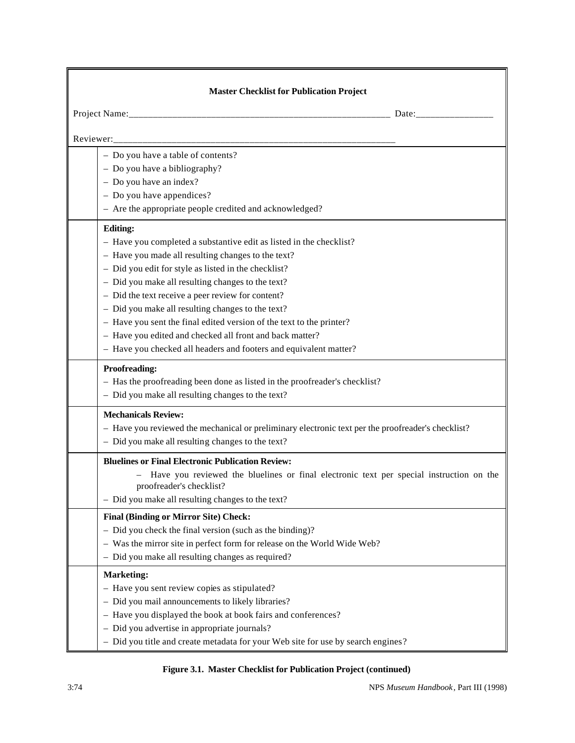|           | <b>Master Checklist for Publication Project</b>                                                                     |  |
|-----------|---------------------------------------------------------------------------------------------------------------------|--|
|           |                                                                                                                     |  |
| Reviewer: |                                                                                                                     |  |
|           | - Do you have a table of contents?                                                                                  |  |
|           | - Do you have a bibliography?                                                                                       |  |
|           | $-$ Do you have an index?                                                                                           |  |
|           | - Do you have appendices?                                                                                           |  |
|           | - Are the appropriate people credited and acknowledged?                                                             |  |
|           | <b>Editing:</b>                                                                                                     |  |
|           | - Have you completed a substantive edit as listed in the checklist?                                                 |  |
|           | - Have you made all resulting changes to the text?                                                                  |  |
|           | - Did you edit for style as listed in the checklist?                                                                |  |
|           | - Did you make all resulting changes to the text?                                                                   |  |
|           | - Did the text receive a peer review for content?                                                                   |  |
|           | - Did you make all resulting changes to the text?                                                                   |  |
|           | - Have you sent the final edited version of the text to the printer?                                                |  |
|           | - Have you edited and checked all front and back matter?                                                            |  |
|           | - Have you checked all headers and footers and equivalent matter?                                                   |  |
|           | Proofreading:                                                                                                       |  |
|           | - Has the proofreading been done as listed in the proofreader's checklist?                                          |  |
|           | - Did you make all resulting changes to the text?                                                                   |  |
|           | <b>Mechanicals Review:</b>                                                                                          |  |
|           | - Have you reviewed the mechanical or preliminary electronic text per the proofreader's checklist?                  |  |
|           | - Did you make all resulting changes to the text?                                                                   |  |
|           | <b>Bluelines or Final Electronic Publication Review:</b>                                                            |  |
|           | Have you reviewed the bluelines or final electronic text per special instruction on the<br>proofreader's checklist? |  |
|           | - Did you make all resulting changes to the text?                                                                   |  |
|           | <b>Final (Binding or Mirror Site) Check:</b>                                                                        |  |
|           | - Did you check the final version (such as the binding)?                                                            |  |
|           | - Was the mirror site in perfect form for release on the World Wide Web?                                            |  |
|           | - Did you make all resulting changes as required?                                                                   |  |
|           | <b>Marketing:</b>                                                                                                   |  |
|           | - Have you sent review copies as stipulated?                                                                        |  |
|           | - Did you mail announcements to likely libraries?                                                                   |  |
|           | - Have you displayed the book at book fairs and conferences?                                                        |  |
|           | - Did you advertise in appropriate journals?                                                                        |  |
|           | - Did you title and create metadata for your Web site for use by search engines?                                    |  |

## **Figure 3.1. Master Checklist for Publication Project (continued)**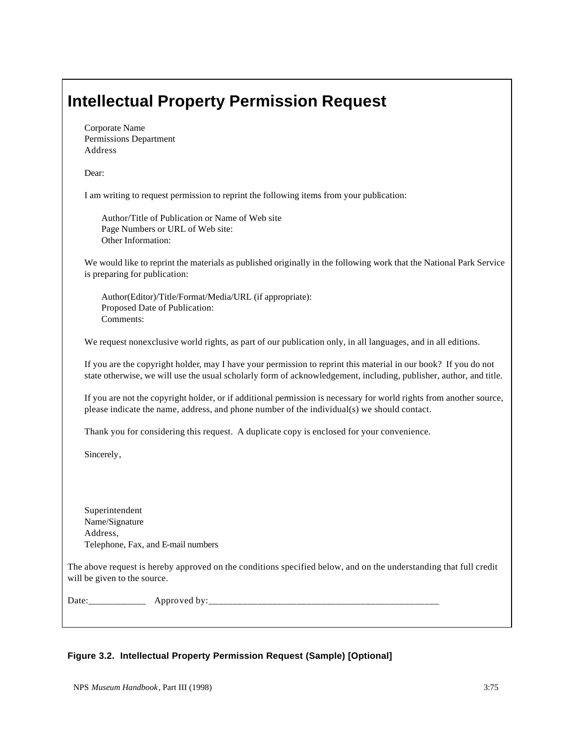|  | <b>Intellectual Property Permission Request</b> |  |
|--|-------------------------------------------------|--|
|  |                                                 |  |

| Corporate Name         |
|------------------------|
| Permissions Department |
| Address                |

Dear:

I am writing to request permission to reprint the following items from your publication:

Author/Title of Publication or Name of Web site Page Numbers or URL of Web site: Other Information:

We would like to reprint the materials as published originally in the following work that the National Park Service is preparing for publication:

Author(Editor)/Title/Format/Media/URL (if appropriate): Proposed Date of Publication: Comments:

We request nonexclusive world rights, as part of our publication only, in all languages, and in all editions.

If you are the copyright holder, may I have your permission to reprint this material in our book? If you do not state otherwise, we will use the usual scholarly form of acknowledgement, including, publisher, author, and title.

If you are not the copyright holder, or if additional permission is necessary for world rights from another source, please indicate the name, address, and phone number of the individual(s) we should contact.

Thank you for considering this request. A duplicate copy is enclosed for your convenience.

Sincerely,

Superintendent Name/Signature Address, Telephone, Fax, and E-mail numbers

The above request is hereby approved on the conditions specified below, and on the understanding that full credit will be given to the source.

Date:\_\_\_\_\_\_\_\_\_\_\_\_ Approved by:\_\_\_\_\_\_\_\_\_\_\_\_\_\_\_\_\_\_\_\_\_\_\_\_\_\_\_\_\_\_\_\_\_\_\_\_\_\_\_\_\_\_\_\_\_\_\_

#### **Figure 3.2. Intellectual Property Permission Request (Sample) [Optional]**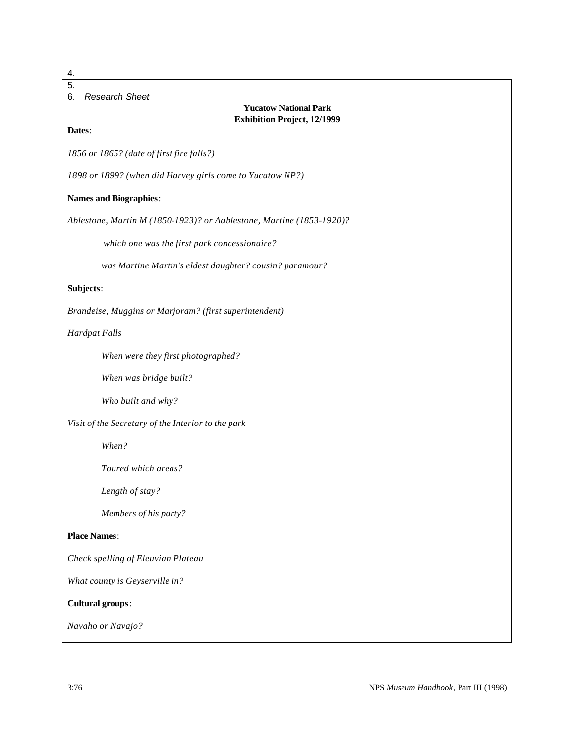4. 5. 6. *Research Sheet* **Yucatow National Park Exhibition Project, 12/1999 Dates**: *1856 or 1865? (date of first fire falls?) 1898 or 1899? (when did Harvey girls come to Yucatow NP?)* **Names and Biographies**: *Ablestone, Martin M (1850-1923)? or Aablestone, Martine (1853-1920)? which one was the first park concessionaire? was Martine Martin's eldest daughter? cousin? paramour?* **Subjects**: *Brandeise, Muggins or Marjoram? (first superintendent) Hardpat Falls When were they first photographed? When was bridge built? Who built and why? Visit of the Secretary of the Interior to the park When? Toured which areas? Length of stay? Members of his party?* **Place Names**: *Check spelling of Eleuvian Plateau What county is Geyserville in?* **Cultural groups**: *Navaho or Navajo?*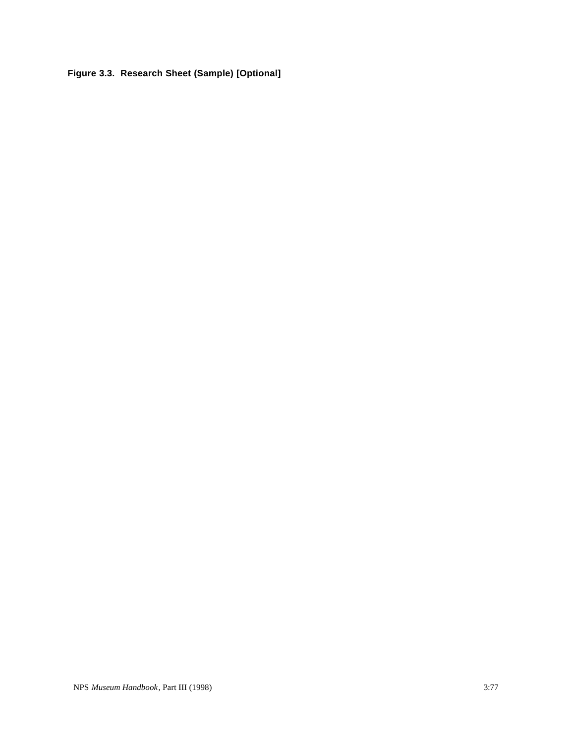# **Figure 3.3. Research Sheet (Sample) [Optional]**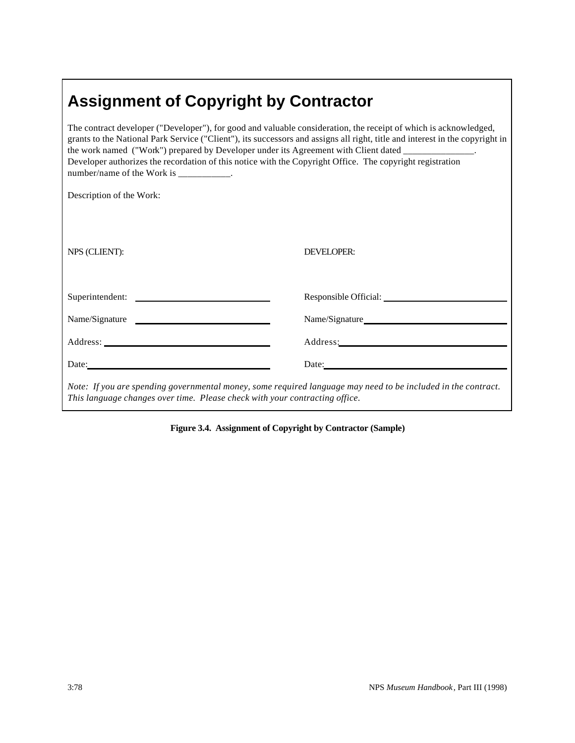# **Assignment of Copyright by Contractor**

| The contract developer ("Developer"), for good and valuable consideration, the receipt of which is acknowledged,<br>grants to the National Park Service ("Client"), its successors and assigns all right, title and interest in the copyright in<br>the work named ("Work") prepared by Developer under its Agreement with Client dated ______________.<br>Developer authorizes the recordation of this notice with the Copyright Office. The copyright registration<br>number/name of the Work is ___________. |                                                                                                                                                                                                                                |  |
|-----------------------------------------------------------------------------------------------------------------------------------------------------------------------------------------------------------------------------------------------------------------------------------------------------------------------------------------------------------------------------------------------------------------------------------------------------------------------------------------------------------------|--------------------------------------------------------------------------------------------------------------------------------------------------------------------------------------------------------------------------------|--|
| Description of the Work:                                                                                                                                                                                                                                                                                                                                                                                                                                                                                        |                                                                                                                                                                                                                                |  |
|                                                                                                                                                                                                                                                                                                                                                                                                                                                                                                                 |                                                                                                                                                                                                                                |  |
| NPS (CLIENT):                                                                                                                                                                                                                                                                                                                                                                                                                                                                                                   | <b>DEVELOPER:</b>                                                                                                                                                                                                              |  |
| Superintendent:                                                                                                                                                                                                                                                                                                                                                                                                                                                                                                 |                                                                                                                                                                                                                                |  |
| Name/Signature                                                                                                                                                                                                                                                                                                                                                                                                                                                                                                  |                                                                                                                                                                                                                                |  |
|                                                                                                                                                                                                                                                                                                                                                                                                                                                                                                                 | Address: No. 1998. The Manual Science of the Manual Science of the Manual Science of the Manual Science of the Manual Science of the Manual Science of the Manual Science of the Manual Science of the Manual Science of the M |  |
| Date: No. 1996. The Commission of the Commission of the Commission of the Commission of the Commission of the Commission of the Commission of the Commission of the Commission of the Commission of the Commission of the Comm                                                                                                                                                                                                                                                                                  | Date: No. 1996. The Commission of the Commission of the Commission of the Commission of the Commission of the Commission of the Commission of the Commission of the Commission of the Commission of the Commission of the Comm |  |
| Note: If you are spending governmental money, some required language may need to be included in the contract.<br>This language changes over time. Please check with your contracting office.                                                                                                                                                                                                                                                                                                                    |                                                                                                                                                                                                                                |  |

**Figure 3.4. Assignment of Copyright by Contractor (Sample)**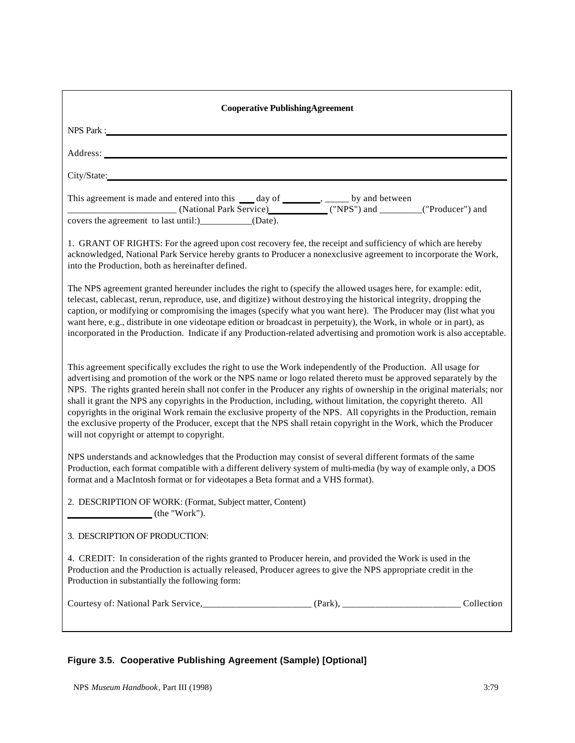| <b>Cooperative PublishingAgreement</b>                                                                                                                                                                                                                                                                                                                                                                                                                                                                                                                                                                                                                                                                                                                                       |  |  |
|------------------------------------------------------------------------------------------------------------------------------------------------------------------------------------------------------------------------------------------------------------------------------------------------------------------------------------------------------------------------------------------------------------------------------------------------------------------------------------------------------------------------------------------------------------------------------------------------------------------------------------------------------------------------------------------------------------------------------------------------------------------------------|--|--|
| NPS Park :                                                                                                                                                                                                                                                                                                                                                                                                                                                                                                                                                                                                                                                                                                                                                                   |  |  |
|                                                                                                                                                                                                                                                                                                                                                                                                                                                                                                                                                                                                                                                                                                                                                                              |  |  |
|                                                                                                                                                                                                                                                                                                                                                                                                                                                                                                                                                                                                                                                                                                                                                                              |  |  |
| This agreement is made and entered into this _____ day of ________, _______ by and between<br>(National Park Service) (NPS") and _______("Producer") and<br>covers the agreement to last until:)__________(Date).                                                                                                                                                                                                                                                                                                                                                                                                                                                                                                                                                            |  |  |
| 1. GRANT OF RIGHTS: For the agreed upon cost recovery fee, the receipt and sufficiency of which are hereby<br>acknowledged, National Park Service hereby grants to Producer a nonexclusive agreement to incorporate the Work,<br>into the Production, both as hereinafter defined.                                                                                                                                                                                                                                                                                                                                                                                                                                                                                           |  |  |
| The NPS agreement granted hereunder includes the right to (specify the allowed usages here, for example: edit,<br>telecast, cablecast, rerun, reproduce, use, and digitize) without destroying the historical integrity, dropping the<br>caption, or modifying or compromising the images (specify what you want here). The Producer may (list what you<br>want here, e.g., distribute in one videotape edition or broadcast in perpetuity), the Work, in whole or in part), as<br>incorporated in the Production. Indicate if any Production-related advertising and promotion work is also acceptable.                                                                                                                                                                     |  |  |
| This agreement specifically excludes the right to use the Work independently of the Production. All usage for<br>advertising and promotion of the work or the NPS name or logo related thereto must be approved separately by the<br>NPS. The rights granted herein shall not confer in the Producer any rights of ownership in the original materials; nor<br>shall it grant the NPS any copyrights in the Production, including, without limitation, the copyright thereto. All<br>copyrights in the original Work remain the exclusive property of the NPS. All copyrights in the Production, remain<br>the exclusive property of the Producer, except that the NPS shall retain copyright in the Work, which the Producer<br>will not copyright or attempt to copyright. |  |  |
| NPS understands and acknowledges that the Production may consist of several different formats of the same<br>Production, each format compatible with a different delivery system of multi-media (by way of example only, a DOS<br>format and a MacIntosh format or for videotapes a Beta format and a VHS format).                                                                                                                                                                                                                                                                                                                                                                                                                                                           |  |  |
| 2. DESCRIPTION OF WORK: (Format, Subject matter, Content)<br>(the "Work").                                                                                                                                                                                                                                                                                                                                                                                                                                                                                                                                                                                                                                                                                                   |  |  |
| 3. DESCRIPTION OF PRODUCTION:                                                                                                                                                                                                                                                                                                                                                                                                                                                                                                                                                                                                                                                                                                                                                |  |  |
| 4. CREDIT: In consideration of the rights granted to Producer herein, and provided the Work is used in the<br>Production and the Production is actually released, Producer agrees to give the NPS appropriate credit in the<br>Production in substantially the following form:                                                                                                                                                                                                                                                                                                                                                                                                                                                                                               |  |  |
|                                                                                                                                                                                                                                                                                                                                                                                                                                                                                                                                                                                                                                                                                                                                                                              |  |  |
|                                                                                                                                                                                                                                                                                                                                                                                                                                                                                                                                                                                                                                                                                                                                                                              |  |  |

# **Figure 3.5. Cooperative Publishing Agreement (Sample) [Optional]**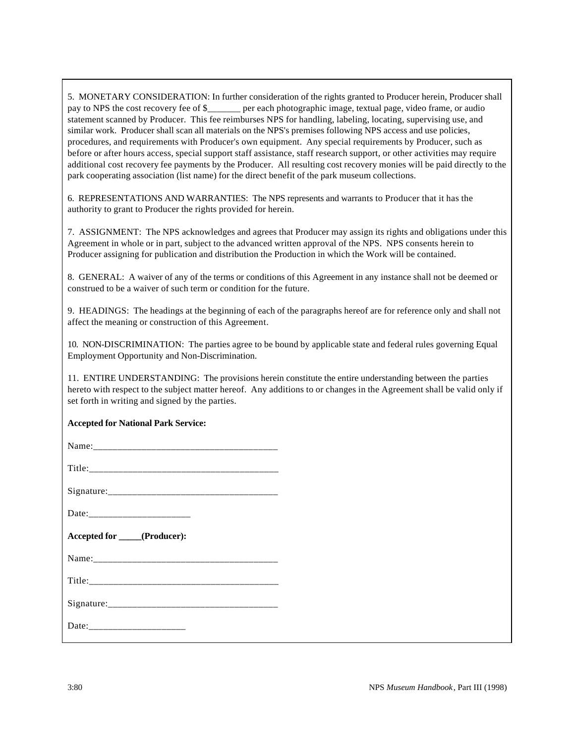5. MONETARY CONSIDERATION: In further consideration of the rights granted to Producer herein, Producer shall pay to NPS the cost recovery fee of \$\_\_\_\_\_\_\_ per each photographic image, textual page, video frame, or audio statement scanned by Producer. This fee reimburses NPS for handling, labeling, locating, supervising use, and similar work. Producer shall scan all materials on the NPS's premises following NPS access and use policies, procedures, and requirements with Producer's own equipment. Any special requirements by Producer, such as before or after hours access, special support staff assistance, staff research support, or other activities may require additional cost recovery fee payments by the Producer. All resulting cost recovery monies will be paid directly to the park cooperating association (list name) for the direct benefit of the park museum collections.

6. REPRESENTATIONS AND WARRANTIES: The NPS represents and warrants to Producer that it has the authority to grant to Producer the rights provided for herein.

7. ASSIGNMENT: The NPS acknowledges and agrees that Producer may assign its rights and obligations under this Agreement in whole or in part, subject to the advanced written approval of the NPS. NPS consents herein to Producer assigning for publication and distribution the Production in which the Work will be contained.

8. GENERAL: A waiver of any of the terms or conditions of this Agreement in any instance shall not be deemed or construed to be a waiver of such term or condition for the future.

9. HEADINGS: The headings at the beginning of each of the paragraphs hereof are for reference only and shall not affect the meaning or construction of this Agreement.

10. NON-DISCRIMINATION: The parties agree to be bound by applicable state and federal rules governing Equal Employment Opportunity and Non-Discrimination.

11. ENTIRE UNDERSTANDING: The provisions herein constitute the entire understanding between the parties hereto with respect to the subject matter hereof. Any additions to or changes in the Agreement shall be valid only if set forth in writing and signed by the parties.

#### **Accepted for National Park Service:**

| Accepted for ____(Producer): |
|------------------------------|
|                              |
|                              |
|                              |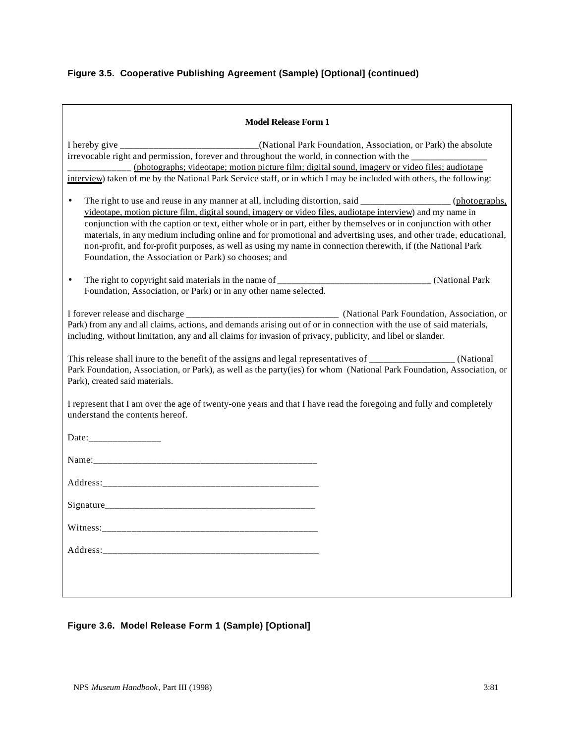# **Figure 3.5. Cooperative Publishing Agreement (Sample) [Optional] (continued)**

| <b>Model Release Form 1</b>                                                                                                                                                                                                                                                                                                                                                                                                                                                                                                                                                                                                                                |
|------------------------------------------------------------------------------------------------------------------------------------------------------------------------------------------------------------------------------------------------------------------------------------------------------------------------------------------------------------------------------------------------------------------------------------------------------------------------------------------------------------------------------------------------------------------------------------------------------------------------------------------------------------|
| irrevocable right and permission, forever and throughout the world, in connection with the _______________<br>(photographs; videotape; motion picture film; digital sound, imagery or video files; audiotape<br>interview) taken of me by the National Park Service staff, or in which I may be included with others, the following:                                                                                                                                                                                                                                                                                                                       |
| The right to use and reuse in any manner at all, including distortion, said _____________________(photographs,<br>$\bullet$<br>videotape, motion picture film, digital sound, imagery or video files, audiotape interview) and my name in<br>conjunction with the caption or text, either whole or in part, either by themselves or in conjunction with other<br>materials, in any medium including online and for promotional and advertising uses, and other trade, educational,<br>non-profit, and for-profit purposes, as well as using my name in connection therewith, if (the National Park<br>Foundation, the Association or Park) so chooses; and |
| $\bullet$<br>Foundation, Association, or Park) or in any other name selected.                                                                                                                                                                                                                                                                                                                                                                                                                                                                                                                                                                              |
| Park) from any and all claims, actions, and demands arising out of or in connection with the use of said materials,<br>including, without limitation, any and all claims for invasion of privacy, publicity, and libel or slander.                                                                                                                                                                                                                                                                                                                                                                                                                         |
| Park Foundation, Association, or Park), as well as the party(ies) for whom (National Park Foundation, Association, or<br>Park), created said materials.                                                                                                                                                                                                                                                                                                                                                                                                                                                                                                    |
| I represent that I am over the age of twenty-one years and that I have read the foregoing and fully and completely<br>understand the contents hereof.                                                                                                                                                                                                                                                                                                                                                                                                                                                                                                      |
|                                                                                                                                                                                                                                                                                                                                                                                                                                                                                                                                                                                                                                                            |
|                                                                                                                                                                                                                                                                                                                                                                                                                                                                                                                                                                                                                                                            |
|                                                                                                                                                                                                                                                                                                                                                                                                                                                                                                                                                                                                                                                            |
|                                                                                                                                                                                                                                                                                                                                                                                                                                                                                                                                                                                                                                                            |
| Witness:_                                                                                                                                                                                                                                                                                                                                                                                                                                                                                                                                                                                                                                                  |
|                                                                                                                                                                                                                                                                                                                                                                                                                                                                                                                                                                                                                                                            |
|                                                                                                                                                                                                                                                                                                                                                                                                                                                                                                                                                                                                                                                            |
|                                                                                                                                                                                                                                                                                                                                                                                                                                                                                                                                                                                                                                                            |

**Figure 3.6. Model Release Form 1 (Sample) [Optional]**

 $\overline{\phantom{a}}$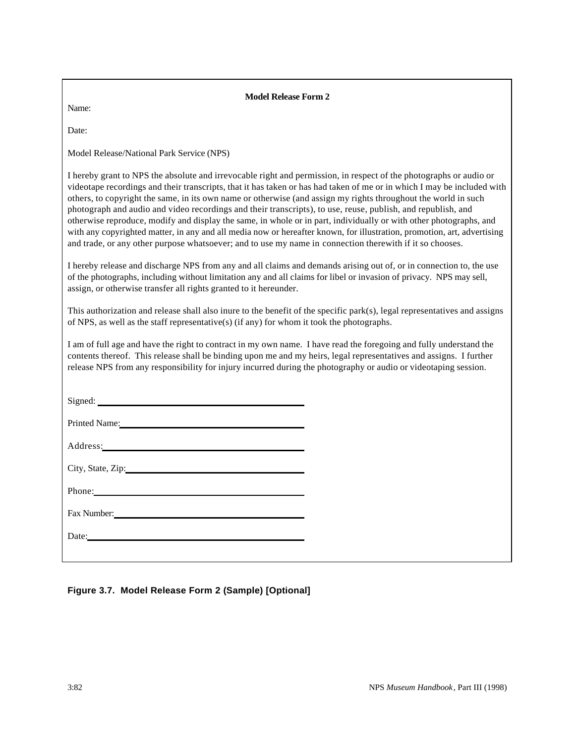| <b>Model Release Form 2</b> |  |
|-----------------------------|--|
|                             |  |

Name:

Date:

Model Release/National Park Service (NPS)

I hereby grant to NPS the absolute and irrevocable right and permission, in respect of the photographs or audio or videotape recordings and their transcripts, that it has taken or has had taken of me or in which I may be included with others, to copyright the same, in its own name or otherwise (and assign my rights throughout the world in such photograph and audio and video recordings and their transcripts), to use, reuse, publish, and republish, and otherwise reproduce, modify and display the same, in whole or in part, individually or with other photographs, and with any copyrighted matter, in any and all media now or hereafter known, for illustration, promotion, art, advertising and trade, or any other purpose whatsoever; and to use my name in connection therewith if it so chooses.

I hereby release and discharge NPS from any and all claims and demands arising out of, or in connection to, the use of the photographs, including without limitation any and all claims for libel or invasion of privacy. NPS may sell, assign, or otherwise transfer all rights granted to it hereunder.

This authorization and release shall also inure to the benefit of the specific park(s), legal representatives and assigns of NPS, as well as the staff representative(s) (if any) for whom it took the photographs.

I am of full age and have the right to contract in my own name. I have read the foregoing and fully understand the contents thereof. This release shall be binding upon me and my heirs, legal representatives and assigns. I further release NPS from any responsibility for injury incurred during the photography or audio or videotaping session.

| Signed: National Communications of the Signed Signed Signed Signed Signed Signed Signed Signed Signed Signed Signed Signed Signed Signed Signed Signed Signed Signed Signed Signed Signed Signed Signed Signed Signed Signed S |
|--------------------------------------------------------------------------------------------------------------------------------------------------------------------------------------------------------------------------------|
| Printed Name:                                                                                                                                                                                                                  |
| Address: 2000 and 2000 and 2000 and 2000 and 2000 and 2000 and 2000 and 2000 and 2000 and 2000 and 2000 and 20                                                                                                                 |
| City, State, Zip:                                                                                                                                                                                                              |
| Phone:                                                                                                                                                                                                                         |
|                                                                                                                                                                                                                                |
| Fax Number: 2008                                                                                                                                                                                                               |
|                                                                                                                                                                                                                                |

**Figure 3.7. Model Release Form 2 (Sample) [Optional]**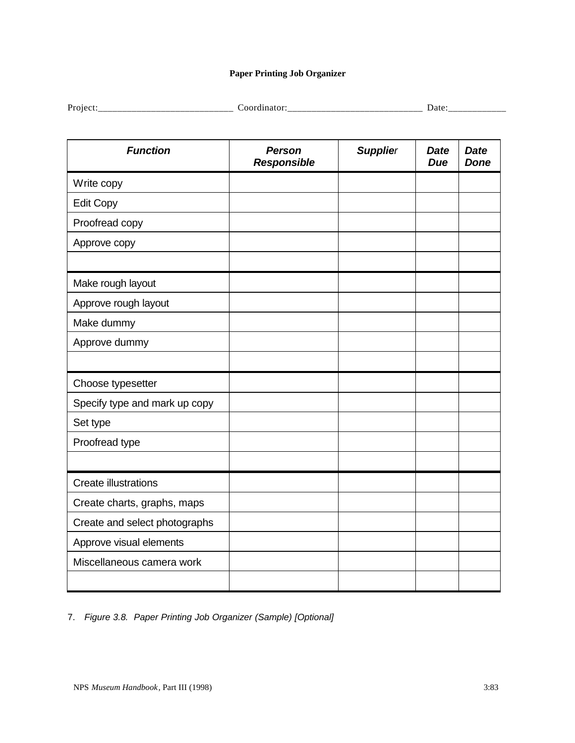## **Paper Printing Job Organizer**

Project:\_\_\_\_\_\_\_\_\_\_\_\_\_\_\_\_\_\_\_\_\_\_\_\_\_\_\_\_ Coordinator:\_\_\_\_\_\_\_\_\_\_\_\_\_\_\_\_\_\_\_\_\_\_\_\_\_\_\_\_ Date:\_\_\_\_\_\_\_\_\_\_\_\_

| <b>Function</b>               | <b>Person</b><br><b>Responsible</b> | <b>Supplier</b> | <b>Date</b><br><b>Due</b> | <b>Date</b><br><b>Done</b> |
|-------------------------------|-------------------------------------|-----------------|---------------------------|----------------------------|
| Write copy                    |                                     |                 |                           |                            |
| <b>Edit Copy</b>              |                                     |                 |                           |                            |
| Proofread copy                |                                     |                 |                           |                            |
| Approve copy                  |                                     |                 |                           |                            |
|                               |                                     |                 |                           |                            |
| Make rough layout             |                                     |                 |                           |                            |
| Approve rough layout          |                                     |                 |                           |                            |
| Make dummy                    |                                     |                 |                           |                            |
| Approve dummy                 |                                     |                 |                           |                            |
|                               |                                     |                 |                           |                            |
| Choose typesetter             |                                     |                 |                           |                            |
| Specify type and mark up copy |                                     |                 |                           |                            |
| Set type                      |                                     |                 |                           |                            |
| Proofread type                |                                     |                 |                           |                            |
|                               |                                     |                 |                           |                            |
| <b>Create illustrations</b>   |                                     |                 |                           |                            |
| Create charts, graphs, maps   |                                     |                 |                           |                            |
| Create and select photographs |                                     |                 |                           |                            |
| Approve visual elements       |                                     |                 |                           |                            |
| Miscellaneous camera work     |                                     |                 |                           |                            |
|                               |                                     |                 |                           |                            |

7. *Figure 3.8. Paper Printing Job Organizer (Sample) [Optional]*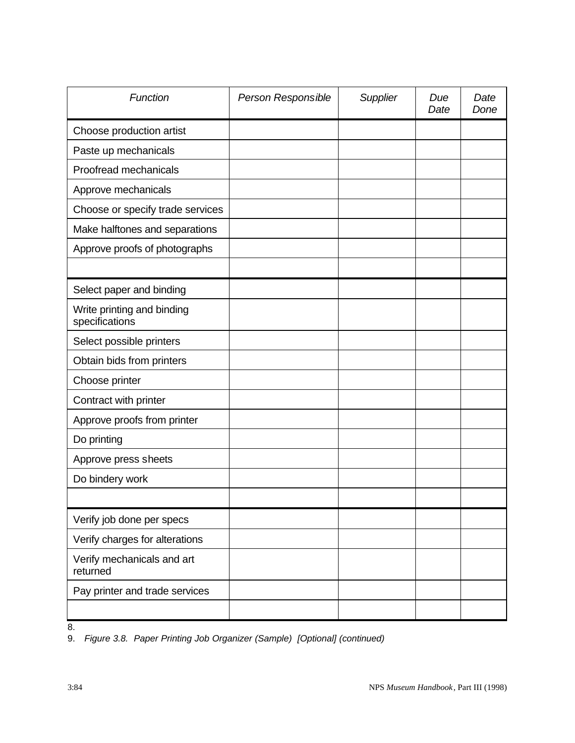| Function                                     | Person Responsible | Supplier | Due<br>Date | Date<br>Done |
|----------------------------------------------|--------------------|----------|-------------|--------------|
| Choose production artist                     |                    |          |             |              |
| Paste up mechanicals                         |                    |          |             |              |
| Proofread mechanicals                        |                    |          |             |              |
| Approve mechanicals                          |                    |          |             |              |
| Choose or specify trade services             |                    |          |             |              |
| Make halftones and separations               |                    |          |             |              |
| Approve proofs of photographs                |                    |          |             |              |
|                                              |                    |          |             |              |
| Select paper and binding                     |                    |          |             |              |
| Write printing and binding<br>specifications |                    |          |             |              |
| Select possible printers                     |                    |          |             |              |
| Obtain bids from printers                    |                    |          |             |              |
| Choose printer                               |                    |          |             |              |
| Contract with printer                        |                    |          |             |              |
| Approve proofs from printer                  |                    |          |             |              |
| Do printing                                  |                    |          |             |              |
| Approve press sheets                         |                    |          |             |              |
| Do bindery work                              |                    |          |             |              |
|                                              |                    |          |             |              |
| Verify job done per specs                    |                    |          |             |              |
| Verify charges for alterations               |                    |          |             |              |
| Verify mechanicals and art<br>returned       |                    |          |             |              |
| Pay printer and trade services               |                    |          |             |              |
|                                              |                    |          |             |              |

8.

9. *Figure 3.8. Paper Printing Job Organizer (Sample) [Optional] (continued)*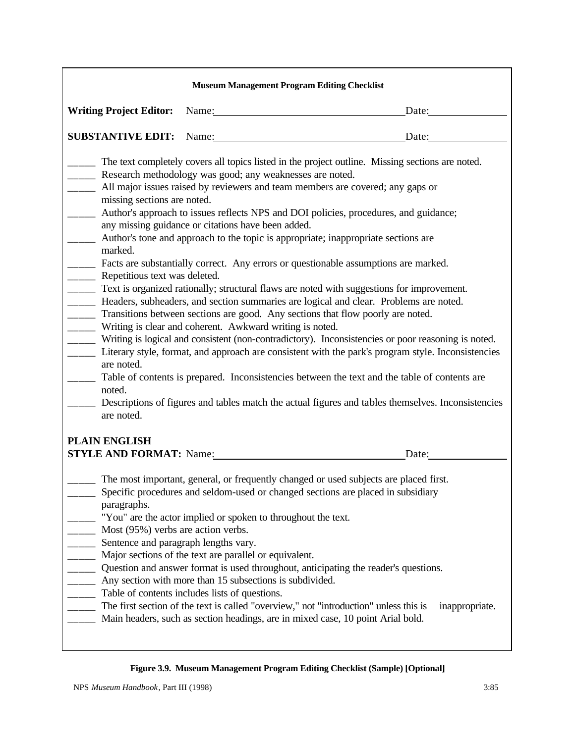|                                                                                                                                                                                                                                              |                                                                                                                                                                             | <b>Museum Management Program Editing Checklist</b>                                                                                                                                                                                                                                                                                                                                                                                                                                                                                                                                                                                                                                                                                                                                                                                                                                                                                                                                                                                                                                                                                                                     |
|----------------------------------------------------------------------------------------------------------------------------------------------------------------------------------------------------------------------------------------------|-----------------------------------------------------------------------------------------------------------------------------------------------------------------------------|------------------------------------------------------------------------------------------------------------------------------------------------------------------------------------------------------------------------------------------------------------------------------------------------------------------------------------------------------------------------------------------------------------------------------------------------------------------------------------------------------------------------------------------------------------------------------------------------------------------------------------------------------------------------------------------------------------------------------------------------------------------------------------------------------------------------------------------------------------------------------------------------------------------------------------------------------------------------------------------------------------------------------------------------------------------------------------------------------------------------------------------------------------------------|
| <b>Writing Project Editor:</b>                                                                                                                                                                                                               |                                                                                                                                                                             | Name:<br>Date:                                                                                                                                                                                                                                                                                                                                                                                                                                                                                                                                                                                                                                                                                                                                                                                                                                                                                                                                                                                                                                                                                                                                                         |
| <b>SUBSTANTIVE EDIT:</b>                                                                                                                                                                                                                     |                                                                                                                                                                             | Name: Date: Date:                                                                                                                                                                                                                                                                                                                                                                                                                                                                                                                                                                                                                                                                                                                                                                                                                                                                                                                                                                                                                                                                                                                                                      |
| $\frac{1}{2}$ and $\frac{1}{2}$<br>missing sections are noted.<br>$\frac{1}{1}$<br>$\overline{\phantom{a}}$<br>marked.<br>$   -$<br>Repetitious text was deleted.<br>$  -$<br>$   -$<br>$  -$<br>are noted.<br>$  -$<br>noted.<br>are noted. | Research methodology was good; any weaknesses are noted.<br>any missing guidance or citations have been added.<br>Writing is clear and coherent. Awkward writing is noted.  | The text completely covers all topics listed in the project outline. Missing sections are noted.<br>All major issues raised by reviewers and team members are covered; any gaps or<br>Author's approach to issues reflects NPS and DOI policies, procedures, and guidance;<br>Author's tone and approach to the topic is appropriate; inappropriate sections are<br>Facts are substantially correct. Any errors or questionable assumptions are marked.<br>Text is organized rationally; structural flaws are noted with suggestions for improvement.<br>_____ Headers, subheaders, and section summaries are logical and clear. Problems are noted.<br>Transitions between sections are good. Any sections that flow poorly are noted.<br>_____ Writing is logical and consistent (non-contradictory). Inconsistencies or poor reasoning is noted.<br>_____ Literary style, format, and approach are consistent with the park's program style. Inconsistencies<br>Table of contents is prepared. Inconsistencies between the text and the table of contents are<br>Descriptions of figures and tables match the actual figures and tables themselves. Inconsistencies |
| <b>PLAIN ENGLISH</b>                                                                                                                                                                                                                         |                                                                                                                                                                             | STYLE AND FORMAT: Name:<br>Date:                                                                                                                                                                                                                                                                                                                                                                                                                                                                                                                                                                                                                                                                                                                                                                                                                                                                                                                                                                                                                                                                                                                                       |
| paragraphs.<br>Most (95%) verbs are action verbs.<br>$  -$<br>Sentence and paragraph lengths vary.<br>$  -$<br>_____ Major sections of the text are parallel or equivalent.<br>_____<br>$ -$<br>$\overline{a}$<br>$\overline{a}$             | "You" are the actor implied or spoken to throughout the text.<br>Any section with more than 15 subsections is subdivided.<br>Table of contents includes lists of questions. | The most important, general, or frequently changed or used subjects are placed first.<br>Specific procedures and seldom-used or changed sections are placed in subsidiary<br>Question and answer format is used throughout, anticipating the reader's questions.<br>The first section of the text is called "overview," not "introduction" unless this is<br>inappropriate.<br>Main headers, such as section headings, are in mixed case, 10 point Arial bold.                                                                                                                                                                                                                                                                                                                                                                                                                                                                                                                                                                                                                                                                                                         |
|                                                                                                                                                                                                                                              |                                                                                                                                                                             | Figure 3.9. Museum Management Program Editing Checklist (Sample) [Optional]                                                                                                                                                                                                                                                                                                                                                                                                                                                                                                                                                                                                                                                                                                                                                                                                                                                                                                                                                                                                                                                                                            |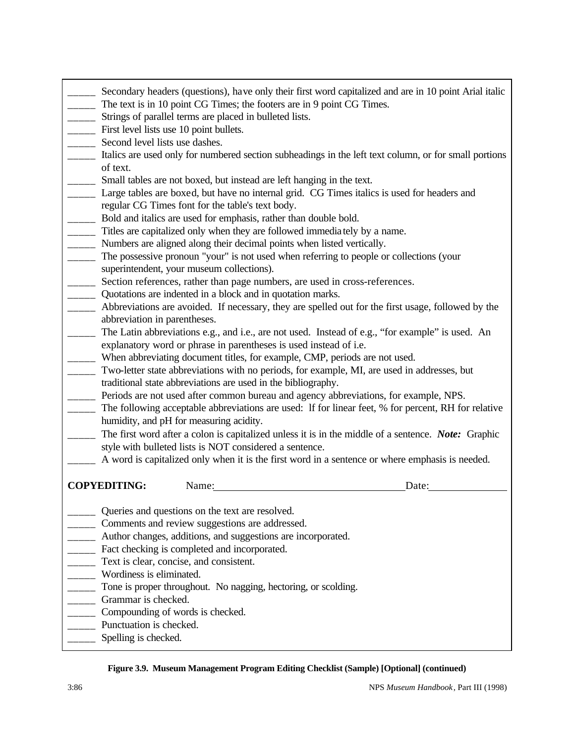- Secondary headers (questions), have only their first word capitalized and are in 10 point Arial italic The text is in 10 point CG Times; the footers are in 9 point CG Times.
- \_\_\_\_\_ Strings of parallel terms are placed in bulleted lists.
- First level lists use 10 point bullets.
- Second level lists use dashes.
- \_\_\_\_\_ Italics are used only for numbered section subheadings in the left text column, or for small portions of text.
- \_\_\_\_\_ Small tables are not boxed, but instead are left hanging in the text.
- \_\_\_\_\_ Large tables are boxed, but have no internal grid. CG Times italics is used for headers and regular CG Times font for the table's text body.
- \_\_\_\_\_ Bold and italics are used for emphasis, rather than double bold.
- \_\_\_\_\_ Titles are capitalized only when they are followed immediately by a name.
- Numbers are aligned along their decimal points when listed vertically.
- \_\_\_\_\_ The possessive pronoun "your" is not used when referring to people or collections (your superintendent, your museum collections).
- \_\_\_\_\_ Section references, rather than page numbers, are used in cross-references.
- \_\_\_\_\_ Quotations are indented in a block and in quotation marks.
- \_\_\_\_\_ Abbreviations are avoided. If necessary, they are spelled out for the first usage, followed by the abbreviation in parentheses.
- The Latin abbreviations e.g., and i.e., are not used. Instead of e.g., "for example" is used. An explanatory word or phrase in parentheses is used instead of i.e.
- When abbreviating document titles, for example, CMP, periods are not used.
- \_\_\_\_\_ Two-letter state abbreviations with no periods, for example, MI, are used in addresses, but traditional state abbreviations are used in the bibliography.
- \_\_\_\_\_ Periods are not used after common bureau and agency abbreviations, for example, NPS.
- The following acceptable abbreviations are used: If for linear feet, % for percent, RH for relative humidity, and pH for measuring acidity.
- \_\_\_\_\_ The first word after a colon is capitalized unless it is in the middle of a sentence. *Note:* Graphic style with bulleted lists is NOT considered a sentence.
	- A word is capitalized only when it is the first word in a sentence or where emphasis is needed.

**COPYEDITING:** Name: Date:

- Queries and questions on the text are resolved.
- Comments and review suggestions are addressed.
- Author changes, additions, and suggestions are incorporated.
- Fact checking is completed and incorporated.
- Text is clear, concise, and consistent.
- Wordiness is eliminated.
- \_\_\_\_\_ Tone is proper throughout. No nagging, hectoring, or scolding.
- Grammar is checked.
- \_\_\_\_\_ Compounding of words is checked.
- Punctuation is checked.
- \_\_\_\_\_\_ Spelling is checked.

#### **Figure 3.9. Museum Management Program Editing Checklist (Sample) [Optional] (continued)**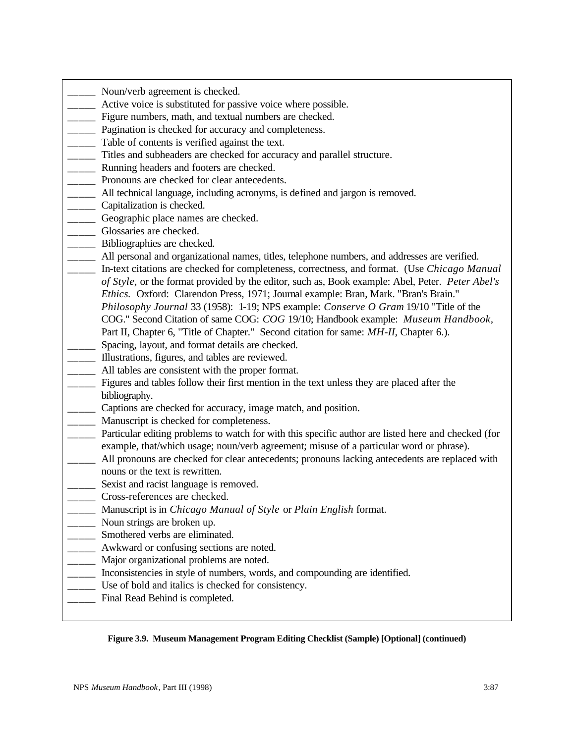- Noun/verb agreement is checked.
- Active voice is substituted for passive voice where possible.
- Figure numbers, math, and textual numbers are checked.
- Pagination is checked for accuracy and completeness.
- Table of contents is verified against the text.
- Titles and subheaders are checked for accuracy and parallel structure.
- \_\_\_\_\_ Running headers and footers are checked.
- Pronouns are checked for clear antecedents.
- All technical language, including acronyms, is defined and jargon is removed.
- \_\_\_\_\_ Capitalization is checked.
- Geographic place names are checked.
- \_\_\_\_\_ Glossaries are checked.
- \_\_\_\_\_ Bibliographies are checked.
- All personal and organizational names, titles, telephone numbers, and addresses are verified.
- \_\_\_\_\_ In-text citations are checked for completeness, correctness, and format. (Use *Chicago Manual of Style,* or the format provided by the editor, such as, Book example: Abel, Peter. *Peter Abel's Ethics.* Oxford: Clarendon Press, 1971; Journal example: Bran, Mark. "Bran's Brain." *Philosophy Journal* 33 (1958): 1-19; NPS example: *Conserve O Gram* 19/10 "Title of the COG." Second Citation of same COG: *COG* 19/10; Handbook example: *Museum Handbook,* Part II, Chapter 6, "Title of Chapter." Second citation for same: *MH-II*, Chapter 6.).
- Spacing, layout, and format details are checked.
- \_\_\_\_\_ Illustrations, figures, and tables are reviewed.
- All tables are consistent with the proper format.
- Figures and tables follow their first mention in the text unless they are placed after the bibliography.
- \_\_\_\_\_ Captions are checked for accuracy, image match, and position.
- Manuscript is checked for completeness.
- Particular editing problems to watch for with this specific author are listed here and checked (for example, that/which usage; noun/verb agreement; misuse of a particular word or phrase).
- All pronouns are checked for clear antecedents; pronouns lacking antecedents are replaced with nouns or the text is rewritten.
- Sexist and racist language is removed.
- Cross-references are checked.
- \_\_\_\_\_ Manuscript is in *Chicago Manual of Style* or *Plain English* format.
- Noun strings are broken up.
- \_\_\_\_\_ Smothered verbs are eliminated.
- Awkward or confusing sections are noted.
- \_\_\_\_\_ Major organizational problems are noted.
- \_\_\_\_\_ Inconsistencies in style of numbers, words, and compounding are identified.
- Use of bold and italics is checked for consistency.
- Final Read Behind is completed.

#### **Figure 3.9. Museum Management Program Editing Checklist (Sample) [Optional] (continued)**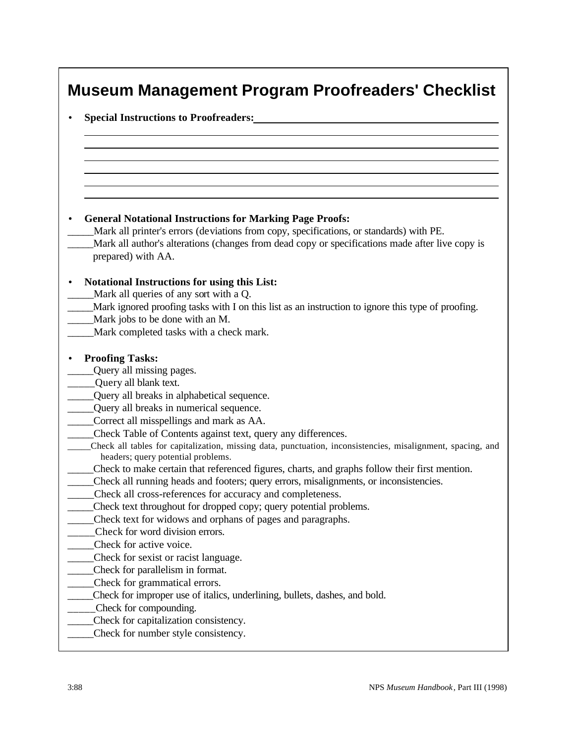# **Museum Management Program Proofreaders' Checklist**

| <b>Special Instructions to Proofreaders:</b>                                                                |
|-------------------------------------------------------------------------------------------------------------|
|                                                                                                             |
|                                                                                                             |
|                                                                                                             |
|                                                                                                             |
|                                                                                                             |
|                                                                                                             |
| <b>General Notational Instructions for Marking Page Proofs:</b>                                             |
| Mark all printer's errors (deviations from copy, specifications, or standards) with PE.                     |
| Mark all author's alterations (changes from dead copy or specifications made after live copy is             |
| prepared) with AA.                                                                                          |
| <b>Notational Instructions for using this List:</b>                                                         |
| Mark all queries of any sort with a Q.                                                                      |
| Mark ignored proofing tasks with I on this list as an instruction to ignore this type of proofing.          |
| Mark jobs to be done with an M.                                                                             |
| Mark completed tasks with a check mark.                                                                     |
| <b>Proofing Tasks:</b>                                                                                      |
| Query all missing pages.                                                                                    |
| Query all blank text.                                                                                       |
| Query all breaks in alphabetical sequence.                                                                  |
| Query all breaks in numerical sequence.                                                                     |
| Correct all misspellings and mark as AA.                                                                    |
| Check Table of Contents against text, query any differences.                                                |
| Check all tables for capitalization, missing data, punctuation, inconsistencies, misalignment, spacing, and |
| headers; query potential problems.                                                                          |
| Check to make certain that referenced figures, charts, and graphs follow their first mention.               |
| Check all running heads and footers; query errors, misalignments, or inconsistencies.                       |
| Check all cross-references for accuracy and completeness.                                                   |
| Check text throughout for dropped copy; query potential problems.                                           |
| Check text for widows and orphans of pages and paragraphs.                                                  |
| Check for word division errors.                                                                             |
| Check for active voice.                                                                                     |
| Check for sexist or racist language.                                                                        |
| Check for parallelism in format.                                                                            |
| Check for grammatical errors.                                                                               |
| Check for improper use of italics, underlining, bullets, dashes, and bold.                                  |
| _Check for compounding.                                                                                     |
| Check for capitalization consistency.                                                                       |
| Check for number style consistency.                                                                         |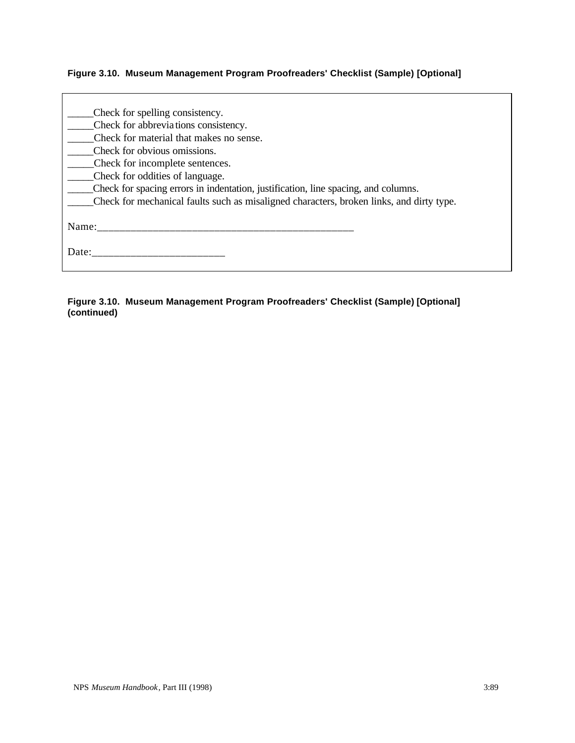# **Figure 3.10. Museum Management Program Proofreaders' Checklist (Sample) [Optional]**

| Check for spelling consistency.<br>Check for abbreviations consistency.<br>Check for material that makes no sense.<br>Check for obvious omissions.<br>Check for incomplete sentences.<br>Check for oddities of language.<br>Check for spacing errors in indentation, justification, line spacing, and columns.<br>Check for mechanical faults such as misaligned characters, broken links, and dirty type. |
|------------------------------------------------------------------------------------------------------------------------------------------------------------------------------------------------------------------------------------------------------------------------------------------------------------------------------------------------------------------------------------------------------------|
| Name:                                                                                                                                                                                                                                                                                                                                                                                                      |
| Date:                                                                                                                                                                                                                                                                                                                                                                                                      |

**Figure 3.10. Museum Management Program Proofreaders' Checklist (Sample) [Optional] (continued)**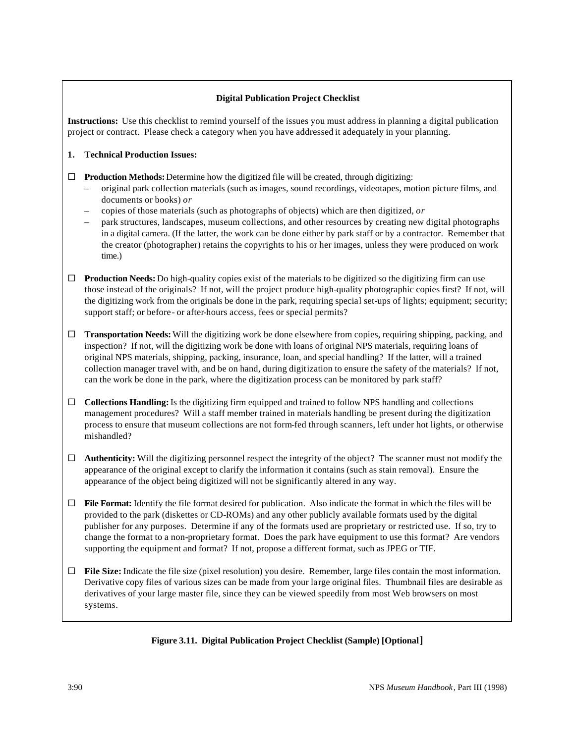#### **Digital Publication Project Checklist**

**Instructions:** Use this checklist to remind yourself of the issues you must address in planning a digital publication project or contract. Please check a category when you have addressed it adequately in your planning.

#### **1. Technical Production Issues:**

- $\Box$  **Production Methods:** Determine how the digitized file will be created, through digitizing:
	- original park collection materials (such as images, sound recordings, videotapes, motion picture films, and documents or books) *or*
	- copies of those materials (such as photographs of objects) which are then digitized, *or*
	- park structures, landscapes, museum collections, and other resources by creating new digital photographs in a digital camera. (If the latter, the work can be done either by park staff or by a contractor. Remember that the creator (photographer) retains the copyrights to his or her images, unless they were produced on work time.)
- $\Box$  **Production Needs:** Do high-quality copies exist of the materials to be digitized so the digitizing firm can use those instead of the originals? If not, will the project produce high-quality photographic copies first? If not, will the digitizing work from the originals be done in the park, requiring special set-ups of lights; equipment; security; support staff; or before- or after-hours access, fees or special permits?
- ® **Transportation Needs:** Will the digitizing work be done elsewhere from copies, requiring shipping, packing, and inspection? If not, will the digitizing work be done with loans of original NPS materials, requiring loans of original NPS materials, shipping, packing, insurance, loan, and special handling? If the latter, will a trained collection manager travel with, and be on hand, during digitization to ensure the safety of the materials? If not, can the work be done in the park, where the digitization process can be monitored by park staff?
- $\Box$  **Collections Handling:** Is the digitizing firm equipped and trained to follow NPS handling and collections management procedures? Will a staff member trained in materials handling be present during the digitization process to ensure that museum collections are not form-fed through scanners, left under hot lights, or otherwise mishandled?
- $\Box$  **Authenticity:** Will the digitizing personnel respect the integrity of the object? The scanner must not modify the appearance of the original except to clarify the information it contains (such as stain removal). Ensure the appearance of the object being digitized will not be significantly altered in any way.
- $\Box$  **File Format:** Identify the file format desired for publication. Also indicate the format in which the files will be provided to the park (diskettes or CD-ROMs) and any other publicly available formats used by the digital publisher for any purposes. Determine if any of the formats used are proprietary or restricted use. If so, try to change the format to a non-proprietary format. Does the park have equipment to use this format? Are vendors supporting the equipment and format? If not, propose a different format, such as JPEG or TIF.
- $\Box$  **File Size:** Indicate the file size (pixel resolution) you desire. Remember, large files contain the most information. Derivative copy files of various sizes can be made from your large original files. Thumbnail files are desirable as derivatives of your large master file, since they can be viewed speedily from most Web browsers on most systems.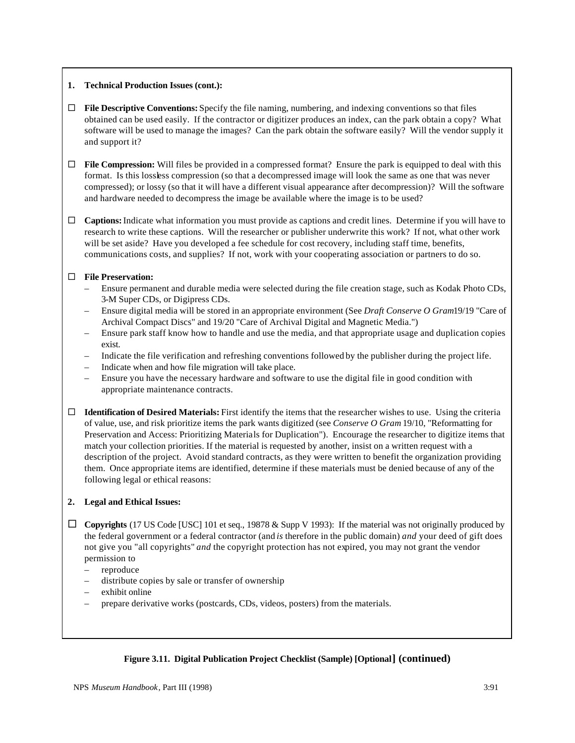#### **1. Technical Production Issues (cont.):**

- $\Box$  **File Descriptive Conventions:** Specify the file naming, numbering, and indexing conventions so that files obtained can be used easily. If the contractor or digitizer produces an index, can the park obtain a copy? What software will be used to manage the images? Can the park obtain the software easily? Will the vendor supply it and support it?
- $\Box$  **File Compression:** Will files be provided in a compressed format? Ensure the park is equipped to deal with this format. Is this lossless compression (so that a decompressed image will look the same as one that was never compressed); or lossy (so that it will have a different visual appearance after decompression)? Will the software and hardware needed to decompress the image be available where the image is to be used?
- ® **Captions:** Indicate what information you must provide as captions and credit lines. Determine if you will have to research to write these captions. Will the researcher or publisher underwrite this work? If not, what other work will be set aside? Have you developed a fee schedule for cost recovery, including staff time, benefits, communications costs, and supplies? If not, work with your cooperating association or partners to do so.

#### ® **File Preservation:**

- Ensure permanent and durable media were selected during the file creation stage, such as Kodak Photo CDs, 3-M Super CDs, or Digipress CDs.
- Ensure digital media will be stored in an appropriate environment (See *Draft Conserve O Gram*19/19 "Care of Archival Compact Discs" and 19/20 "Care of Archival Digital and Magnetic Media.")
- Ensure park staff know how to handle and use the media, and that appropriate usage and duplication copies exist.
- Indicate the file verification and refreshing conventions followed by the publisher during the project life.
- Indicate when and how file migration will take place.
- Ensure you have the necessary hardware and software to use the digital file in good condition with appropriate maintenance contracts.
- $\Box$  **Identification of Desired Materials:** First identify the items that the researcher wishes to use. Using the criteria of value, use, and risk prioritize items the park wants digitized (see *Conserve O Gram* 19/10, "Reformatting for Preservation and Access: Prioritizing Materials for Duplication"). Encourage the researcher to digitize items that match your collection priorities. If the material is requested by another, insist on a written request with a description of the project. Avoid standard contracts, as they were written to benefit the organization providing them. Once appropriate items are identified, determine if these materials must be denied because of any of the following legal or ethical reasons:

#### **2. Legal and Ethical Issues:**

- $\Box$  **Copyrights** (17 US Code [USC] 101 et seq., 19878 & Supp V 1993): If the material was not originally produced by the federal government or a federal contractor (and *is* therefore in the public domain) *and* your deed of gift does not give you "all copyrights" *and* the copyright protection has not expired, you may not grant the vendor permission to
	- reproduce
	- distribute copies by sale or transfer of ownership
	- exhibit online
	- prepare derivative works (postcards, CDs, videos, posters) from the materials.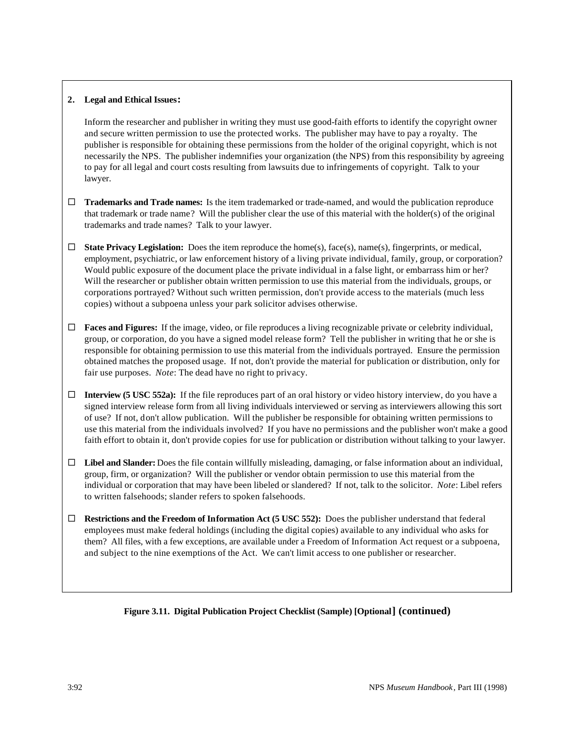#### **2. Legal and Ethical Issues:**

Inform the researcher and publisher in writing they must use good-faith efforts to identify the copyright owner and secure written permission to use the protected works. The publisher may have to pay a royalty. The publisher is responsible for obtaining these permissions from the holder of the original copyright, which is not necessarily the NPS. The publisher indemnifies your organization (the NPS) from this responsibility by agreeing to pay for all legal and court costs resulting from lawsuits due to infringements of copyright. Talk to your lawyer.

- $\Box$  **Trademarks and Trade names:** Is the item trademarked or trade-named, and would the publication reproduce that trademark or trade name? Will the publisher clear the use of this material with the holder(s) of the original trademarks and trade names? Talk to your lawyer.
- $\Box$  **State Privacy Legislation:** Does the item reproduce the home(s), face(s), name(s), fingerprints, or medical, employment, psychiatric, or law enforcement history of a living private individual, family, group, or corporation? Would public exposure of the document place the private individual in a false light, or embarrass him or her? Will the researcher or publisher obtain written permission to use this material from the individuals, groups, or corporations portrayed? Without such written permission, don't provide access to the materials (much less copies) without a subpoena unless your park solicitor advises otherwise.
- $\Box$  **Faces and Figures:** If the image, video, or file reproduces a living recognizable private or celebrity individual, group, or corporation, do you have a signed model release form? Tell the publisher in writing that he or she is responsible for obtaining permission to use this material from the individuals portrayed. Ensure the permission obtained matches the proposed usage. If not, don't provide the material for publication or distribution, only for fair use purposes. *Note*: The dead have no right to privacy.
- $\Box$  **Interview (5 USC 552a):** If the file reproduces part of an oral history or video history interview, do you have a signed interview release form from all living individuals interviewed or serving as interviewers allowing this sort of use? If not, don't allow publication. Will the publisher be responsible for obtaining written permissions to use this material from the individuals involved? If you have no permissions and the publisher won't make a good faith effort to obtain it, don't provide copies for use for publication or distribution without talking to your lawyer.
- $\Box$  Libel and Slander: Does the file contain willfully misleading, damaging, or false information about an individual, group, firm, or organization? Will the publisher or vendor obtain permission to use this material from the individual or corporation that may have been libeled or slandered? If not, talk to the solicitor. *Note*: Libel refers to written falsehoods; slander refers to spoken falsehoods.
- $\Box$  **Restrictions and the Freedom of Information Act (5 USC 552):** Does the publisher understand that federal employees must make federal holdings (including the digital copies) available to any individual who asks for them? All files, with a few exceptions, are available under a Freedom of Information Act request or a subpoena, and subject to the nine exemptions of the Act. We can't limit access to one publisher or researcher.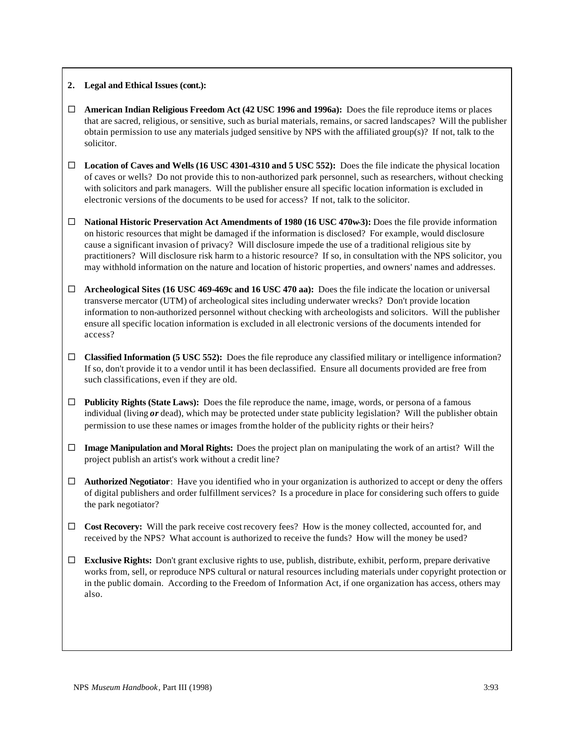#### **2. Legal and Ethical Issues (cont.):**

- ® **American Indian Religious Freedom Act (42 USC 1996 and 1996a):** Does the file reproduce items or places that are sacred, religious, or sensitive, such as burial materials, remains, or sacred landscapes? Will the publisher obtain permission to use any materials judged sensitive by NPS with the affiliated group(s)? If not, talk to the solicitor.
- $\Box$  Location of Caves and Wells (16 USC 4301-4310 and 5 USC 552): Does the file indicate the physical location of caves or wells? Do not provide this to non-authorized park personnel, such as researchers, without checking with solicitors and park managers. Will the publisher ensure all specific location information is excluded in electronic versions of the documents to be used for access? If not, talk to the solicitor.
- □ **National Historic Preservation Act Amendments of 1980 (16 USC 470w-3):** Does the file provide information on historic resources that might be damaged if the information is disclosed? For example, would disclosure cause a significant invasion of privacy? Will disclosure impede the use of a traditional religious site by practitioners? Will disclosure risk harm to a historic resource? If so, in consultation with the NPS solicitor, you may withhold information on the nature and location of historic properties, and owners' names and addresses.
- $\Box$  **Archeological Sites (16 USC 469-469c and 16 USC 470 aa):** Does the file indicate the location or universal transverse mercator (UTM) of archeological sites including underwater wrecks? Don't provide location information to non-authorized personnel without checking with archeologists and solicitors. Will the publisher ensure all specific location information is excluded in all electronic versions of the documents intended for access?
- $\Box$  **Classified Information (5 USC 552):** Does the file reproduce any classified military or intelligence information? If so, don't provide it to a vendor until it has been declassified. Ensure all documents provided are free from such classifications, even if they are old.
- $\Box$  **Publicity Rights (State Laws):** Does the file reproduce the name, image, words, or persona of a famous individual (living *or* dead), which may be protected under state publicity legislation? Will the publisher obtain permission to use these names or images from the holder of the publicity rights or their heirs?
- ® **Image Manipulation and Moral Rights:** Does the project plan on manipulating the work of an artist? Will the project publish an artist's work without a credit line?
- $\Box$  **Authorized Negotiator**: Have you identified who in your organization is authorized to accept or deny the offers of digital publishers and order fulfillment services? Is a procedure in place for considering such offers to guide the park negotiator?
- □ **Cost Recovery:** Will the park receive cost recovery fees? How is the money collected, accounted for, and received by the NPS? What account is authorized to receive the funds? How will the money be used?
- ® **Exclusive Rights:** Don't grant exclusive rights to use, publish, distribute, exhibit, perform, prepare derivative works from, sell, or reproduce NPS cultural or natural resources including materials under copyright protection or in the public domain. According to the Freedom of Information Act, if one organization has access, others may also.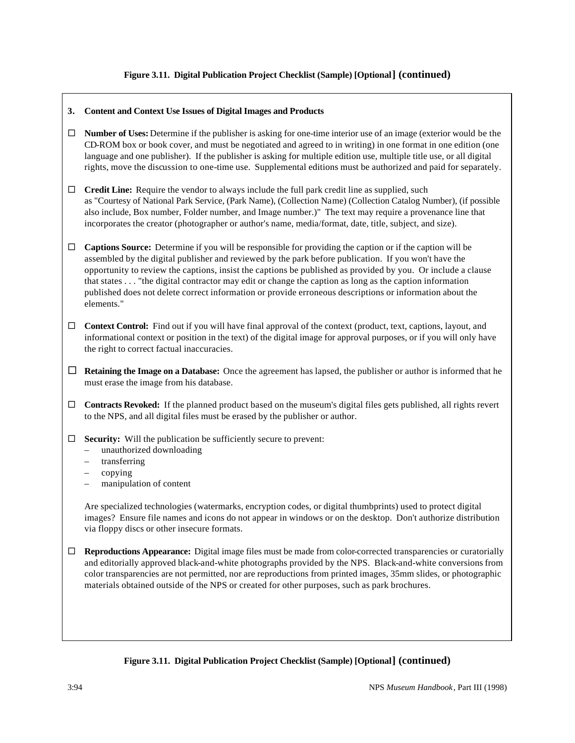#### **Figure 3.11. Digital Publication Project Checklist (Sample) [Optional] (continued)**

#### **3. Content and Context Use Issues of Digital Images and Products**

- $\Box$  **Number of Uses:** Determine if the publisher is asking for one-time interior use of an image (exterior would be the CD-ROM box or book cover, and must be negotiated and agreed to in writing) in one format in one edition (one language and one publisher). If the publisher is asking for multiple edition use, multiple title use, or all digital rights, move the discussion to one-time use. Supplemental editions must be authorized and paid for separately.
- $\Box$  **Credit Line:** Require the vendor to always include the full park credit line as supplied, such as "Courtesy of National Park Service, (Park Name), (Collection Name) (Collection Catalog Number), (if possible also include, Box number, Folder number, and Image number.)" The text may require a provenance line that incorporates the creator (photographer or author's name, media/format, date, title, subject, and size).
- $\Box$  **Captions Source:** Determine if you will be responsible for providing the caption or if the caption will be assembled by the digital publisher and reviewed by the park before publication. If you won't have the opportunity to review the captions, insist the captions be published as provided by you. Or include a clause that states . . . "the digital contractor may edit or change the caption as long as the caption information published does not delete correct information or provide erroneous descriptions or information about the elements."
- □ **Context Control:** Find out if you will have final approval of the context (product, text, captions, layout, and informational context or position in the text) of the digital image for approval purposes, or if you will only have the right to correct factual inaccuracies.
- $\Box$  **Retaining the Image on a Database:** Once the agreement has lapsed, the publisher or author is informed that he must erase the image from his database.
- □ **Contracts Revoked:** If the planned product based on the museum's digital files gets published, all rights revert to the NPS, and all digital files must be erased by the publisher or author.
- $\Box$  **Security:** Will the publication be sufficiently secure to prevent:
	- unauthorized downloading
	- transferring
	- copying
	- manipulation of content

Are specialized technologies (watermarks, encryption codes, or digital thumbprints) used to protect digital images? Ensure file names and icons do not appear in windows or on the desktop. Don't authorize distribution via floppy discs or other insecure formats.

 $\Box$  **Reproductions Appearance:** Digital image files must be made from color-corrected transparencies or curatorially and editorially approved black-and-white photographs provided by the NPS. Black-and-white conversions from color transparencies are not permitted, nor are reproductions from printed images, 35mm slides, or photographic materials obtained outside of the NPS or created for other purposes, such as park brochures.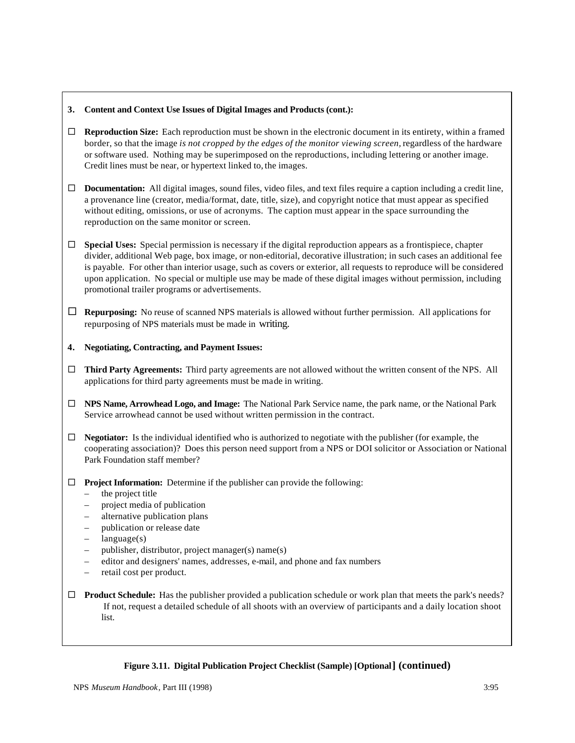#### **3. Content and Context Use Issues of Digital Images and Products (cont.):**

- $\Box$  **Reproduction Size:** Each reproduction must be shown in the electronic document in its entirety, within a framed border, so that the image *is not cropped by the edges of the monitor viewing screen,* regardless of the hardware or software used. Nothing may be superimposed on the reproductions, including lettering or another image. Credit lines must be near, or hypertext linked to, the images.
- $\Box$  **Documentation:** All digital images, sound files, video files, and text files require a caption including a credit line, a provenance line (creator, media/format, date, title, size), and copyright notice that must appear as specified without editing, omissions, or use of acronyms. The caption must appear in the space surrounding the reproduction on the same monitor or screen.
- $\Box$  **Special Uses:** Special permission is necessary if the digital reproduction appears as a frontispiece, chapter divider, additional Web page, box image, or non-editorial, decorative illustration; in such cases an additional fee is payable. For other than interior usage, such as covers or exterior, all requests to reproduce will be considered upon application. No special or multiple use may be made of these digital images without permission, including promotional trailer programs or advertisements.
- □ **Repurposing:** No reuse of scanned NPS materials is allowed without further permission. All applications for repurposing of NPS materials must be made in writing.
- **4. Negotiating, Contracting, and Payment Issues:**
- $\Box$  **Third Party Agreements:** Third party agreements are not allowed without the written consent of the NPS. All applications for third party agreements must be made in writing.
- ® **NPS Name, Arrowhead Logo, and Image:** The National Park Service name, the park name, or the National Park Service arrowhead cannot be used without written permission in the contract.

 $\Box$  **Negotiator:** Is the individual identified who is authorized to negotiate with the publisher (for example, the cooperating association)? Does this person need support from a NPS or DOI solicitor or Association or National Park Foundation staff member?

- $\Box$  **Project Information:** Determine if the publisher can provide the following:
	- the project title
	- project media of publication
	- alternative publication plans
	- publication or release date
	- $language(s)$
	- publisher, distributor, project manager(s) name(s)
	- editor and designers' names, addresses, e-mail, and phone and fax numbers
	- retail cost per product.
- $\Box$  **Product Schedule:** Has the publisher provided a publication schedule or work plan that meets the park's needs? If not, request a detailed schedule of all shoots with an overview of participants and a daily location shoot list.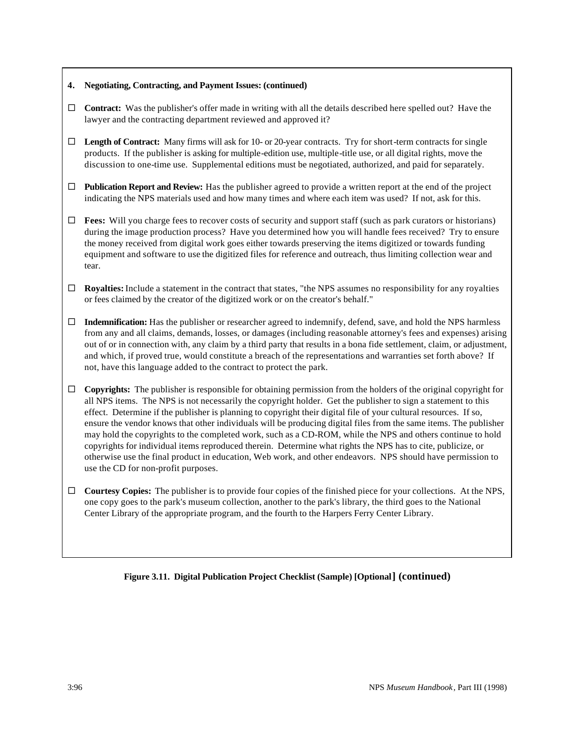#### **4. Negotiating, Contracting, and Payment Issues: (continued)**

- $\Box$  **Contract:** Was the publisher's offer made in writing with all the details described here spelled out? Have the lawyer and the contracting department reviewed and approved it?
- $\Box$  **Length of Contract:** Many firms will ask for 10- or 20-year contracts. Try for short-term contracts for single products. If the publisher is asking for multiple-edition use, multiple-title use, or all digital rights, move the discussion to one-time use. Supplemental editions must be negotiated, authorized, and paid for separately.
- $\Box$  **Publication Report and Review:** Has the publisher agreed to provide a written report at the end of the project indicating the NPS materials used and how many times and where each item was used? If not, ask for this.
- $\Box$  **Fees:** Will you charge fees to recover costs of security and support staff (such as park curators or historians) during the image production process? Have you determined how you will handle fees received? Try to ensure the money received from digital work goes either towards preserving the items digitized or towards funding equipment and software to use the digitized files for reference and outreach, thus limiting collection wear and tear.
- $\Box$  **Royalties:** Include a statement in the contract that states, "the NPS assumes no responsibility for any royalties or fees claimed by the creator of the digitized work or on the creator's behalf."
- $\Box$  **Indemnification:** Has the publisher or researcher agreed to indemnify, defend, save, and hold the NPS harmless from any and all claims, demands, losses, or damages (including reasonable attorney's fees and expenses) arising out of or in connection with, any claim by a third party that results in a bona fide settlement, claim, or adjustment, and which, if proved true, would constitute a breach of the representations and warranties set forth above? If not, have this language added to the contract to protect the park.
- $\Box$  **Copyrights:** The publisher is responsible for obtaining permission from the holders of the original copyright for all NPS items. The NPS is not necessarily the copyright holder. Get the publisher to sign a statement to this effect. Determine if the publisher is planning to copyright their digital file of your cultural resources. If so, ensure the vendor knows that other individuals will be producing digital files from the same items. The publisher may hold the copyrights to the completed work, such as a CD-ROM, while the NPS and others continue to hold copyrights for individual items reproduced therein. Determine what rights the NPS has to cite, publicize, or otherwise use the final product in education, Web work, and other endeavors. NPS should have permission to use the CD for non-profit purposes.
- $\Box$  **Courtesy Copies:** The publisher is to provide four copies of the finished piece for your collections. At the NPS, one copy goes to the park's museum collection, another to the park's library, the third goes to the National Center Library of the appropriate program, and the fourth to the Harpers Ferry Center Library.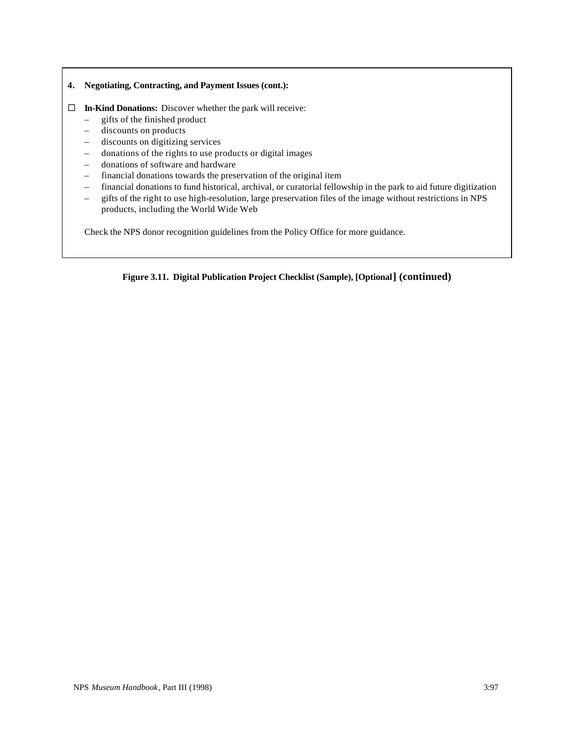#### **4. Negotiating, Contracting, and Payment Issues (cont.):**

- □ **In-Kind Donations:** Discover whether the park will receive:
	- gifts of the finished product
	- discounts on products
	- discounts on digitizing services
	- donations of the rights to use products or digital images
	- donations of software and hardware
	- financial donations towards the preservation of the original item
	- financial donations to fund historical, archival, or curatorial fellowship in the park to aid future digitization
	- gifts of the right to use high-resolution, large preservation files of the image without restrictions in NPS products, including the World Wide Web

Check the NPS donor recognition guidelines from the Policy Office for more guidance.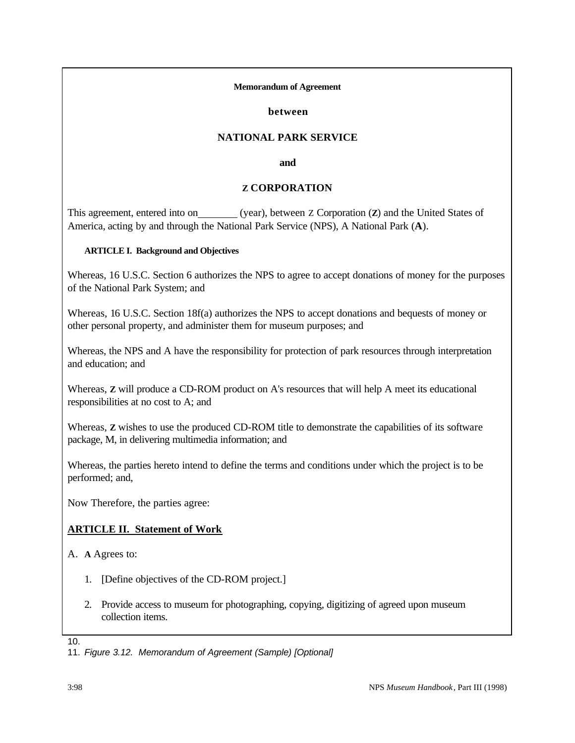#### **Memorandum of Agreement**

#### **between**

## **NATIONAL PARK SERVICE**

**and**

## **Z CORPORATION**

This agreement, entered into on (year), between Z Corporation (**Z**) and the United States of America, acting by and through the National Park Service (NPS), A National Park (**A**).

#### **ARTICLE I. Background and Objectives**

Whereas, 16 U.S.C. Section 6 authorizes the NPS to agree to accept donations of money for the purposes of the National Park System; and

Whereas, 16 U.S.C. Section 18f(a) authorizes the NPS to accept donations and bequests of money or other personal property, and administer them for museum purposes; and

Whereas, the NPS and A have the responsibility for protection of park resources through interpretation and education; and

Whereas, **Z** will produce a CD-ROM product on A's resources that will help A meet its educational responsibilities at no cost to A; and

Whereas, **Z** wishes to use the produced CD-ROM title to demonstrate the capabilities of its software package, M, in delivering multimedia information; and

Whereas, the parties hereto intend to define the terms and conditions under which the project is to be performed; and,

Now Therefore, the parties agree:

## **ARTICLE II. Statement of Work**

A. **A** Agrees to:

- 1. [Define objectives of the CD-ROM project.]
- 2. Provide access to museum for photographing, copying, digitizing of agreed upon museum collection items.

10.

<sup>11.</sup> *Figure 3.12. Memorandum of Agreement (Sample) [Optional]*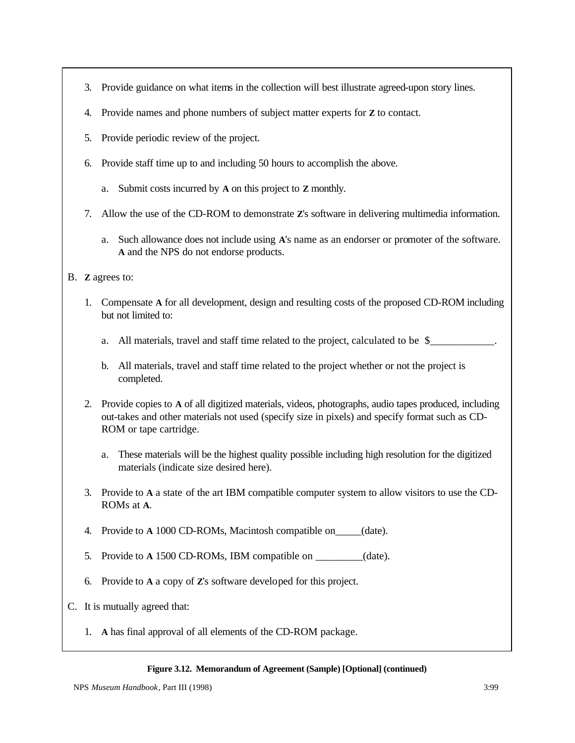- 3. Provide guidance on what items in the collection will best illustrate agreed-upon story lines.
- 4. Provide names and phone numbers of subject matter experts for **Z** to contact.
- 5. Provide periodic review of the project.
- 6. Provide staff time up to and including 50 hours to accomplish the above.
	- a. Submit costs incurred by **A** on this project to **Z** monthly.
- 7. Allow the use of the CD-ROM to demonstrate **Z**'s software in delivering multimedia information.
	- a. Such allowance does not include using **A**'s name as an endorser or promoter of the software. **A** and the NPS do not endorse products.

## B. **Z** agrees to:

- 1. Compensate **A** for all development, design and resulting costs of the proposed CD-ROM including but not limited to:
	- a. All materials, travel and staff time related to the project, calculated to be  $\frac{1}{2}$
	- b. All materials, travel and staff time related to the project whether or not the project is completed.
- 2. Provide copies to **A** of all digitized materials, videos, photographs, audio tapes produced, including out-takes and other materials not used (specify size in pixels) and specify format such as CD-ROM or tape cartridge.
	- a. These materials will be the highest quality possible including high resolution for the digitized materials (indicate size desired here).
- 3. Provide to **A** a state of the art IBM compatible computer system to allow visitors to use the CD-ROMs at **A**.
- 4. Provide to **A** 1000 CD-ROMs, Macintosh compatible on\_\_\_\_\_(date).
- 5. Provide to **A** 1500 CD-ROMs, IBM compatible on \_\_\_\_\_\_\_\_\_(date).
- 6. Provide to **A** a copy of **Z**'s software developed for this project.
- C. It is mutually agreed that:
	- 1. **A** has final approval of all elements of the CD-ROM package.

#### **Figure 3.12. Memorandum of Agreement (Sample) [Optional] (continued)**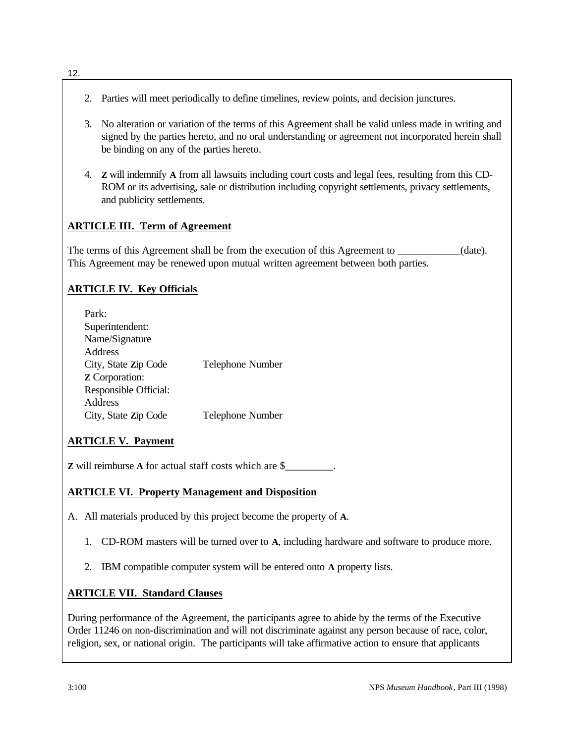- 2. Parties will meet periodically to define timelines, review points, and decision junctures.
- 3. No alteration or variation of the terms of this Agreement shall be valid unless made in writing and signed by the parties hereto, and no oral understanding or agreement not incorporated herein shall be binding on any of the parties hereto.
- 4. **Z** will indemnify **A** from all lawsuits including court costs and legal fees, resulting from this CD-ROM or its advertising, sale or distribution including copyright settlements, privacy settlements, and publicity settlements.

# **ARTICLE III. Term of Agreement**

The terms of this Agreement shall be from the execution of this Agreement to \_\_\_\_\_\_\_\_\_\_(date). This Agreement may be renewed upon mutual written agreement between both parties.

# **ARTICLE IV. Key Officials**

| Park:                 |                         |
|-----------------------|-------------------------|
| Superintendent:       |                         |
| Name/Signature        |                         |
| Address               |                         |
| City, State Zip Code  | <b>Telephone Number</b> |
| <b>Z</b> Corporation: |                         |
| Responsible Official: |                         |
| Address               |                         |
| City, State Zip Code  | <b>Telephone Number</b> |

# **ARTICLE V. Payment**

**Z** will reimburse **A** for actual staff costs which are \$

# **ARTICLE VI. Property Management and Disposition**

- A. All materials produced by this project become the property of **A**.
	- 1. CD-ROM masters will be turned over to **A**, including hardware and software to produce more.
	- 2. IBM compatible computer system will be entered onto **A** property lists.

# **ARTICLE VII. Standard Clauses**

During performance of the Agreement, the participants agree to abide by the terms of the Executive Order 11246 on non-discrimination and will not discriminate against any person because of race, color, religion, sex, or national origin. The participants will take affirmative action to ensure that applicants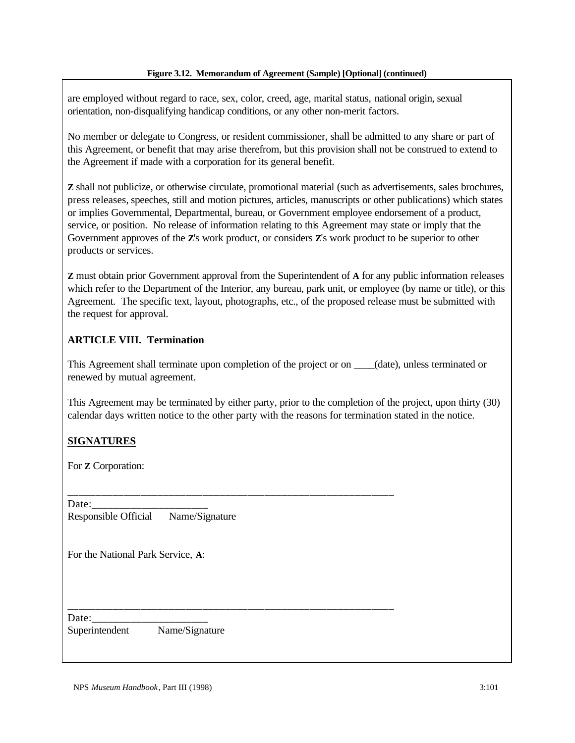are employed without regard to race, sex, color, creed, age, marital status, national origin, sexual orientation, non-disqualifying handicap conditions, or any other non-merit factors.

No member or delegate to Congress, or resident commissioner, shall be admitted to any share or part of this Agreement, or benefit that may arise therefrom, but this provision shall not be construed to extend to the Agreement if made with a corporation for its general benefit.

**Z** shall not publicize, or otherwise circulate, promotional material (such as advertisements, sales brochures, press releases, speeches, still and motion pictures, articles, manuscripts or other publications) which states or implies Governmental, Departmental, bureau, or Government employee endorsement of a product, service, or position. No release of information relating to this Agreement may state or imply that the Government approves of the **Z**'s work product, or considers **Z**'s work product to be superior to other products or services.

**Z** must obtain prior Government approval from the Superintendent of **A** for any public information releases which refer to the Department of the Interior, any bureau, park unit, or employee (by name or title), or this Agreement. The specific text, layout, photographs, etc., of the proposed release must be submitted with the request for approval.

## **ARTICLE VIII. Termination**

This Agreement shall terminate upon completion of the project or on \_\_\_\_(date), unless terminated or renewed by mutual agreement.

This Agreement may be terminated by either party, prior to the completion of the project, upon thirty (30) calendar days written notice to the other party with the reasons for termination stated in the notice.

\_\_\_\_\_\_\_\_\_\_\_\_\_\_\_\_\_\_\_\_\_\_\_\_\_\_\_\_\_\_\_\_\_\_\_\_\_\_\_\_\_\_\_\_\_\_\_\_\_\_\_\_\_\_\_\_\_\_

# **SIGNATURES**

For **Z** Corporation:

Date:

Responsible Official Name/Signature

For the National Park Service, **A**:

\_\_\_\_\_\_\_\_\_\_\_\_\_\_\_\_\_\_\_\_\_\_\_\_\_\_\_\_\_\_\_\_\_\_\_\_\_\_\_\_\_\_\_\_\_\_\_\_\_\_\_\_\_\_\_\_\_\_ Date:

Superintendent Name/Signature